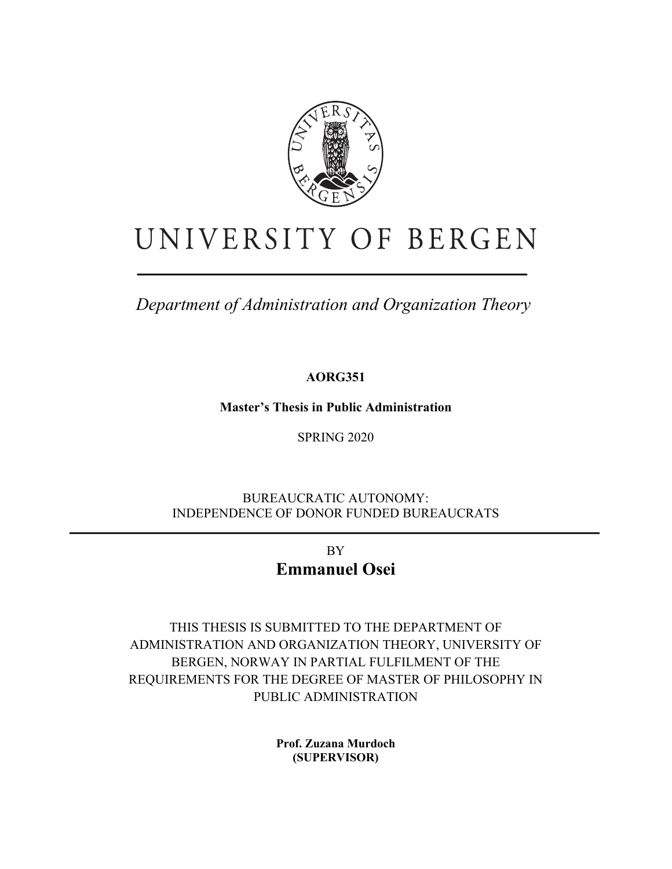

# UNIVERSITY OF BERGEN

*Department of Administration and Organization Theory*

**AORG351**

**Master's Thesis in Public Administration**

SPRING 2020

BUREAUCRATIC AUTONOMY: INDEPENDENCE OF DONOR FUNDED BUREAUCRATS

> BY **Emmanuel Osei**

THIS THESIS IS SUBMITTED TO THE DEPARTMENT OF ADMINISTRATION AND ORGANIZATION THEORY, UNIVERSITY OF BERGEN, NORWAY IN PARTIAL FULFILMENT OF THE REQUIREMENTS FOR THE DEGREE OF MASTER OF PHILOSOPHY IN PUBLIC ADMINISTRATION

> **Prof. Zuzana Murdoch (SUPERVISOR)**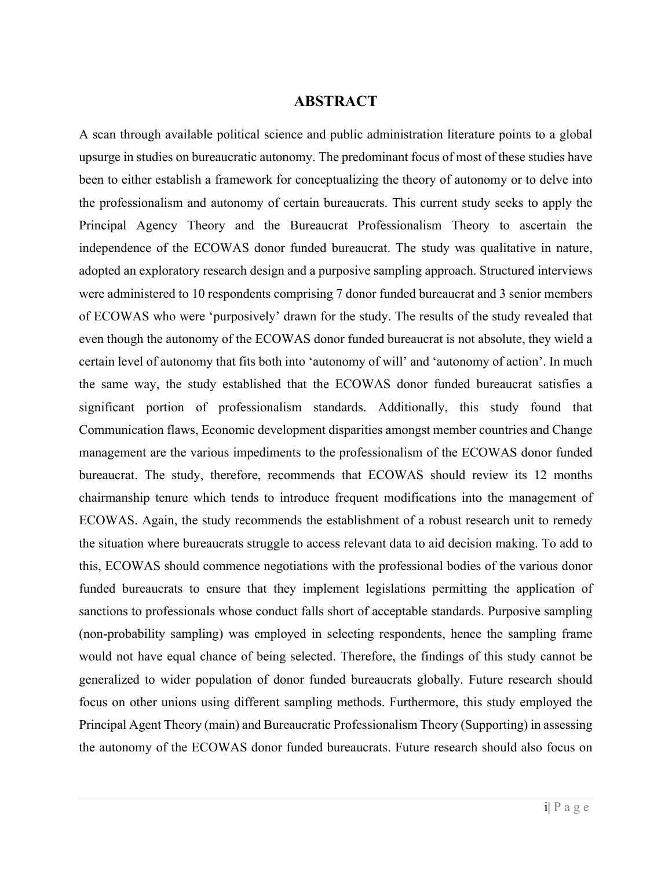#### **ABSTRACT**

A scan through available political science and public administration literature points to a global upsurge in studies on bureaucratic autonomy. The predominant focus of most of these studies have been to either establish a framework for conceptualizing the theory of autonomy or to delve into the professionalism and autonomy of certain bureaucrats. This current study seeks to apply the Principal Agency Theory and the Bureaucrat Professionalism Theory to ascertain the independence of the ECOWAS donor funded bureaucrat. The study was qualitative in nature, adopted an exploratory research design and a purposive sampling approach. Structured interviews were administered to 10 respondents comprising 7 donor funded bureaucrat and 3 senior members of ECOWAS who were 'purposively' drawn for the study. The results of the study revealed that even though the autonomy of the ECOWAS donor funded bureaucrat is not absolute, they wield a certain level of autonomy that fits both into 'autonomy of will' and 'autonomy of action'. In much the same way, the study established that the ECOWAS donor funded bureaucrat satisfies a significant portion of professionalism standards. Additionally, this study found that Communication flaws, Economic development disparities amongst member countries and Change management are the various impediments to the professionalism of the ECOWAS donor funded bureaucrat. The study, therefore, recommends that ECOWAS should review its 12 months chairmanship tenure which tends to introduce frequent modifications into the management of ECOWAS. Again, the study recommends the establishment of a robust research unit to remedy the situation where bureaucrats struggle to access relevant data to aid decision making. To add to this, ECOWAS should commence negotiations with the professional bodies of the various donor funded bureaucrats to ensure that they implement legislations permitting the application of sanctions to professionals whose conduct falls short of acceptable standards. Purposive sampling (non-probability sampling) was employed in selecting respondents, hence the sampling frame would not have equal chance of being selected. Therefore, the findings of this study cannot be generalized to wider population of donor funded bureaucrats globally. Future research should focus on other unions using different sampling methods. Furthermore, this study employed the Principal Agent Theory (main) and Bureaucratic Professionalism Theory (Supporting) in assessing the autonomy of the ECOWAS donor funded bureaucrats. Future research should also focus on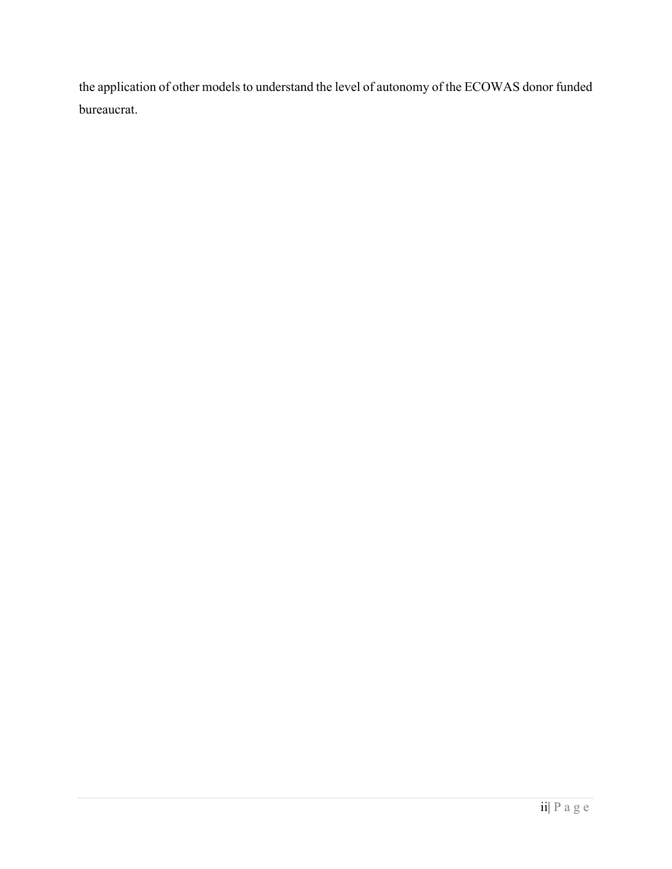the application of other models to understand the level of autonomy of the ECOWAS donor funded bureaucrat.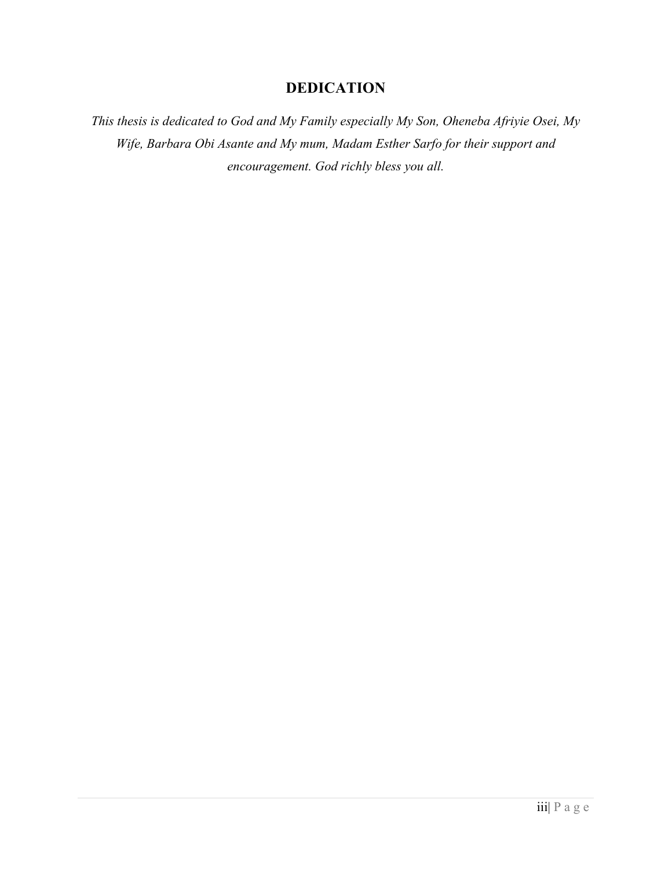# **DEDICATION**

*This thesis is dedicated to God and My Family especially My Son, Oheneba Afriyie Osei, My Wife, Barbara Obi Asante and My mum, Madam Esther Sarfo for their support and encouragement. God richly bless you all.*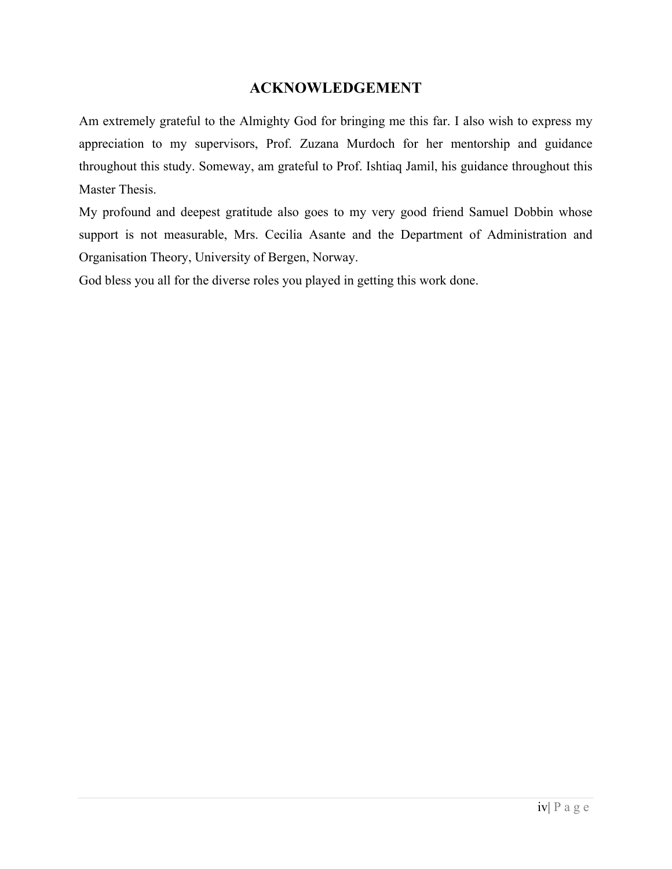# **ACKNOWLEDGEMENT**

Am extremely grateful to the Almighty God for bringing me this far. I also wish to express my appreciation to my supervisors, Prof. Zuzana Murdoch for her mentorship and guidance throughout this study. Someway, am grateful to Prof. Ishtiaq Jamil, his guidance throughout this Master Thesis.

My profound and deepest gratitude also goes to my very good friend Samuel Dobbin whose support is not measurable, Mrs. Cecilia Asante and the Department of Administration and Organisation Theory, University of Bergen, Norway.

God bless you all for the diverse roles you played in getting this work done.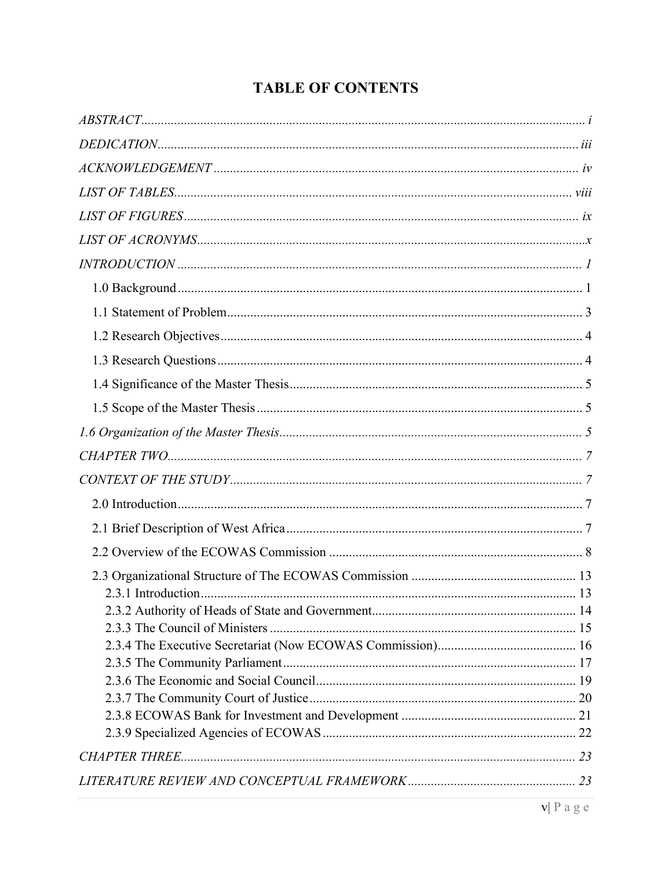# **TABLE OF CONTENTS**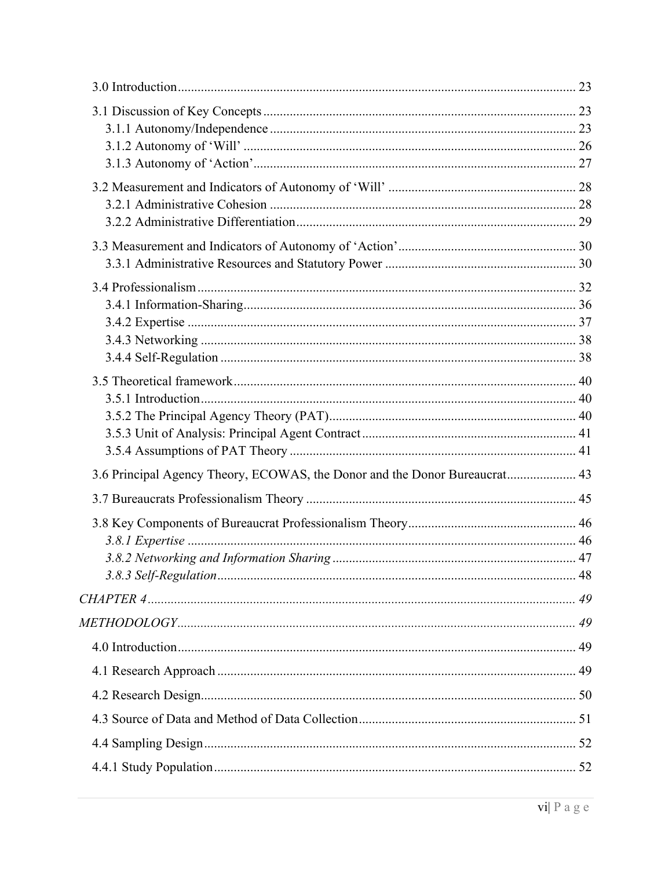| 3.6 Principal Agency Theory, ECOWAS, the Donor and the Donor Bureaucrat 43 |  |
|----------------------------------------------------------------------------|--|
|                                                                            |  |
|                                                                            |  |
|                                                                            |  |
|                                                                            |  |
|                                                                            |  |
|                                                                            |  |
|                                                                            |  |
|                                                                            |  |
|                                                                            |  |
|                                                                            |  |
|                                                                            |  |
|                                                                            |  |
|                                                                            |  |
|                                                                            |  |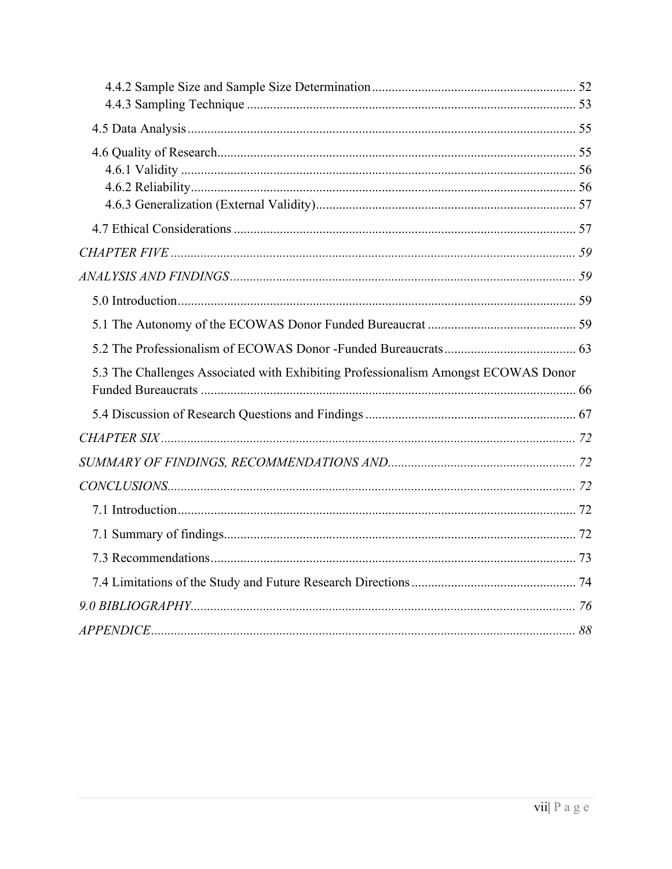| 5.3 The Challenges Associated with Exhibiting Professionalism Amongst ECOWAS Donor |  |
|------------------------------------------------------------------------------------|--|
|                                                                                    |  |
|                                                                                    |  |
|                                                                                    |  |
|                                                                                    |  |
|                                                                                    |  |
|                                                                                    |  |
|                                                                                    |  |
|                                                                                    |  |
|                                                                                    |  |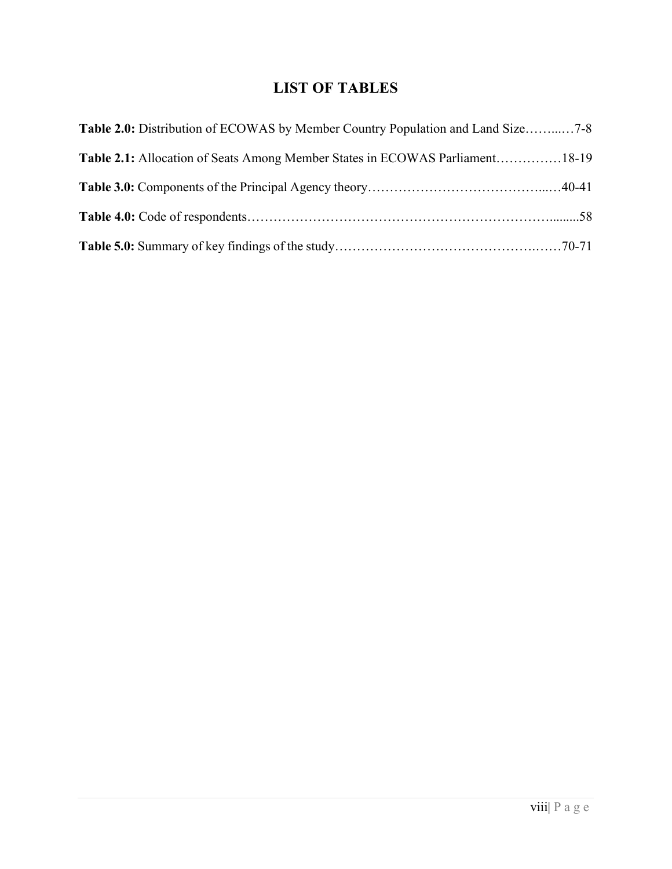# **LIST OF TABLES**

| Table 2.0: Distribution of ECOWAS by Member Country Population and Land Size7-8 |
|---------------------------------------------------------------------------------|
| Table 2.1: Allocation of Seats Among Member States in ECOWAS Parliament18-19    |
|                                                                                 |
|                                                                                 |
|                                                                                 |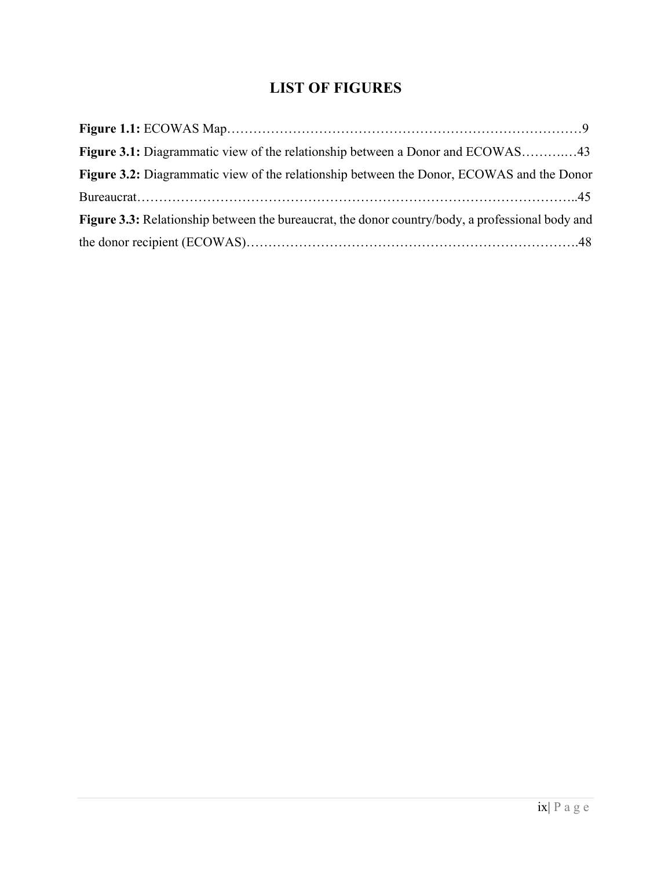# **LIST OF FIGURES**

| Figure 3.1: Diagrammatic view of the relationship between a Donor and ECOWAS43                   |
|--------------------------------------------------------------------------------------------------|
| Figure 3.2: Diagrammatic view of the relationship between the Donor, ECOWAS and the Donor        |
|                                                                                                  |
| Figure 3.3: Relationship between the bureaucrat, the donor country/body, a professional body and |
|                                                                                                  |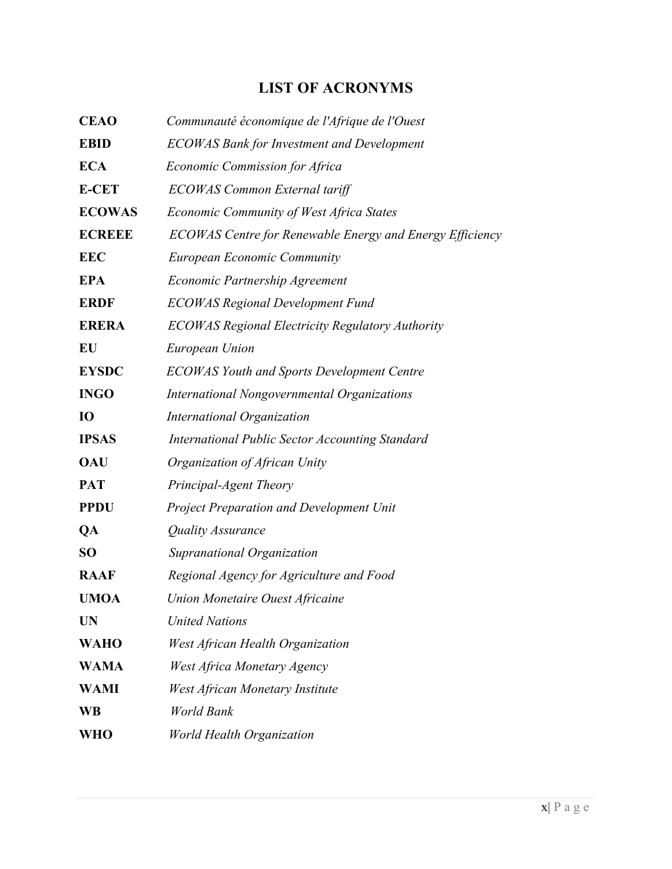# **LIST OF ACRONYMS**

| <b>CEAO</b>     | Communauté économique de l'Afrique de l'Ouest            |
|-----------------|----------------------------------------------------------|
| <b>EBID</b>     | <b>ECOWAS Bank for Investment and Development</b>        |
| <b>ECA</b>      | Economic Commission for Africa                           |
| <b>E-CET</b>    | ECOWAS Common External tariff                            |
| <b>ECOWAS</b>   | Economic Community of West Africa States                 |
| <b>ECREEE</b>   | ECOWAS Centre for Renewable Energy and Energy Efficiency |
| <b>EEC</b>      | <b>European Economic Community</b>                       |
| <b>EPA</b>      | <b>Economic Partnership Agreement</b>                    |
| <b>ERDF</b>     | <b>ECOWAS Regional Development Fund</b>                  |
| <b>ERERA</b>    | <b>ECOWAS Regional Electricity Regulatory Authority</b>  |
| EU              | European Union                                           |
| <b>EYSDC</b>    | <b>ECOWAS Youth and Sports Development Centre</b>        |
| <b>INGO</b>     | International Nongovernmental Organizations              |
| <b>IO</b>       | <b>International Organization</b>                        |
| <b>IPSAS</b>    | <b>International Public Sector Accounting Standard</b>   |
| <b>OAU</b>      | Organization of African Unity                            |
| <b>PAT</b>      | Principal-Agent Theory                                   |
| <b>PPDU</b>     | <b>Project Preparation and Development Unit</b>          |
| QA              | Quality Assurance                                        |
| SO <sub>1</sub> | Supranational Organization                               |
| <b>RAAF</b>     | Regional Agency for Agriculture and Food                 |
| <b>UMOA</b>     | Union Monetaire Ouest Africaine                          |
| <b>UN</b>       | <b>United Nations</b>                                    |
| <b>WAHO</b>     | West African Health Organization                         |
| <b>WAMA</b>     | West Africa Monetary Agency                              |
| <b>WAMI</b>     | West African Monetary Institute                          |
| <b>WB</b>       | World Bank                                               |
| WHO             | <b>World Health Organization</b>                         |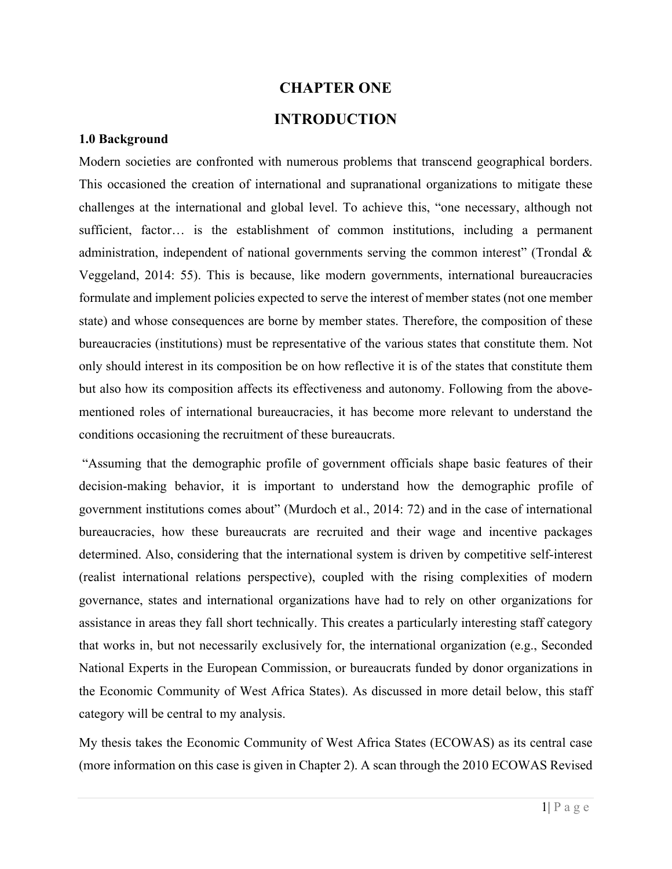#### **CHAPTER ONE**

# **INTRODUCTION**

#### **1.0 Background**

Modern societies are confronted with numerous problems that transcend geographical borders. This occasioned the creation of international and supranational organizations to mitigate these challenges at the international and global level. To achieve this, "one necessary, although not sufficient, factor… is the establishment of common institutions, including a permanent administration, independent of national governments serving the common interest" (Trondal & Veggeland, 2014: 55). This is because, like modern governments, international bureaucracies formulate and implement policies expected to serve the interest of member states (not one member state) and whose consequences are borne by member states. Therefore, the composition of these bureaucracies (institutions) must be representative of the various states that constitute them. Not only should interest in its composition be on how reflective it is of the states that constitute them but also how its composition affects its effectiveness and autonomy. Following from the abovementioned roles of international bureaucracies, it has become more relevant to understand the conditions occasioning the recruitment of these bureaucrats.

"Assuming that the demographic profile of government officials shape basic features of their decision-making behavior, it is important to understand how the demographic profile of government institutions comes about" (Murdoch et al., 2014: 72) and in the case of international bureaucracies, how these bureaucrats are recruited and their wage and incentive packages determined. Also, considering that the international system is driven by competitive self-interest (realist international relations perspective), coupled with the rising complexities of modern governance, states and international organizations have had to rely on other organizations for assistance in areas they fall short technically. This creates a particularly interesting staff category that works in, but not necessarily exclusively for, the international organization (e.g., Seconded National Experts in the European Commission, or bureaucrats funded by donor organizations in the Economic Community of West Africa States). As discussed in more detail below, this staff category will be central to my analysis.

My thesis takes the Economic Community of West Africa States (ECOWAS) as its central case (more information on this case is given in Chapter 2). A scan through the 2010 ECOWAS Revised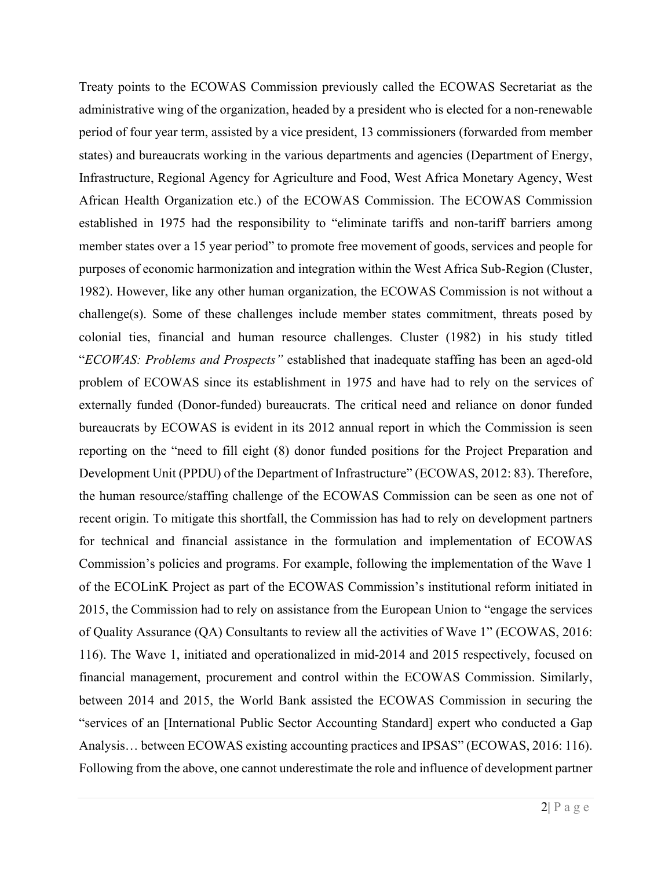Treaty points to the ECOWAS Commission previously called the ECOWAS Secretariat as the administrative wing of the organization, headed by a president who is elected for a non-renewable period of four year term, assisted by a vice president, 13 commissioners (forwarded from member states) and bureaucrats working in the various departments and agencies (Department of Energy, Infrastructure, Regional Agency for Agriculture and Food, West Africa Monetary Agency, West African Health Organization etc.) of the ECOWAS Commission. The ECOWAS Commission established in 1975 had the responsibility to "eliminate tariffs and non-tariff barriers among member states over a 15 year period" to promote free movement of goods, services and people for purposes of economic harmonization and integration within the West Africa Sub-Region (Cluster, 1982). However, like any other human organization, the ECOWAS Commission is not without a challenge(s). Some of these challenges include member states commitment, threats posed by colonial ties, financial and human resource challenges. Cluster (1982) in his study titled "*ECOWAS: Problems and Prospects"* established that inadequate staffing has been an aged-old problem of ECOWAS since its establishment in 1975 and have had to rely on the services of externally funded (Donor-funded) bureaucrats. The critical need and reliance on donor funded bureaucrats by ECOWAS is evident in its 2012 annual report in which the Commission is seen reporting on the "need to fill eight (8) donor funded positions for the Project Preparation and Development Unit (PPDU) of the Department of Infrastructure" (ECOWAS, 2012: 83). Therefore, the human resource/staffing challenge of the ECOWAS Commission can be seen as one not of recent origin. To mitigate this shortfall, the Commission has had to rely on development partners for technical and financial assistance in the formulation and implementation of ECOWAS Commission's policies and programs. For example, following the implementation of the Wave 1 of the ECOLinK Project as part of the ECOWAS Commission's institutional reform initiated in 2015, the Commission had to rely on assistance from the European Union to "engage the services of Quality Assurance (QA) Consultants to review all the activities of Wave 1" (ECOWAS, 2016: 116). The Wave 1, initiated and operationalized in mid-2014 and 2015 respectively, focused on financial management, procurement and control within the ECOWAS Commission. Similarly, between 2014 and 2015, the World Bank assisted the ECOWAS Commission in securing the "services of an [International Public Sector Accounting Standard] expert who conducted a Gap Analysis… between ECOWAS existing accounting practices and IPSAS" (ECOWAS, 2016: 116). Following from the above, one cannot underestimate the role and influence of development partner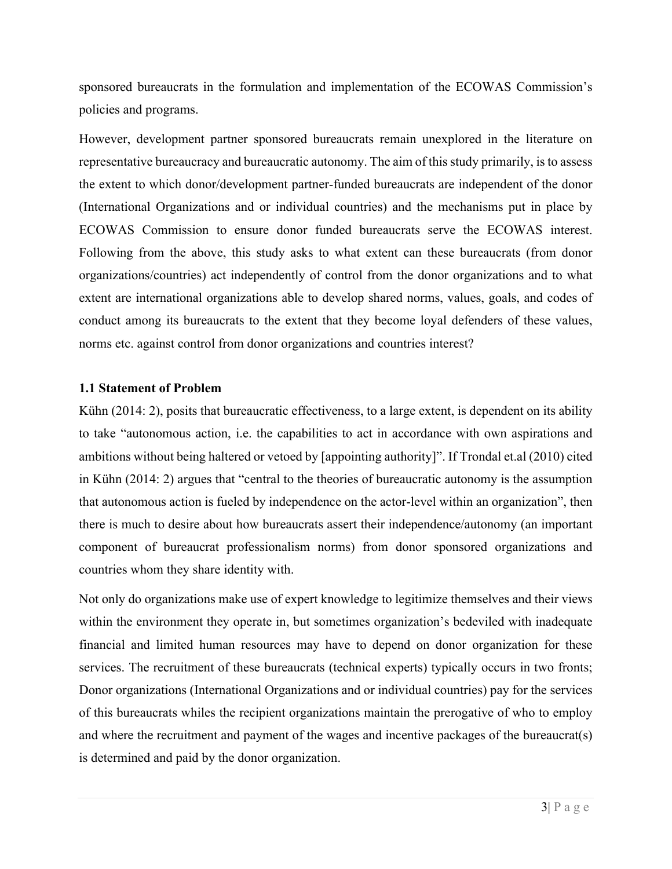sponsored bureaucrats in the formulation and implementation of the ECOWAS Commission's policies and programs.

However, development partner sponsored bureaucrats remain unexplored in the literature on representative bureaucracy and bureaucratic autonomy. The aim of this study primarily, is to assess the extent to which donor/development partner-funded bureaucrats are independent of the donor (International Organizations and or individual countries) and the mechanisms put in place by ECOWAS Commission to ensure donor funded bureaucrats serve the ECOWAS interest. Following from the above, this study asks to what extent can these bureaucrats (from donor organizations/countries) act independently of control from the donor organizations and to what extent are international organizations able to develop shared norms, values, goals, and codes of conduct among its bureaucrats to the extent that they become loyal defenders of these values, norms etc. against control from donor organizations and countries interest?

#### **1.1 Statement of Problem**

Kühn (2014: 2), posits that bureaucratic effectiveness, to a large extent, is dependent on its ability to take "autonomous action, i.e. the capabilities to act in accordance with own aspirations and ambitions without being haltered or vetoed by [appointing authority]". If Trondal et.al (2010) cited in Kühn (2014: 2) argues that "central to the theories of bureaucratic autonomy is the assumption that autonomous action is fueled by independence on the actor-level within an organization", then there is much to desire about how bureaucrats assert their independence/autonomy (an important component of bureaucrat professionalism norms) from donor sponsored organizations and countries whom they share identity with.

Not only do organizations make use of expert knowledge to legitimize themselves and their views within the environment they operate in, but sometimes organization's bedeviled with inadequate financial and limited human resources may have to depend on donor organization for these services. The recruitment of these bureaucrats (technical experts) typically occurs in two fronts; Donor organizations (International Organizations and or individual countries) pay for the services of this bureaucrats whiles the recipient organizations maintain the prerogative of who to employ and where the recruitment and payment of the wages and incentive packages of the bureaucrat(s) is determined and paid by the donor organization.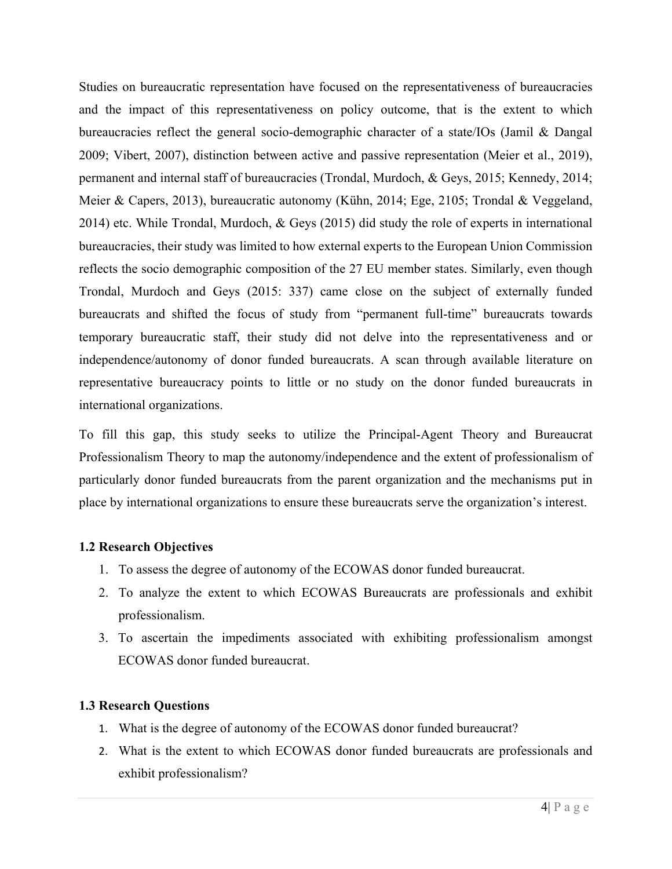Studies on bureaucratic representation have focused on the representativeness of bureaucracies and the impact of this representativeness on policy outcome, that is the extent to which bureaucracies reflect the general socio-demographic character of a state/IOs (Jamil & Dangal 2009; Vibert, 2007), distinction between active and passive representation (Meier et al., 2019), permanent and internal staff of bureaucracies (Trondal, Murdoch, & Geys, 2015; Kennedy, 2014; Meier & Capers, 2013), bureaucratic autonomy (Kühn, 2014; Ege, 2105; Trondal & Veggeland, 2014) etc. While Trondal, Murdoch, & Geys (2015) did study the role of experts in international bureaucracies, their study was limited to how external experts to the European Union Commission reflects the socio demographic composition of the 27 EU member states. Similarly, even though Trondal, Murdoch and Geys (2015: 337) came close on the subject of externally funded bureaucrats and shifted the focus of study from "permanent full-time" bureaucrats towards temporary bureaucratic staff, their study did not delve into the representativeness and or independence/autonomy of donor funded bureaucrats. A scan through available literature on representative bureaucracy points to little or no study on the donor funded bureaucrats in international organizations.

To fill this gap, this study seeks to utilize the Principal-Agent Theory and Bureaucrat Professionalism Theory to map the autonomy/independence and the extent of professionalism of particularly donor funded bureaucrats from the parent organization and the mechanisms put in place by international organizations to ensure these bureaucrats serve the organization's interest.

# **1.2 Research Objectives**

- 1. To assess the degree of autonomy of the ECOWAS donor funded bureaucrat.
- 2. To analyze the extent to which ECOWAS Bureaucrats are professionals and exhibit professionalism.
- 3. To ascertain the impediments associated with exhibiting professionalism amongst ECOWAS donor funded bureaucrat.

# **1.3 Research Questions**

- 1. What is the degree of autonomy of the ECOWAS donor funded bureaucrat?
- 2. What is the extent to which ECOWAS donor funded bureaucrats are professionals and exhibit professionalism?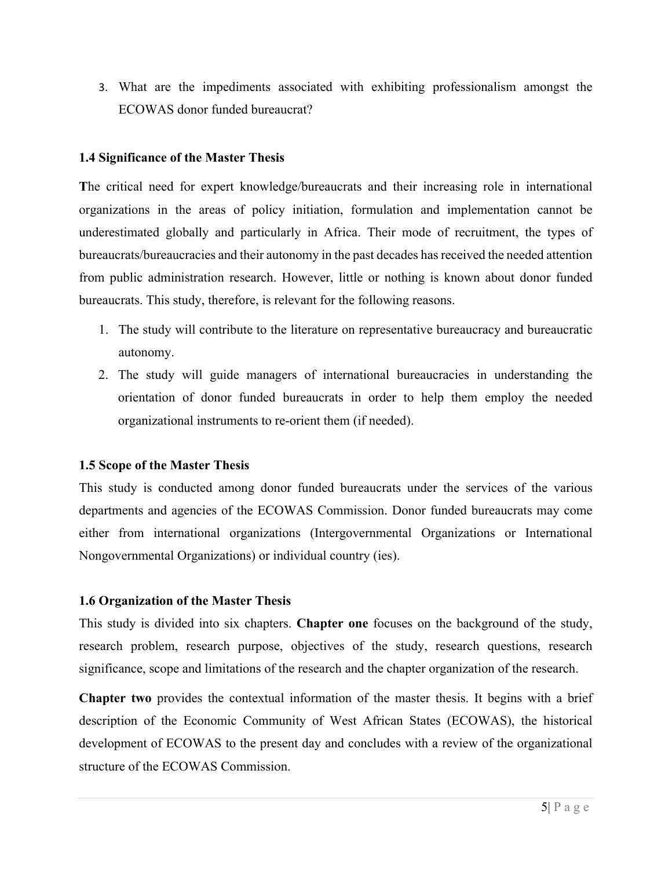3. What are the impediments associated with exhibiting professionalism amongst the ECOWAS donor funded bureaucrat?

# **1.4 Significance of the Master Thesis**

**T**he critical need for expert knowledge/bureaucrats and their increasing role in international organizations in the areas of policy initiation, formulation and implementation cannot be underestimated globally and particularly in Africa. Their mode of recruitment, the types of bureaucrats/bureaucracies and their autonomy in the past decades has received the needed attention from public administration research. However, little or nothing is known about donor funded bureaucrats. This study, therefore, is relevant for the following reasons.

- 1. The study will contribute to the literature on representative bureaucracy and bureaucratic autonomy.
- 2. The study will guide managers of international bureaucracies in understanding the orientation of donor funded bureaucrats in order to help them employ the needed organizational instruments to re-orient them (if needed).

# **1.5 Scope of the Master Thesis**

This study is conducted among donor funded bureaucrats under the services of the various departments and agencies of the ECOWAS Commission. Donor funded bureaucrats may come either from international organizations (Intergovernmental Organizations or International Nongovernmental Organizations) or individual country (ies).

# **1.6 Organization of the Master Thesis**

This study is divided into six chapters. **Chapter one** focuses on the background of the study, research problem, research purpose, objectives of the study, research questions, research significance, scope and limitations of the research and the chapter organization of the research.

**Chapter two** provides the contextual information of the master thesis. It begins with a brief description of the Economic Community of West African States (ECOWAS), the historical development of ECOWAS to the present day and concludes with a review of the organizational structure of the ECOWAS Commission.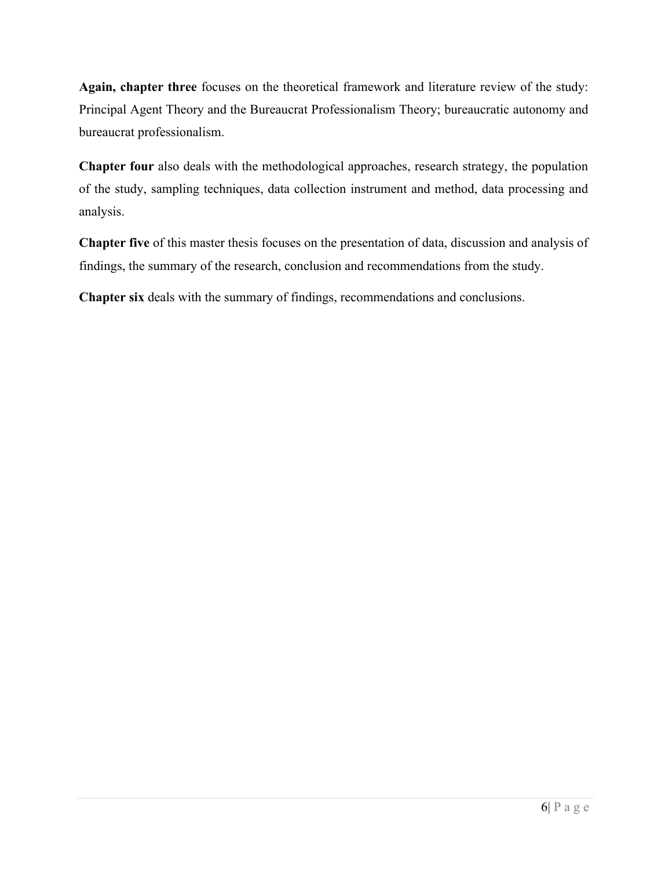**Again, chapter three** focuses on the theoretical framework and literature review of the study: Principal Agent Theory and the Bureaucrat Professionalism Theory; bureaucratic autonomy and bureaucrat professionalism.

**Chapter four** also deals with the methodological approaches, research strategy, the population of the study, sampling techniques, data collection instrument and method, data processing and analysis.

**Chapter five** of this master thesis focuses on the presentation of data, discussion and analysis of findings, the summary of the research, conclusion and recommendations from the study.

**Chapter six** deals with the summary of findings, recommendations and conclusions.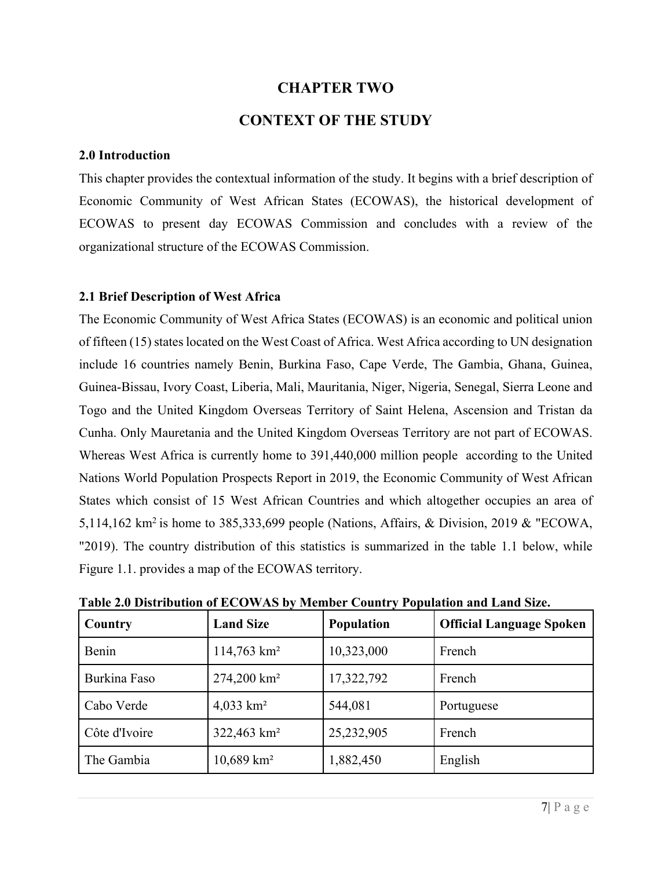# **CHAPTER TWO**

# **CONTEXT OF THE STUDY**

#### **2.0 Introduction**

This chapter provides the contextual information of the study. It begins with a brief description of Economic Community of West African States (ECOWAS), the historical development of ECOWAS to present day ECOWAS Commission and concludes with a review of the organizational structure of the ECOWAS Commission.

#### **2.1 Brief Description of West Africa**

The Economic Community of West Africa States (ECOWAS) is an economic and political union of fifteen (15) states located on the West Coast of Africa. West Africa according to UN designation include 16 countries namely Benin, Burkina Faso, Cape Verde, The Gambia, Ghana, Guinea, Guinea-Bissau, Ivory Coast, Liberia, Mali, Mauritania, Niger, Nigeria, Senegal, Sierra Leone and Togo and the United Kingdom Overseas Territory of Saint Helena, Ascension and Tristan da Cunha. Only Mauretania and the United Kingdom Overseas Territory are not part of ECOWAS. Whereas West Africa is currently home to 391,440,000 million people according to the United Nations World Population Prospects Report in 2019, the Economic Community of West African States which consist of 15 West African Countries and which altogether occupies an area of 5,114,162 km<sup>2</sup> is home to 385,333,699 people (Nations, Affairs, & Division, 2019 & "ECOWA, "2019). The country distribution of this statistics is summarized in the table 1.1 below, while Figure 1.1. provides a map of the ECOWAS territory.

| Country       | <b>Land Size</b>          | <b>Population</b> | <b>Official Language Spoken</b> |
|---------------|---------------------------|-------------------|---------------------------------|
| Benin         | $114,763$ km <sup>2</sup> | 10,323,000        | French                          |
| Burkina Faso  | 274,200 km <sup>2</sup>   | 17,322,792        | French                          |
| Cabo Verde    | 4,033 $km^2$              | 544,081           | Portuguese                      |
| Côte d'Ivoire | 322,463 km <sup>2</sup>   | 25,232,905        | French                          |
| The Gambia    | $10,689$ km <sup>2</sup>  | 1,882,450         | English                         |

**Table 2.0 Distribution of ECOWAS by Member Country Population and Land Size.**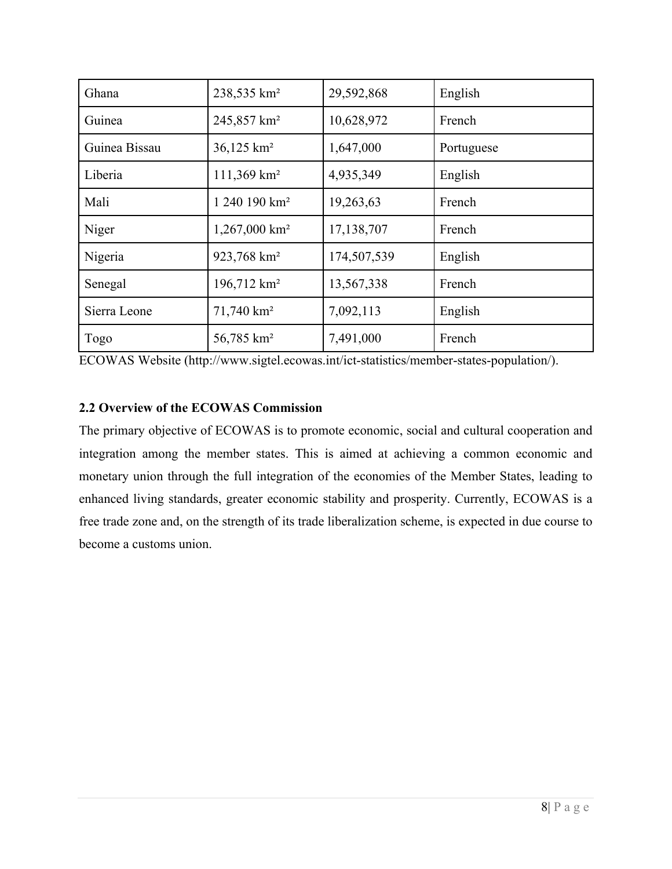| Ghana         | 238,535 km <sup>2</sup>     | 29,592,868  | English    |
|---------------|-----------------------------|-------------|------------|
| Guinea        | 245,857 km <sup>2</sup>     | 10,628,972  | French     |
| Guinea Bissau | 36,125 km <sup>2</sup>      | 1,647,000   | Portuguese |
| Liberia       | 111,369 km <sup>2</sup>     | 4,935,349   | English    |
| Mali          | 1 240 190 km <sup>2</sup>   | 19,263,63   | French     |
| Niger         | $1,267,000$ km <sup>2</sup> | 17,138,707  | French     |
| Nigeria       | 923,768 km <sup>2</sup>     | 174,507,539 | English    |
| Senegal       | 196,712 km <sup>2</sup>     | 13,567,338  | French     |
| Sierra Leone  | $71,740$ km <sup>2</sup>    | 7,092,113   | English    |
| Togo          | 56,785 km <sup>2</sup>      | 7,491,000   | French     |

ECOWAS Website (http://www.sigtel.ecowas.int/ict-statistics/member-states-population/).

# **2.2 Overview of the ECOWAS Commission**

The primary objective of ECOWAS is to promote economic, social and cultural cooperation and integration among the member states. This is aimed at achieving a common economic and monetary union through the full integration of the economies of the Member States, leading to enhanced living standards, greater economic stability and prosperity. Currently, ECOWAS is a free trade zone and, on the strength of its trade liberalization scheme, is expected in due course to become a customs union.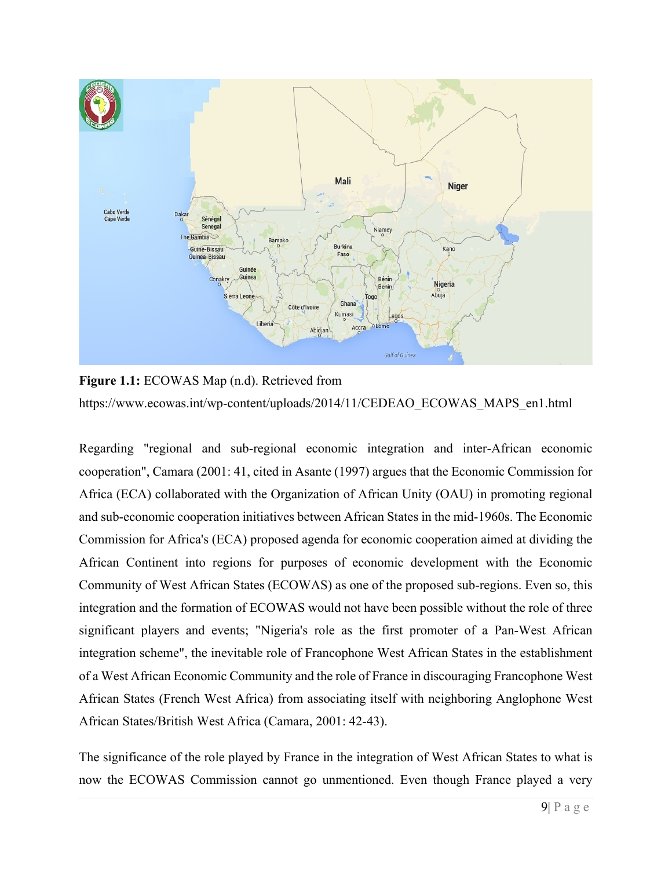

**Figure 1.1:** ECOWAS Map (n.d). Retrieved from https://www.ecowas.int/wp-content/uploads/2014/11/CEDEAO\_ECOWAS\_MAPS\_en1.html

Regarding "regional and sub-regional economic integration and inter-African economic cooperation", Camara (2001: 41, cited in Asante (1997) argues that the Economic Commission for Africa (ECA) collaborated with the Organization of African Unity (OAU) in promoting regional and sub-economic cooperation initiatives between African States in the mid-1960s. The Economic Commission for Africa's (ECA) proposed agenda for economic cooperation aimed at dividing the African Continent into regions for purposes of economic development with the Economic Community of West African States (ECOWAS) as one of the proposed sub-regions. Even so, this integration and the formation of ECOWAS would not have been possible without the role of three significant players and events; "Nigeria's role as the first promoter of a Pan-West African integration scheme", the inevitable role of Francophone West African States in the establishment of a West African Economic Community and the role of France in discouraging Francophone West African States (French West Africa) from associating itself with neighboring Anglophone West African States/British West Africa (Camara, 2001: 42-43).

The significance of the role played by France in the integration of West African States to what is now the ECOWAS Commission cannot go unmentioned. Even though France played a very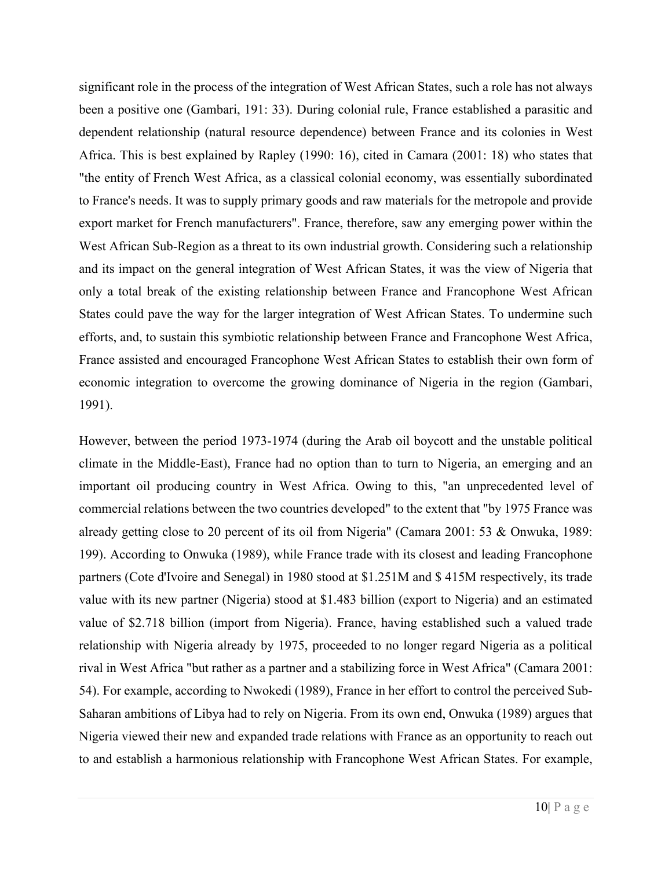significant role in the process of the integration of West African States, such a role has not always been a positive one (Gambari, 191: 33). During colonial rule, France established a parasitic and dependent relationship (natural resource dependence) between France and its colonies in West Africa. This is best explained by Rapley (1990: 16), cited in Camara (2001: 18) who states that "the entity of French West Africa, as a classical colonial economy, was essentially subordinated to France's needs. It was to supply primary goods and raw materials for the metropole and provide export market for French manufacturers". France, therefore, saw any emerging power within the West African Sub-Region as a threat to its own industrial growth. Considering such a relationship and its impact on the general integration of West African States, it was the view of Nigeria that only a total break of the existing relationship between France and Francophone West African States could pave the way for the larger integration of West African States. To undermine such efforts, and, to sustain this symbiotic relationship between France and Francophone West Africa, France assisted and encouraged Francophone West African States to establish their own form of economic integration to overcome the growing dominance of Nigeria in the region (Gambari, 1991).

However, between the period 1973-1974 (during the Arab oil boycott and the unstable political climate in the Middle-East), France had no option than to turn to Nigeria, an emerging and an important oil producing country in West Africa. Owing to this, "an unprecedented level of commercial relations between the two countries developed" to the extent that "by 1975 France was already getting close to 20 percent of its oil from Nigeria" (Camara 2001: 53 & Onwuka, 1989: 199). According to Onwuka (1989), while France trade with its closest and leading Francophone partners (Cote d'Ivoire and Senegal) in 1980 stood at \$1.251M and \$ 415M respectively, its trade value with its new partner (Nigeria) stood at \$1.483 billion (export to Nigeria) and an estimated value of \$2.718 billion (import from Nigeria). France, having established such a valued trade relationship with Nigeria already by 1975, proceeded to no longer regard Nigeria as a political rival in West Africa "but rather as a partner and a stabilizing force in West Africa" (Camara 2001: 54). For example, according to Nwokedi (1989), France in her effort to control the perceived Sub-Saharan ambitions of Libya had to rely on Nigeria. From its own end, Onwuka (1989) argues that Nigeria viewed their new and expanded trade relations with France as an opportunity to reach out to and establish a harmonious relationship with Francophone West African States. For example,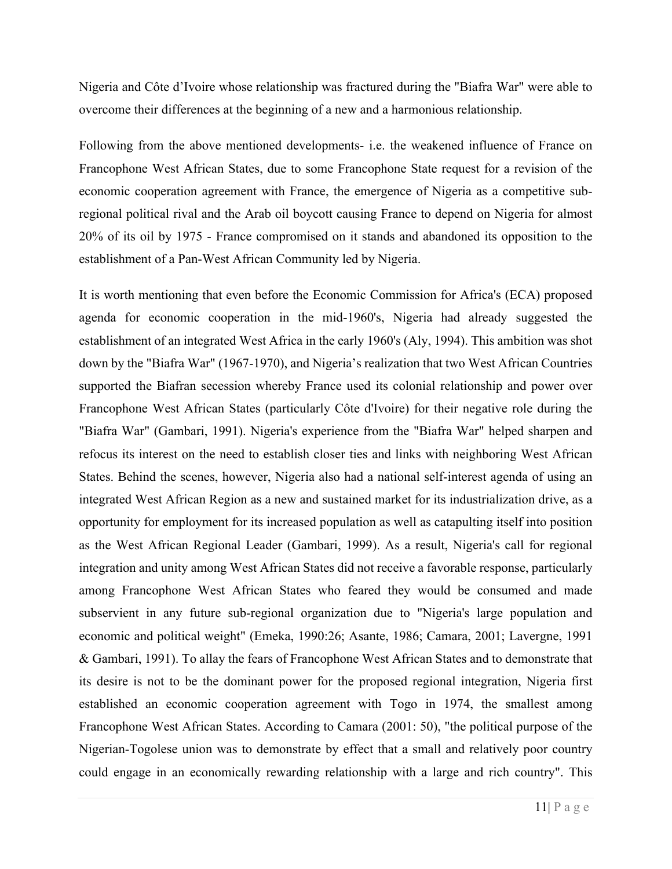Nigeria and Côte d'Ivoire whose relationship was fractured during the "Biafra War" were able to overcome their differences at the beginning of a new and a harmonious relationship.

Following from the above mentioned developments- i.e. the weakened influence of France on Francophone West African States, due to some Francophone State request for a revision of the economic cooperation agreement with France, the emergence of Nigeria as a competitive subregional political rival and the Arab oil boycott causing France to depend on Nigeria for almost 20% of its oil by 1975 - France compromised on it stands and abandoned its opposition to the establishment of a Pan-West African Community led by Nigeria.

It is worth mentioning that even before the Economic Commission for Africa's (ECA) proposed agenda for economic cooperation in the mid-1960's, Nigeria had already suggested the establishment of an integrated West Africa in the early 1960's (Aly, 1994). This ambition was shot down by the "Biafra War" (1967-1970), and Nigeria's realization that two West African Countries supported the Biafran secession whereby France used its colonial relationship and power over Francophone West African States (particularly Côte d'Ivoire) for their negative role during the "Biafra War" (Gambari, 1991). Nigeria's experience from the "Biafra War" helped sharpen and refocus its interest on the need to establish closer ties and links with neighboring West African States. Behind the scenes, however, Nigeria also had a national self-interest agenda of using an integrated West African Region as a new and sustained market for its industrialization drive, as a opportunity for employment for its increased population as well as catapulting itself into position as the West African Regional Leader (Gambari, 1999). As a result, Nigeria's call for regional integration and unity among West African States did not receive a favorable response, particularly among Francophone West African States who feared they would be consumed and made subservient in any future sub-regional organization due to "Nigeria's large population and economic and political weight" (Emeka, 1990:26; Asante, 1986; Camara, 2001; Lavergne, 1991 & Gambari, 1991). To allay the fears of Francophone West African States and to demonstrate that its desire is not to be the dominant power for the proposed regional integration, Nigeria first established an economic cooperation agreement with Togo in 1974, the smallest among Francophone West African States. According to Camara (2001: 50), "the political purpose of the Nigerian-Togolese union was to demonstrate by effect that a small and relatively poor country could engage in an economically rewarding relationship with a large and rich country". This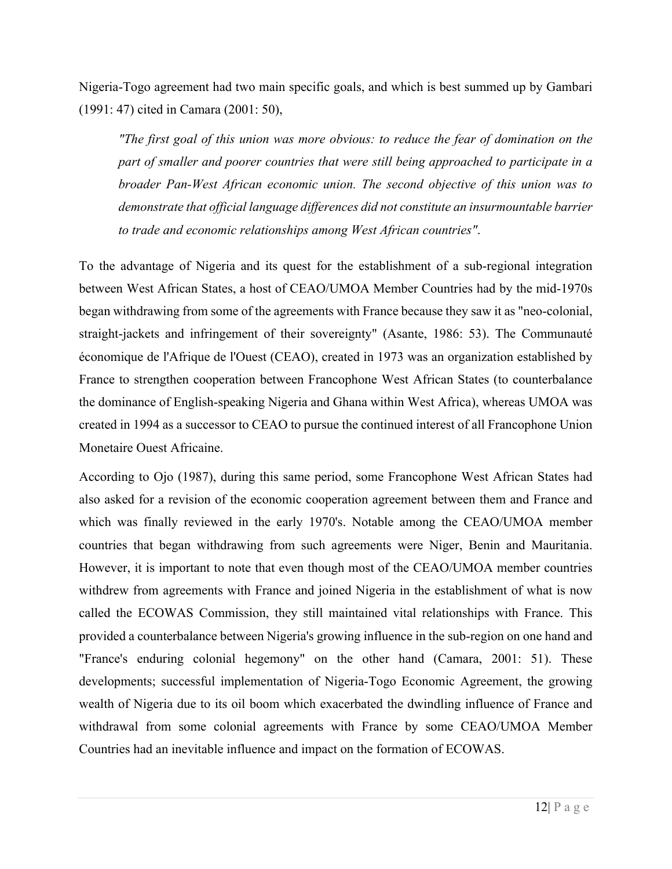Nigeria-Togo agreement had two main specific goals, and which is best summed up by Gambari (1991: 47) cited in Camara (2001: 50),

*"The first goal of this union was more obvious: to reduce the fear of domination on the part of smaller and poorer countries that were still being approached to participate in a broader Pan-West African economic union. The second objective of this union was to demonstrate that official language differences did not constitute an insurmountable barrier to trade and economic relationships among West African countries"*.

To the advantage of Nigeria and its quest for the establishment of a sub-regional integration between West African States, a host of CEAO/UMOA Member Countries had by the mid-1970s began withdrawing from some of the agreements with France because they saw it as "neo-colonial, straight-jackets and infringement of their sovereignty" (Asante, 1986: 53). The Communauté économique de l'Afrique de l'Ouest (CEAO), created in 1973 was an organization established by France to strengthen cooperation between Francophone West African States (to counterbalance the dominance of English-speaking Nigeria and Ghana within West Africa), whereas UMOA was created in 1994 as a successor to CEAO to pursue the continued interest of all Francophone Union Monetaire Ouest Africaine.

According to Ojo (1987), during this same period, some Francophone West African States had also asked for a revision of the economic cooperation agreement between them and France and which was finally reviewed in the early 1970's. Notable among the CEAO/UMOA member countries that began withdrawing from such agreements were Niger, Benin and Mauritania. However, it is important to note that even though most of the CEAO/UMOA member countries withdrew from agreements with France and joined Nigeria in the establishment of what is now called the ECOWAS Commission, they still maintained vital relationships with France. This provided a counterbalance between Nigeria's growing influence in the sub-region on one hand and "France's enduring colonial hegemony" on the other hand (Camara, 2001: 51). These developments; successful implementation of Nigeria-Togo Economic Agreement, the growing wealth of Nigeria due to its oil boom which exacerbated the dwindling influence of France and withdrawal from some colonial agreements with France by some CEAO/UMOA Member Countries had an inevitable influence and impact on the formation of ECOWAS.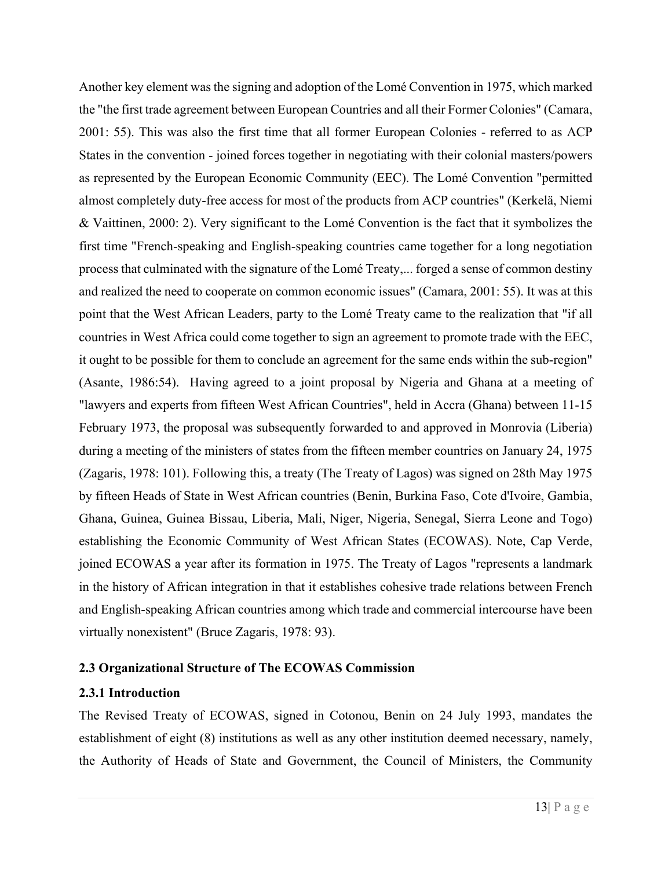Another key element was the signing and adoption of the Lomé Convention in 1975, which marked the "the first trade agreement between European Countries and all their Former Colonies" (Camara, 2001: 55). This was also the first time that all former European Colonies - referred to as ACP States in the convention - joined forces together in negotiating with their colonial masters/powers as represented by the European Economic Community (EEC). The Lomé Convention "permitted almost completely duty-free access for most of the products from ACP countries" (Kerkelä, Niemi & Vaittinen, 2000: 2). Very significant to the Lomé Convention is the fact that it symbolizes the first time "French-speaking and English-speaking countries came together for a long negotiation process that culminated with the signature of the Lomé Treaty,... forged a sense of common destiny and realized the need to cooperate on common economic issues" (Camara, 2001: 55). It was at this point that the West African Leaders, party to the Lomé Treaty came to the realization that "if all countries in West Africa could come together to sign an agreement to promote trade with the EEC, it ought to be possible for them to conclude an agreement for the same ends within the sub-region" (Asante, 1986:54).Having agreed to a joint proposal by Nigeria and Ghana at a meeting of "lawyers and experts from fifteen West African Countries", held in Accra (Ghana) between 11-15 February 1973, the proposal was subsequently forwarded to and approved in Monrovia (Liberia) during a meeting of the ministers of states from the fifteen member countries on January 24, 1975 (Zagaris, 1978: 101). Following this, a treaty (The Treaty of Lagos) was signed on 28th May 1975 by fifteen Heads of State in West African countries (Benin, Burkina Faso, Cote d'Ivoire, Gambia, Ghana, Guinea, Guinea Bissau, Liberia, Mali, Niger, Nigeria, Senegal, Sierra Leone and Togo) establishing the Economic Community of West African States (ECOWAS). Note, Cap Verde, joined ECOWAS a year after its formation in 1975. The Treaty of Lagos "represents a landmark in the history of African integration in that it establishes cohesive trade relations between French and English-speaking African countries among which trade and commercial intercourse have been virtually nonexistent" (Bruce Zagaris, 1978: 93).

# **2.3 Organizational Structure of The ECOWAS Commission**

#### **2.3.1 Introduction**

The Revised Treaty of ECOWAS, signed in Cotonou, Benin on 24 July 1993, mandates the establishment of eight (8) institutions as well as any other institution deemed necessary, namely, the Authority of Heads of State and Government, the Council of Ministers, the Community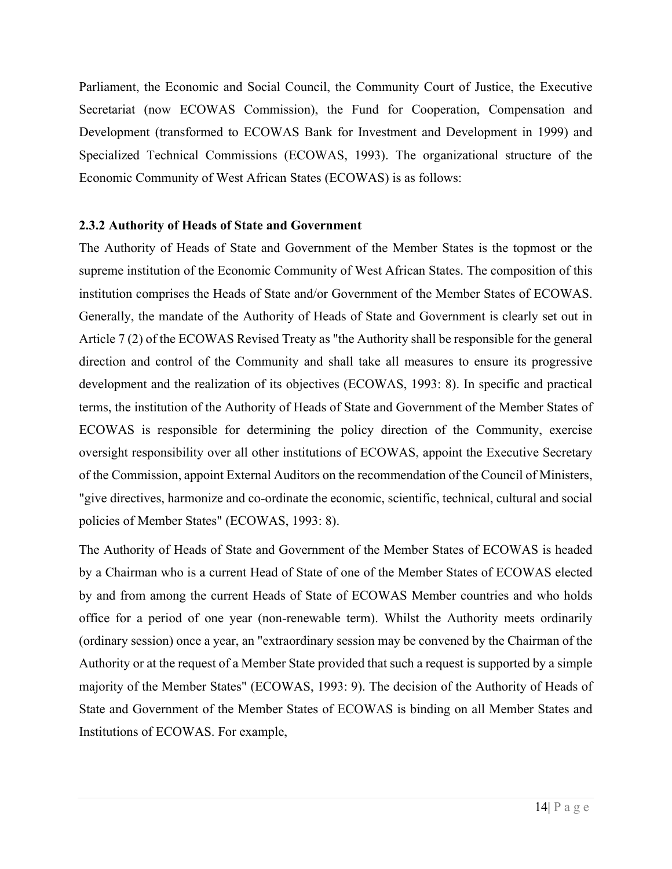Parliament, the Economic and Social Council, the Community Court of Justice, the Executive Secretariat (now ECOWAS Commission), the Fund for Cooperation, Compensation and Development (transformed to ECOWAS Bank for Investment and Development in 1999) and Specialized Technical Commissions (ECOWAS, 1993). The organizational structure of the Economic Community of West African States (ECOWAS) is as follows:

#### **2.3.2 Authority of Heads of State and Government**

The Authority of Heads of State and Government of the Member States is the topmost or the supreme institution of the Economic Community of West African States. The composition of this institution comprises the Heads of State and/or Government of the Member States of ECOWAS. Generally, the mandate of the Authority of Heads of State and Government is clearly set out in Article 7 (2) of the ECOWAS Revised Treaty as "the Authority shall be responsible for the general direction and control of the Community and shall take all measures to ensure its progressive development and the realization of its objectives (ECOWAS, 1993: 8). In specific and practical terms, the institution of the Authority of Heads of State and Government of the Member States of ECOWAS is responsible for determining the policy direction of the Community, exercise oversight responsibility over all other institutions of ECOWAS, appoint the Executive Secretary of the Commission, appoint External Auditors on the recommendation of the Council of Ministers, "give directives, harmonize and co-ordinate the economic, scientific, technical, cultural and social policies of Member States" (ECOWAS, 1993: 8).

The Authority of Heads of State and Government of the Member States of ECOWAS is headed by a Chairman who is a current Head of State of one of the Member States of ECOWAS elected by and from among the current Heads of State of ECOWAS Member countries and who holds office for a period of one year (non-renewable term). Whilst the Authority meets ordinarily (ordinary session) once a year, an "extraordinary session may be convened by the Chairman of the Authority or at the request of a Member State provided that such a request is supported by a simple majority of the Member States" (ECOWAS, 1993: 9). The decision of the Authority of Heads of State and Government of the Member States of ECOWAS is binding on all Member States and Institutions of ECOWAS. For example,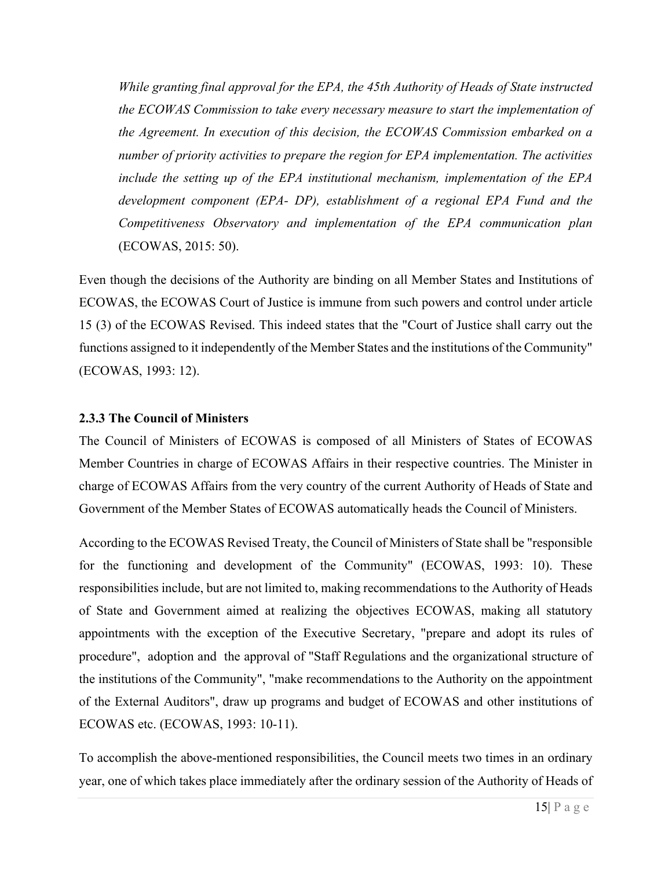*While granting final approval for the EPA, the 45th Authority of Heads of State instructed the ECOWAS Commission to take every necessary measure to start the implementation of the Agreement. In execution of this decision, the ECOWAS Commission embarked on a number of priority activities to prepare the region for EPA implementation. The activities include the setting up of the EPA institutional mechanism, implementation of the EPA development component (EPA- DP), establishment of a regional EPA Fund and the Competitiveness Observatory and implementation of the EPA communication plan*  (ECOWAS, 2015: 50).

Even though the decisions of the Authority are binding on all Member States and Institutions of ECOWAS, the ECOWAS Court of Justice is immune from such powers and control under article 15 (3) of the ECOWAS Revised. This indeed states that the "Court of Justice shall carry out the functions assigned to it independently of the Member States and the institutions of the Community" (ECOWAS, 1993: 12).

# **2.3.3 The Council of Ministers**

The Council of Ministers of ECOWAS is composed of all Ministers of States of ECOWAS Member Countries in charge of ECOWAS Affairs in their respective countries. The Minister in charge of ECOWAS Affairs from the very country of the current Authority of Heads of State and Government of the Member States of ECOWAS automatically heads the Council of Ministers.

According to the ECOWAS Revised Treaty, the Council of Ministers of State shall be "responsible for the functioning and development of the Community" (ECOWAS, 1993: 10). These responsibilities include, but are not limited to, making recommendations to the Authority of Heads of State and Government aimed at realizing the objectives ECOWAS, making all statutory appointments with the exception of the Executive Secretary, "prepare and adopt its rules of procedure", adoption and the approval of "Staff Regulations and the organizational structure of the institutions of the Community", "make recommendations to the Authority on the appointment of the External Auditors", draw up programs and budget of ECOWAS and other institutions of ECOWAS etc. (ECOWAS, 1993: 10-11).

To accomplish the above-mentioned responsibilities, the Council meets two times in an ordinary year, one of which takes place immediately after the ordinary session of the Authority of Heads of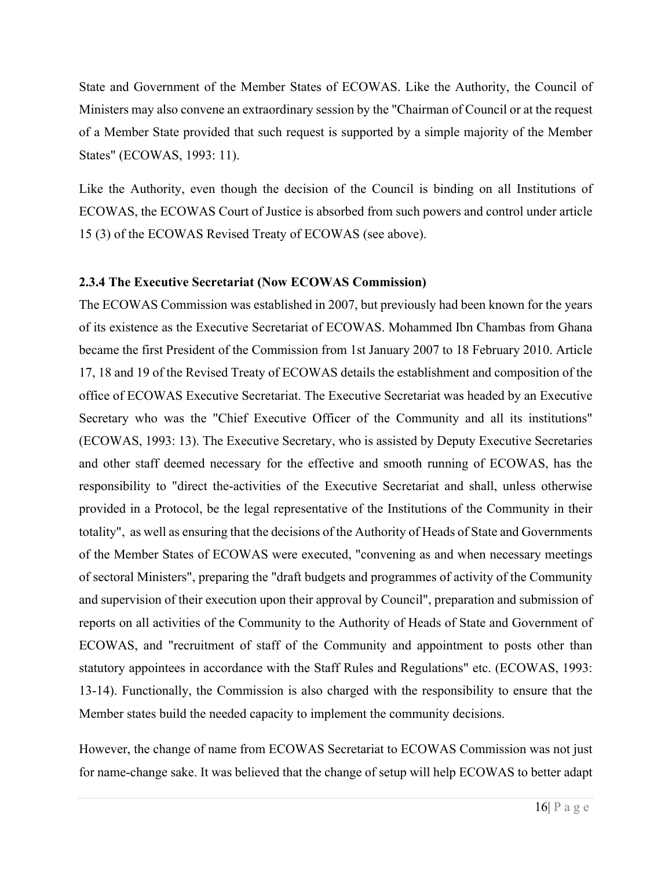State and Government of the Member States of ECOWAS. Like the Authority, the Council of Ministers may also convene an extraordinary session by the "Chairman of Council or at the request of a Member State provided that such request is supported by a simple majority of the Member States" (ECOWAS, 1993: 11).

Like the Authority, even though the decision of the Council is binding on all Institutions of ECOWAS, the ECOWAS Court of Justice is absorbed from such powers and control under article 15 (3) of the ECOWAS Revised Treaty of ECOWAS (see above).

#### **2.3.4 The Executive Secretariat (Now ECOWAS Commission)**

The ECOWAS Commission was established in 2007, but previously had been known for the years of its existence as the Executive Secretariat of ECOWAS. Mohammed Ibn Chambas from Ghana became the first President of the Commission from 1st January 2007 to 18 February 2010. Article 17, 18 and 19 of the Revised Treaty of ECOWAS details the establishment and composition of the office of ECOWAS Executive Secretariat. The Executive Secretariat was headed by an Executive Secretary who was the "Chief Executive Officer of the Community and all its institutions" (ECOWAS, 1993: 13). The Executive Secretary, who is assisted by Deputy Executive Secretaries and other staff deemed necessary for the effective and smooth running of ECOWAS, has the responsibility to "direct the-activities of the Executive Secretariat and shall, unless otherwise provided in a Protocol, be the legal representative of the Institutions of the Community in their totality", as well as ensuring that the decisions of the Authority of Heads of State and Governments of the Member States of ECOWAS were executed, "convening as and when necessary meetings of sectoral Ministers", preparing the "draft budgets and programmes of activity of the Community and supervision of their execution upon their approval by Council", preparation and submission of reports on all activities of the Community to the Authority of Heads of State and Government of ECOWAS, and "recruitment of staff of the Community and appointment to posts other than statutory appointees in accordance with the Staff Rules and Regulations" etc. (ECOWAS, 1993: 13-14). Functionally, the Commission is also charged with the responsibility to ensure that the Member states build the needed capacity to implement the community decisions.

However, the change of name from ECOWAS Secretariat to ECOWAS Commission was not just for name-change sake. It was believed that the change of setup will help ECOWAS to better adapt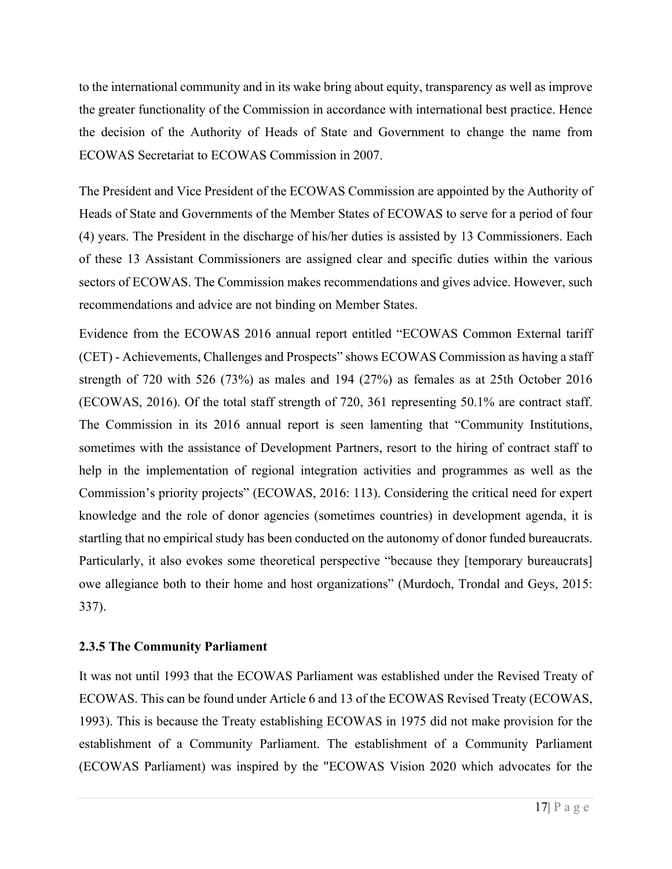to the international community and in its wake bring about equity, transparency as well as improve the greater functionality of the Commission in accordance with international best practice. Hence the decision of the Authority of Heads of State and Government to change the name from ECOWAS Secretariat to ECOWAS Commission in 2007.

The President and Vice President of the ECOWAS Commission are appointed by the Authority of Heads of State and Governments of the Member States of ECOWAS to serve for a period of four (4) years. The President in the discharge of his/her duties is assisted by 13 Commissioners. Each of these 13 Assistant Commissioners are assigned clear and specific duties within the various sectors of ECOWAS. The Commission makes recommendations and gives advice. However, such recommendations and advice are not binding on Member States.

Evidence from the ECOWAS 2016 annual report entitled "ECOWAS Common External tariff (CET) - Achievements, Challenges and Prospects" shows ECOWAS Commission as having a staff strength of 720 with 526 (73%) as males and 194 (27%) as females as at 25th October 2016 (ECOWAS, 2016). Of the total staff strength of 720, 361 representing 50.1% are contract staff. The Commission in its 2016 annual report is seen lamenting that "Community Institutions, sometimes with the assistance of Development Partners, resort to the hiring of contract staff to help in the implementation of regional integration activities and programmes as well as the Commission's priority projects" (ECOWAS, 2016: 113). Considering the critical need for expert knowledge and the role of donor agencies (sometimes countries) in development agenda, it is startling that no empirical study has been conducted on the autonomy of donor funded bureaucrats. Particularly, it also evokes some theoretical perspective "because they [temporary bureaucrats] owe allegiance both to their home and host organizations" (Murdoch, Trondal and Geys, 2015: 337).

# **2.3.5 The Community Parliament**

It was not until 1993 that the ECOWAS Parliament was established under the Revised Treaty of ECOWAS. This can be found under Article 6 and 13 of the ECOWAS Revised Treaty (ECOWAS, 1993). This is because the Treaty establishing ECOWAS in 1975 did not make provision for the establishment of a Community Parliament. The establishment of a Community Parliament (ECOWAS Parliament) was inspired by the "ECOWAS Vision 2020 which advocates for the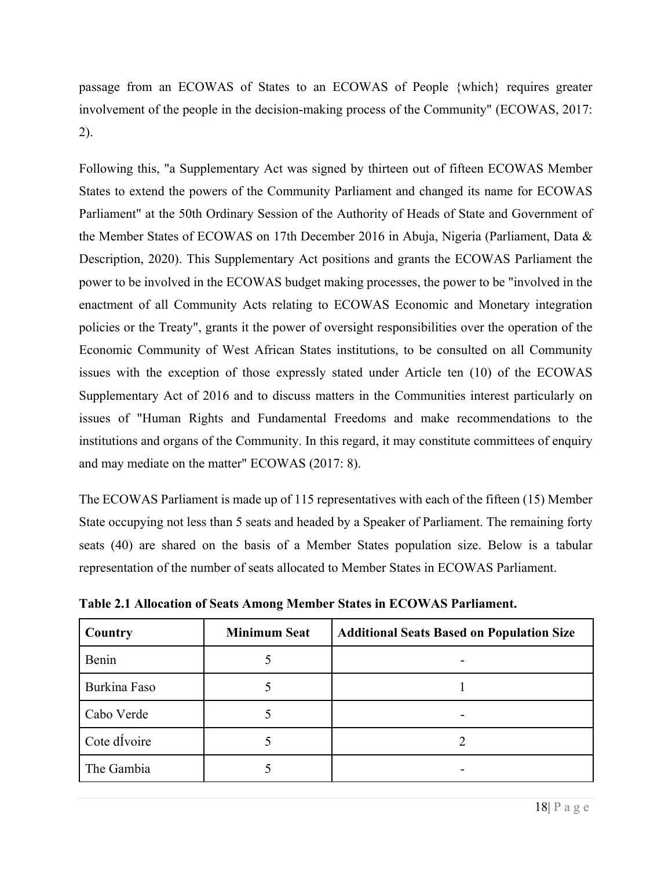passage from an ECOWAS of States to an ECOWAS of People {which} requires greater involvement of the people in the decision-making process of the Community" (ECOWAS, 2017: 2).

Following this, "a Supplementary Act was signed by thirteen out of fifteen ECOWAS Member States to extend the powers of the Community Parliament and changed its name for ECOWAS Parliament" at the 50th Ordinary Session of the Authority of Heads of State and Government of the Member States of ECOWAS on 17th December 2016 in Abuja, Nigeria (Parliament, Data & Description, 2020). This Supplementary Act positions and grants the ECOWAS Parliament the power to be involved in the ECOWAS budget making processes, the power to be "involved in the enactment of all Community Acts relating to ECOWAS Economic and Monetary integration policies or the Treaty", grants it the power of oversight responsibilities over the operation of the Economic Community of West African States institutions, to be consulted on all Community issues with the exception of those expressly stated under Article ten (10) of the ECOWAS Supplementary Act of 2016 and to discuss matters in the Communities interest particularly on issues of "Human Rights and Fundamental Freedoms and make recommendations to the institutions and organs of the Community. In this regard, it may constitute committees of enquiry and may mediate on the matter" ECOWAS (2017: 8).

The ECOWAS Parliament is made up of 115 representatives with each of the fifteen (15) Member State occupying not less than 5 seats and headed by a Speaker of Parliament. The remaining forty seats (40) are shared on the basis of a Member States population size. Below is a tabular representation of the number of seats allocated to Member States in ECOWAS Parliament.

| Country      | <b>Minimum Seat</b> | <b>Additional Seats Based on Population Size</b> |
|--------------|---------------------|--------------------------------------------------|
| Benin        |                     |                                                  |
| Burkina Faso |                     |                                                  |
| Cabo Verde   |                     |                                                  |
| Cote divoire |                     |                                                  |
| The Gambia   |                     |                                                  |

**Table 2.1 Allocation of Seats Among Member States in ECOWAS Parliament.**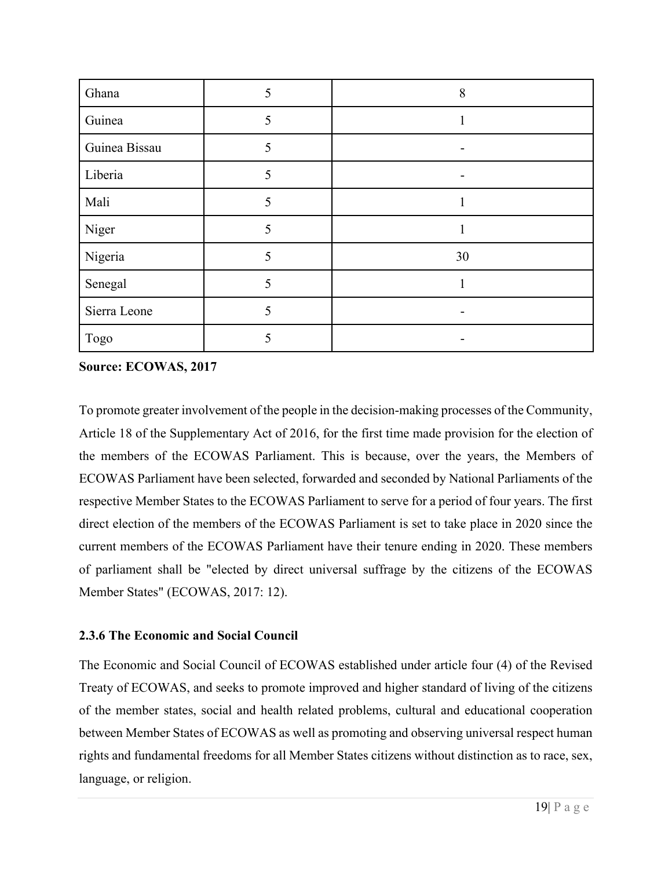| Ghana         | 5 | 8  |
|---------------|---|----|
| Guinea        | 5 |    |
| Guinea Bissau | 5 |    |
| Liberia       | 5 |    |
| Mali          | 5 |    |
| Niger         | 5 |    |
| Nigeria       | 5 | 30 |
| Senegal       | 5 |    |
| Sierra Leone  | 5 |    |
| Togo          | 5 |    |

**Source: ECOWAS, 2017**

To promote greater involvement of the people in the decision-making processes of the Community, Article 18 of the Supplementary Act of 2016, for the first time made provision for the election of the members of the ECOWAS Parliament. This is because, over the years, the Members of ECOWAS Parliament have been selected, forwarded and seconded by National Parliaments of the respective Member States to the ECOWAS Parliament to serve for a period of four years. The first direct election of the members of the ECOWAS Parliament is set to take place in 2020 since the current members of the ECOWAS Parliament have their tenure ending in 2020. These members of parliament shall be "elected by direct universal suffrage by the citizens of the ECOWAS Member States" (ECOWAS, 2017: 12).

# **2.3.6 The Economic and Social Council**

The Economic and Social Council of ECOWAS established under article four (4) of the Revised Treaty of ECOWAS, and seeks to promote improved and higher standard of living of the citizens of the member states, social and health related problems, cultural and educational cooperation between Member States of ECOWAS as well as promoting and observing universal respect human rights and fundamental freedoms for all Member States citizens without distinction as to race, sex, language, or religion.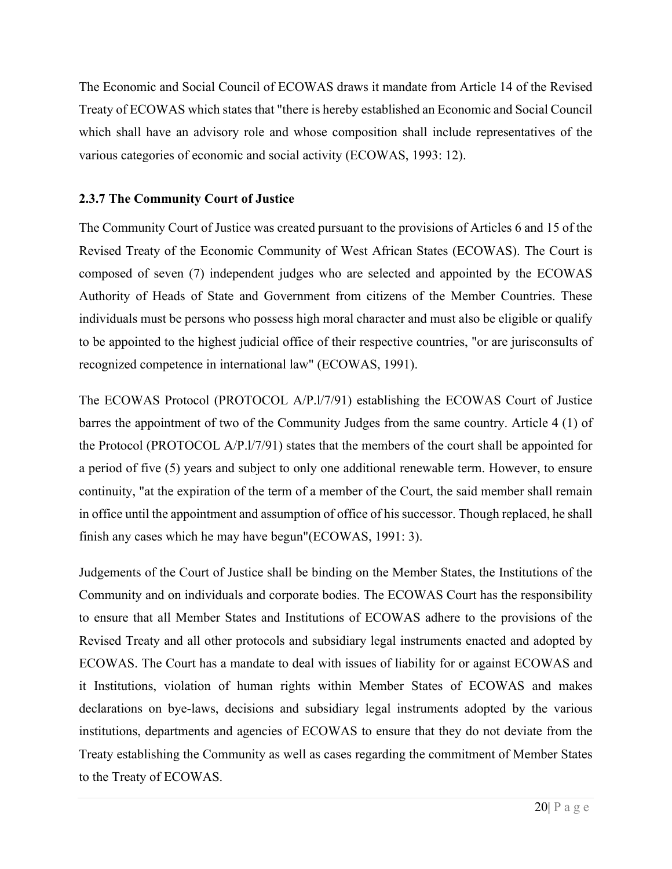The Economic and Social Council of ECOWAS draws it mandate from Article 14 of the Revised Treaty of ECOWAS which states that "there is hereby established an Economic and Social Council which shall have an advisory role and whose composition shall include representatives of the various categories of economic and social activity (ECOWAS, 1993: 12).

# **2.3.7 The Community Court of Justice**

The Community Court of Justice was created pursuant to the provisions of Articles 6 and 15 of the Revised Treaty of the Economic Community of West African States (ECOWAS). The Court is composed of seven (7) independent judges who are selected and appointed by the ECOWAS Authority of Heads of State and Government from citizens of the Member Countries. These individuals must be persons who possess high moral character and must also be eligible or qualify to be appointed to the highest judicial office of their respective countries, "or are jurisconsults of recognized competence in international law" (ECOWAS, 1991).

The ECOWAS Protocol (PROTOCOL A/P.l/7/91) establishing the ECOWAS Court of Justice barres the appointment of two of the Community Judges from the same country. Article 4 (1) of the Protocol (PROTOCOL A/P.l/7/91) states that the members of the court shall be appointed for a period of five (5) years and subject to only one additional renewable term. However, to ensure continuity, "at the expiration of the term of a member of the Court, the said member shall remain in office until the appointment and assumption of office of his successor. Though replaced, he shall finish any cases which he may have begun"(ECOWAS, 1991: 3).

Judgements of the Court of Justice shall be binding on the Member States, the Institutions of the Community and on individuals and corporate bodies. The ECOWAS Court has the responsibility to ensure that all Member States and Institutions of ECOWAS adhere to the provisions of the Revised Treaty and all other protocols and subsidiary legal instruments enacted and adopted by ECOWAS. The Court has a mandate to deal with issues of liability for or against ECOWAS and it Institutions, violation of human rights within Member States of ECOWAS and makes declarations on bye-laws, decisions and subsidiary legal instruments adopted by the various institutions, departments and agencies of ECOWAS to ensure that they do not deviate from the Treaty establishing the Community as well as cases regarding the commitment of Member States to the Treaty of ECOWAS.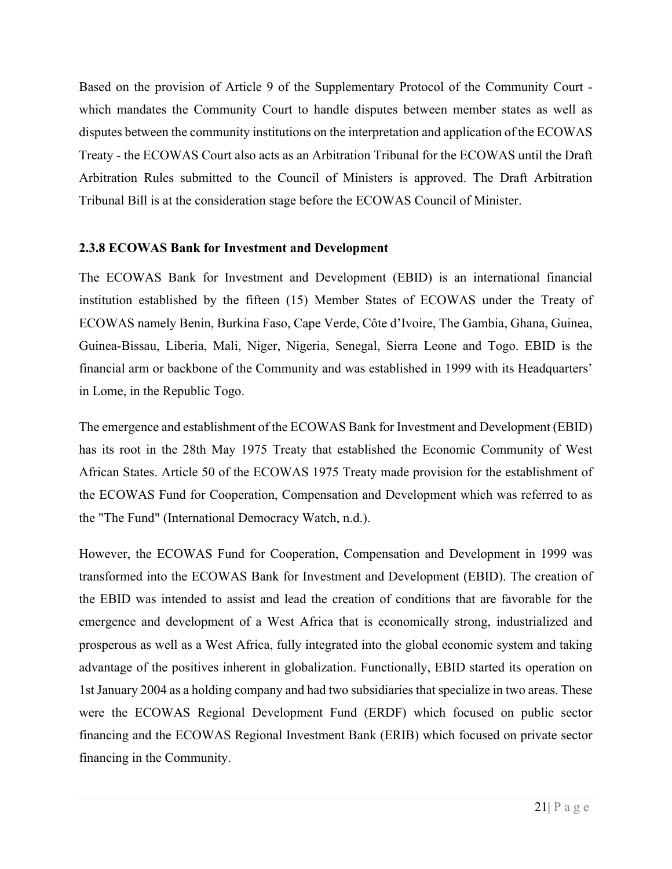Based on the provision of Article 9 of the Supplementary Protocol of the Community Court which mandates the Community Court to handle disputes between member states as well as disputes between the community institutions on the interpretation and application of the ECOWAS Treaty - the ECOWAS Court also acts as an Arbitration Tribunal for the ECOWAS until the Draft Arbitration Rules submitted to the Council of Ministers is approved. The Draft Arbitration Tribunal Bill is at the consideration stage before the ECOWAS Council of Minister.

# **2.3.8 ECOWAS Bank for Investment and Development**

The ECOWAS Bank for Investment and Development (EBID) is an international financial institution established by the fifteen (15) Member States of ECOWAS under the Treaty of ECOWAS namely Benin, Burkina Faso, Cape Verde, Côte d'Ivoire, The Gambia, Ghana, Guinea, Guinea-Bissau, Liberia, Mali, Niger, Nigeria, Senegal, Sierra Leone and Togo. EBID is the financial arm or backbone of the Community and was established in 1999 with its Headquarters' in Lome, in the Republic Togo.

The emergence and establishment of the ECOWAS Bank for Investment and Development (EBID) has its root in the 28th May 1975 Treaty that established the Economic Community of West African States. Article 50 of the ECOWAS 1975 Treaty made provision for the establishment of the ECOWAS Fund for Cooperation, Compensation and Development which was referred to as the "The Fund" (International Democracy Watch, n.d.).

However, the ECOWAS Fund for Cooperation, Compensation and Development in 1999 was transformed into the ECOWAS Bank for Investment and Development (EBID). The creation of the EBID was intended to assist and lead the creation of conditions that are favorable for the emergence and development of a West Africa that is economically strong, industrialized and prosperous as well as a West Africa, fully integrated into the global economic system and taking advantage of the positives inherent in globalization. Functionally, EBID started its operation on 1st January 2004 as a holding company and had two subsidiaries that specialize in two areas. These were the ECOWAS Regional Development Fund (ERDF) which focused on public sector financing and the ECOWAS Regional Investment Bank (ERIB) which focused on private sector financing in the Community.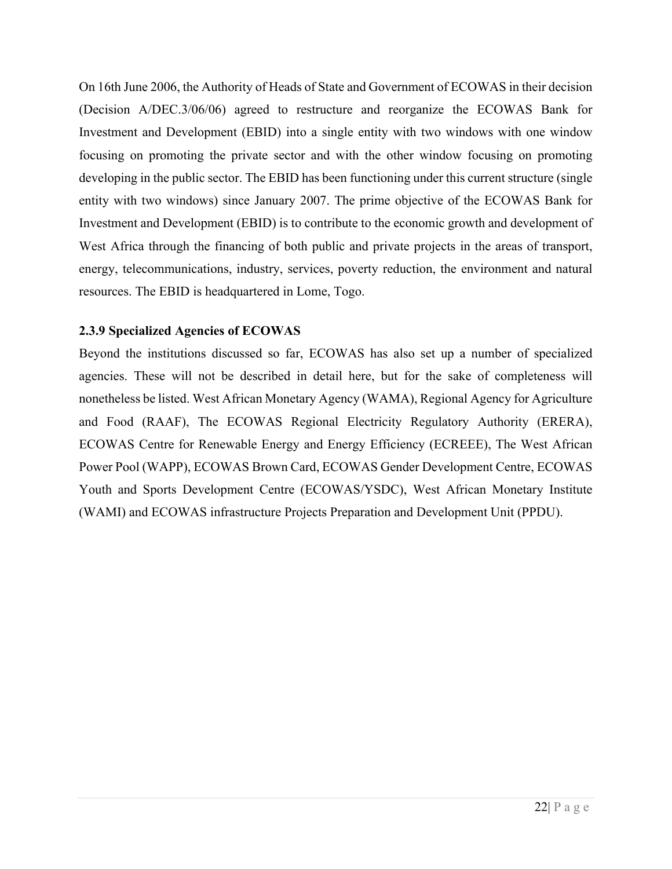On 16th June 2006, the Authority of Heads of State and Government of ECOWAS in their decision (Decision A/DEC.3/06/06) agreed to restructure and reorganize the ECOWAS Bank for Investment and Development (EBID) into a single entity with two windows with one window focusing on promoting the private sector and with the other window focusing on promoting developing in the public sector. The EBID has been functioning under this current structure (single entity with two windows) since January 2007. The prime objective of the ECOWAS Bank for Investment and Development (EBID) is to contribute to the economic growth and development of West Africa through the financing of both public and private projects in the areas of transport, energy, telecommunications, industry, services, poverty reduction, the environment and natural resources. The EBID is headquartered in Lome, Togo.

#### **2.3.9 Specialized Agencies of ECOWAS**

Beyond the institutions discussed so far, ECOWAS has also set up a number of specialized agencies. These will not be described in detail here, but for the sake of completeness will nonetheless be listed. West African Monetary Agency (WAMA), Regional Agency for Agriculture and Food (RAAF), The ECOWAS Regional Electricity Regulatory Authority (ERERA), ECOWAS Centre for Renewable Energy and Energy Efficiency (ECREEE), The West African Power Pool (WAPP), ECOWAS Brown Card, ECOWAS Gender Development Centre, ECOWAS Youth and Sports Development Centre (ECOWAS/YSDC), West African Monetary Institute (WAMI) and ECOWAS infrastructure Projects Preparation and Development Unit (PPDU).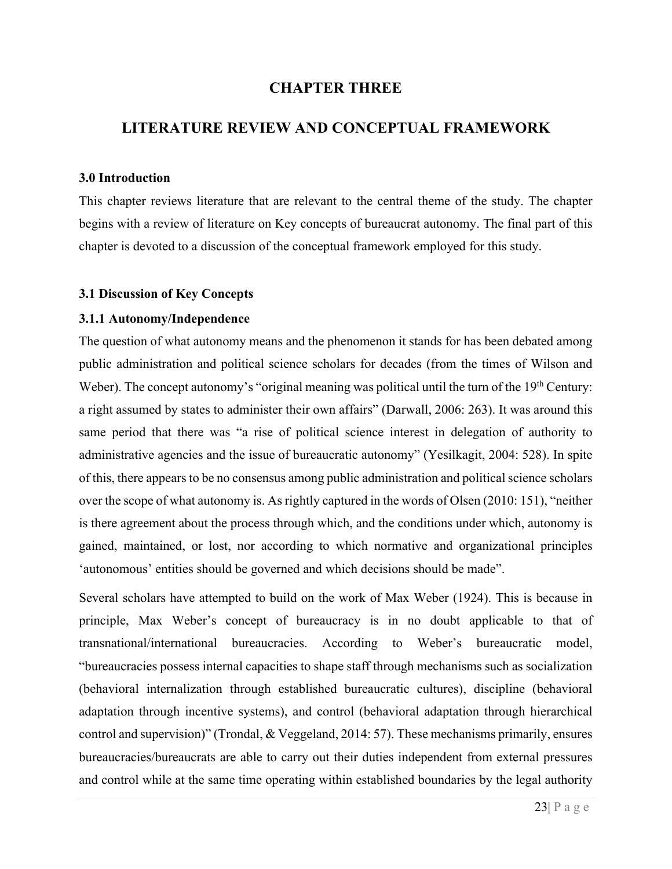# **CHAPTER THREE**

# **LITERATURE REVIEW AND CONCEPTUAL FRAMEWORK**

#### **3.0 Introduction**

This chapter reviews literature that are relevant to the central theme of the study. The chapter begins with a review of literature on Key concepts of bureaucrat autonomy. The final part of this chapter is devoted to a discussion of the conceptual framework employed for this study.

#### **3.1 Discussion of Key Concepts**

#### **3.1.1 Autonomy/Independence**

The question of what autonomy means and the phenomenon it stands for has been debated among public administration and political science scholars for decades (from the times of Wilson and Weber). The concept autonomy's "original meaning was political until the turn of the 19<sup>th</sup> Century: a right assumed by states to administer their own affairs" (Darwall, 2006: 263). It was around this same period that there was "a rise of political science interest in delegation of authority to administrative agencies and the issue of bureaucratic autonomy" (Yesilkagit, 2004: 528). In spite of this, there appears to be no consensus among public administration and political science scholars over the scope of what autonomy is. As rightly captured in the words of Olsen (2010: 151), "neither is there agreement about the process through which, and the conditions under which, autonomy is gained, maintained, or lost, nor according to which normative and organizational principles 'autonomous' entities should be governed and which decisions should be made".

Several scholars have attempted to build on the work of Max Weber (1924). This is because in principle, Max Weber's concept of bureaucracy is in no doubt applicable to that of transnational/international bureaucracies. According to Weber's bureaucratic model, "bureaucracies possess internal capacities to shape staff through mechanisms such as socialization (behavioral internalization through established bureaucratic cultures), discipline (behavioral adaptation through incentive systems), and control (behavioral adaptation through hierarchical control and supervision)" (Trondal, & Veggeland, 2014: 57). These mechanisms primarily, ensures bureaucracies/bureaucrats are able to carry out their duties independent from external pressures and control while at the same time operating within established boundaries by the legal authority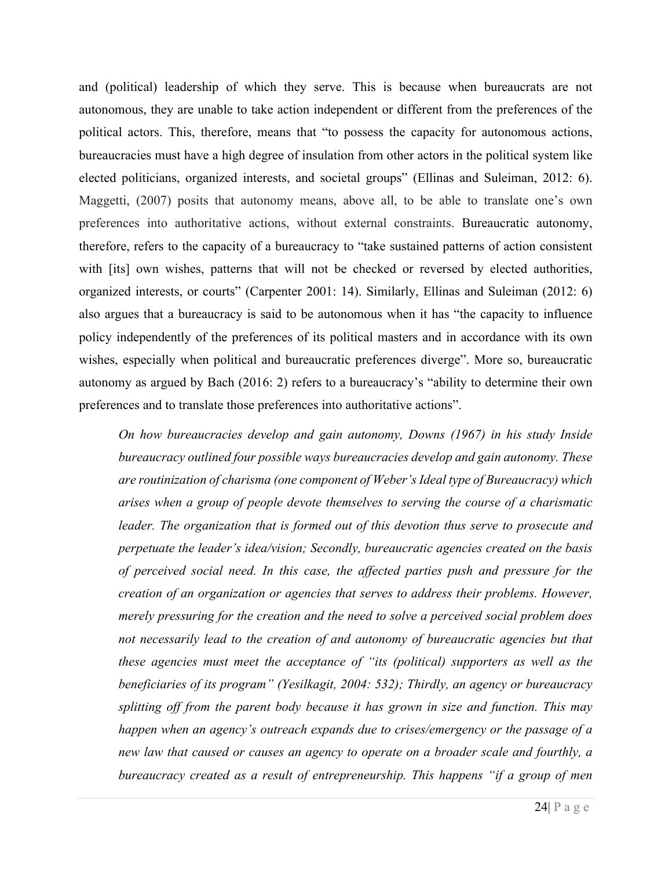and (political) leadership of which they serve. This is because when bureaucrats are not autonomous, they are unable to take action independent or different from the preferences of the political actors. This, therefore, means that "to possess the capacity for autonomous actions, bureaucracies must have a high degree of insulation from other actors in the political system like elected politicians, organized interests, and societal groups" (Ellinas and Suleiman, 2012: 6). Maggetti, (2007) posits that autonomy means, above all, to be able to translate one's own preferences into authoritative actions, without external constraints. Bureaucratic autonomy, therefore, refers to the capacity of a bureaucracy to "take sustained patterns of action consistent with [its] own wishes, patterns that will not be checked or reversed by elected authorities, organized interests, or courts" (Carpenter 2001: 14). Similarly, Ellinas and Suleiman (2012: 6) also argues that a bureaucracy is said to be autonomous when it has "the capacity to influence policy independently of the preferences of its political masters and in accordance with its own wishes, especially when political and bureaucratic preferences diverge". More so, bureaucratic autonomy as argued by Bach (2016: 2) refers to a bureaucracy's "ability to determine their own preferences and to translate those preferences into authoritative actions".

*On how bureaucracies develop and gain autonomy, Downs (1967) in his study Inside bureaucracy outlined four possible ways bureaucracies develop and gain autonomy. These are routinization of charisma (one component of Weber's Ideal type of Bureaucracy) which arises when a group of people devote themselves to serving the course of a charismatic leader. The organization that is formed out of this devotion thus serve to prosecute and perpetuate the leader's idea/vision; Secondly, bureaucratic agencies created on the basis of perceived social need. In this case, the affected parties push and pressure for the creation of an organization or agencies that serves to address their problems. However, merely pressuring for the creation and the need to solve a perceived social problem does not necessarily lead to the creation of and autonomy of bureaucratic agencies but that these agencies must meet the acceptance of "its (political) supporters as well as the beneficiaries of its program" (Yesilkagit, 2004: 532); Thirdly, an agency or bureaucracy splitting off from the parent body because it has grown in size and function. This may happen when an agency's outreach expands due to crises/emergency or the passage of a new law that caused or causes an agency to operate on a broader scale and fourthly, a bureaucracy created as a result of entrepreneurship. This happens "if a group of men*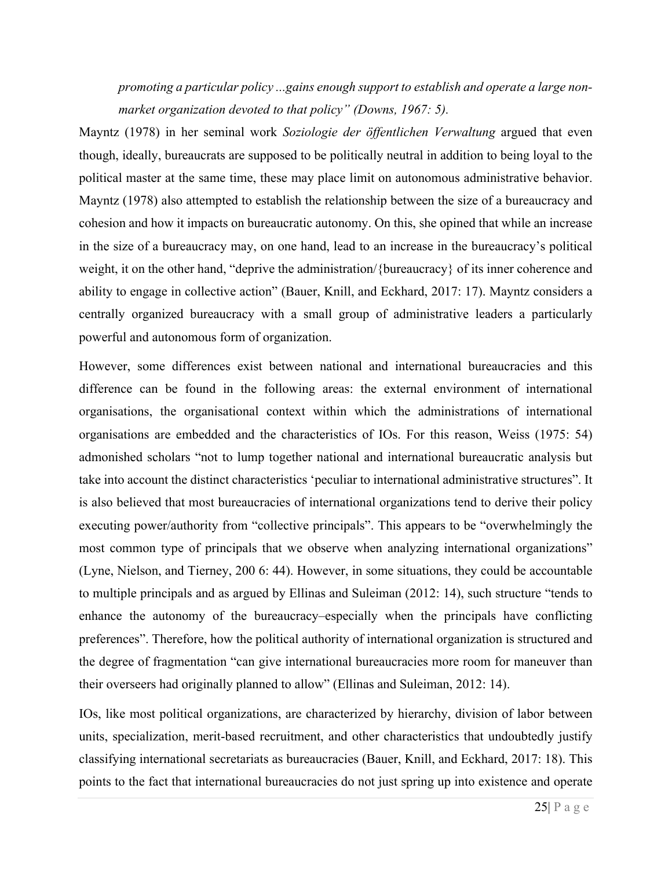*promoting a particular policy ...gains enough support to establish and operate a large nonmarket organization devoted to that policy" (Downs, 1967: 5).* 

Mayntz (1978) in her seminal work *Soziologie der öffentlichen Verwaltung* argued that even though, ideally, bureaucrats are supposed to be politically neutral in addition to being loyal to the political master at the same time, these may place limit on autonomous administrative behavior. Mayntz (1978) also attempted to establish the relationship between the size of a bureaucracy and cohesion and how it impacts on bureaucratic autonomy. On this, she opined that while an increase in the size of a bureaucracy may, on one hand, lead to an increase in the bureaucracy's political weight, it on the other hand, "deprive the administration/{bureaucracy} of its inner coherence and ability to engage in collective action" (Bauer, Knill, and Eckhard, 2017: 17). Mayntz considers a centrally organized bureaucracy with a small group of administrative leaders a particularly powerful and autonomous form of organization.

However, some differences exist between national and international bureaucracies and this difference can be found in the following areas: the external environment of international organisations, the organisational context within which the administrations of international organisations are embedded and the characteristics of IOs. For this reason, Weiss (1975: 54) admonished scholars "not to lump together national and international bureaucratic analysis but take into account the distinct characteristics 'peculiar to international administrative structures". It is also believed that most bureaucracies of international organizations tend to derive their policy executing power/authority from "collective principals". This appears to be "overwhelmingly the most common type of principals that we observe when analyzing international organizations" (Lyne, Nielson, and Tierney, 200 6: 44). However, in some situations, they could be accountable to multiple principals and as argued by Ellinas and Suleiman (2012: 14), such structure "tends to enhance the autonomy of the bureaucracy–especially when the principals have conflicting preferences". Therefore, how the political authority of international organization is structured and the degree of fragmentation "can give international bureaucracies more room for maneuver than their overseers had originally planned to allow" (Ellinas and Suleiman, 2012: 14).

IOs, like most political organizations, are characterized by hierarchy, division of labor between units, specialization, merit-based recruitment, and other characteristics that undoubtedly justify classifying international secretariats as bureaucracies (Bauer, Knill, and Eckhard, 2017: 18). This points to the fact that international bureaucracies do not just spring up into existence and operate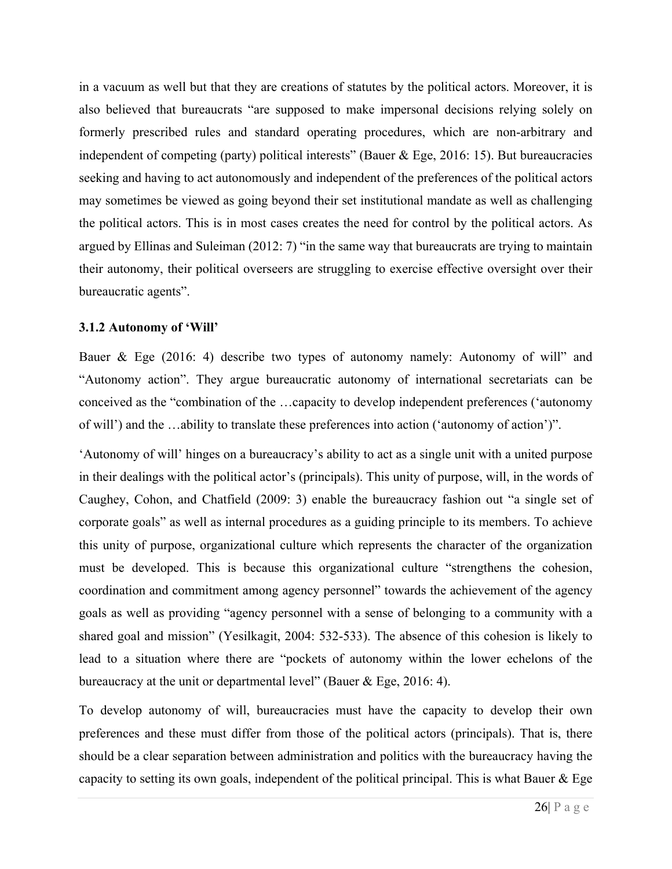in a vacuum as well but that they are creations of statutes by the political actors. Moreover, it is also believed that bureaucrats "are supposed to make impersonal decisions relying solely on formerly prescribed rules and standard operating procedures, which are non-arbitrary and independent of competing (party) political interests" (Bauer & Ege, 2016: 15). But bureaucracies seeking and having to act autonomously and independent of the preferences of the political actors may sometimes be viewed as going beyond their set institutional mandate as well as challenging the political actors. This is in most cases creates the need for control by the political actors. As argued by Ellinas and Suleiman (2012: 7) "in the same way that bureaucrats are trying to maintain their autonomy, their political overseers are struggling to exercise effective oversight over their bureaucratic agents".

### **3.1.2 Autonomy of 'Will'**

Bauer & Ege (2016: 4) describe two types of autonomy namely: Autonomy of will" and "Autonomy action". They argue bureaucratic autonomy of international secretariats can be conceived as the "combination of the …capacity to develop independent preferences ('autonomy of will') and the …ability to translate these preferences into action ('autonomy of action')".

'Autonomy of will' hinges on a bureaucracy's ability to act as a single unit with a united purpose in their dealings with the political actor's (principals). This unity of purpose, will, in the words of Caughey, Cohon, and Chatfield (2009: 3) enable the bureaucracy fashion out "a single set of corporate goals" as well as internal procedures as a guiding principle to its members. To achieve this unity of purpose, organizational culture which represents the character of the organization must be developed. This is because this organizational culture "strengthens the cohesion, coordination and commitment among agency personnel" towards the achievement of the agency goals as well as providing "agency personnel with a sense of belonging to a community with a shared goal and mission" (Yesilkagit, 2004: 532-533). The absence of this cohesion is likely to lead to a situation where there are "pockets of autonomy within the lower echelons of the bureaucracy at the unit or departmental level" (Bauer & Ege, 2016: 4).

To develop autonomy of will, bureaucracies must have the capacity to develop their own preferences and these must differ from those of the political actors (principals). That is, there should be a clear separation between administration and politics with the bureaucracy having the capacity to setting its own goals, independent of the political principal. This is what Bauer & Ege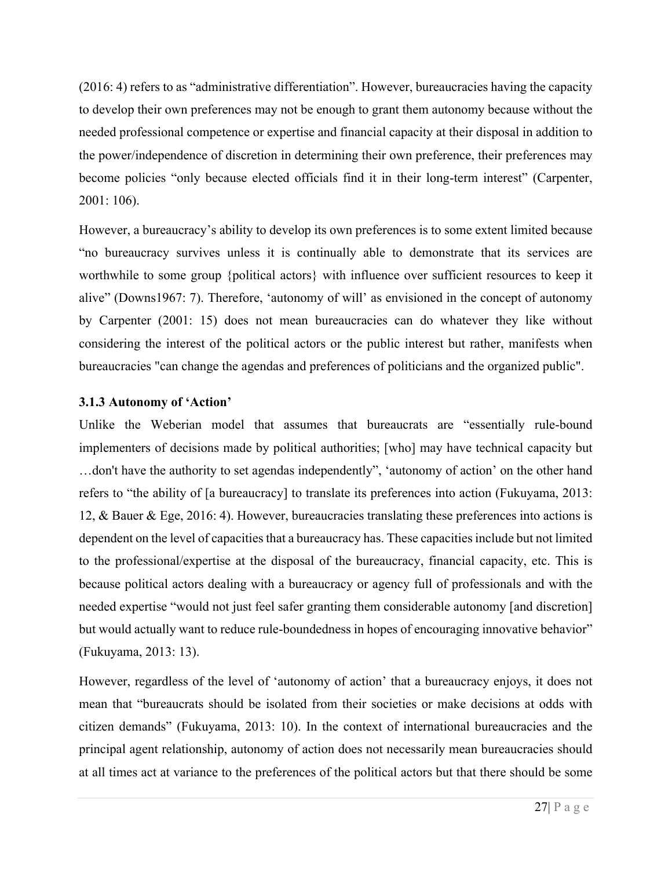(2016: 4) refers to as "administrative differentiation". However, bureaucracies having the capacity to develop their own preferences may not be enough to grant them autonomy because without the needed professional competence or expertise and financial capacity at their disposal in addition to the power/independence of discretion in determining their own preference, their preferences may become policies "only because elected officials find it in their long-term interest" (Carpenter, 2001: 106).

However, a bureaucracy's ability to develop its own preferences is to some extent limited because "no bureaucracy survives unless it is continually able to demonstrate that its services are worthwhile to some group {political actors} with influence over sufficient resources to keep it alive" (Downs1967: 7). Therefore, 'autonomy of will' as envisioned in the concept of autonomy by Carpenter (2001: 15) does not mean bureaucracies can do whatever they like without considering the interest of the political actors or the public interest but rather, manifests when bureaucracies "can change the agendas and preferences of politicians and the organized public".

# **3.1.3 Autonomy of 'Action'**

Unlike the Weberian model that assumes that bureaucrats are "essentially rule-bound implementers of decisions made by political authorities; [who] may have technical capacity but …don't have the authority to set agendas independently", 'autonomy of action' on the other hand refers to "the ability of [a bureaucracy] to translate its preferences into action (Fukuyama, 2013: 12, & Bauer & Ege, 2016: 4). However, bureaucracies translating these preferences into actions is dependent on the level of capacities that a bureaucracy has. These capacities include but not limited to the professional/expertise at the disposal of the bureaucracy, financial capacity, etc. This is because political actors dealing with a bureaucracy or agency full of professionals and with the needed expertise "would not just feel safer granting them considerable autonomy [and discretion] but would actually want to reduce rule-boundedness in hopes of encouraging innovative behavior" (Fukuyama, 2013: 13).

However, regardless of the level of 'autonomy of action' that a bureaucracy enjoys, it does not mean that "bureaucrats should be isolated from their societies or make decisions at odds with citizen demands" (Fukuyama, 2013: 10). In the context of international bureaucracies and the principal agent relationship, autonomy of action does not necessarily mean bureaucracies should at all times act at variance to the preferences of the political actors but that there should be some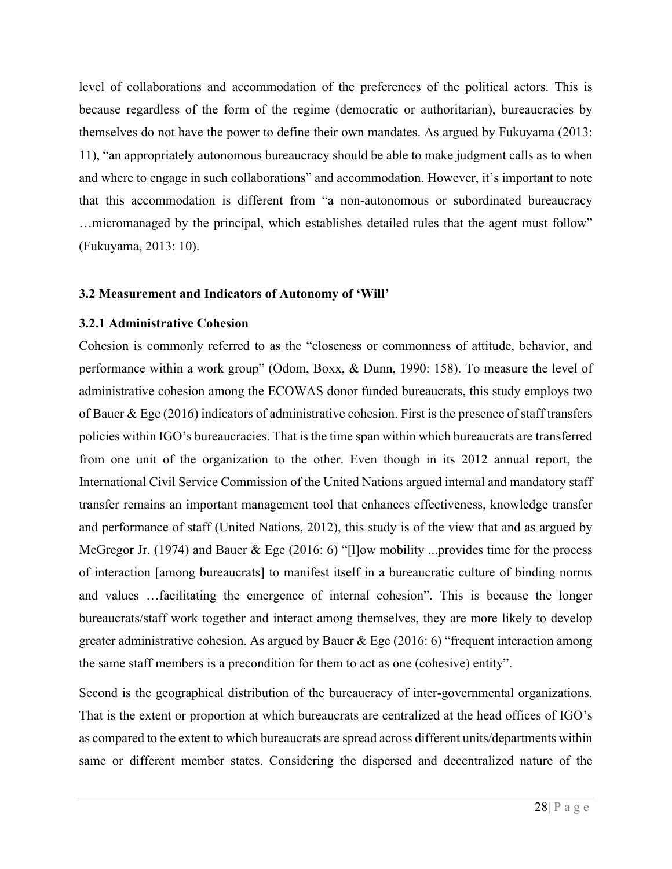level of collaborations and accommodation of the preferences of the political actors. This is because regardless of the form of the regime (democratic or authoritarian), bureaucracies by themselves do not have the power to define their own mandates. As argued by Fukuyama (2013: 11), "an appropriately autonomous bureaucracy should be able to make judgment calls as to when and where to engage in such collaborations" and accommodation. However, it's important to note that this accommodation is different from "a non-autonomous or subordinated bureaucracy …micromanaged by the principal, which establishes detailed rules that the agent must follow" (Fukuyama, 2013: 10).

#### **3.2 Measurement and Indicators of Autonomy of 'Will'**

#### **3.2.1 Administrative Cohesion**

Cohesion is commonly referred to as the "closeness or commonness of attitude, behavior, and performance within a work group" (Odom, Boxx, & Dunn, 1990: 158). To measure the level of administrative cohesion among the ECOWAS donor funded bureaucrats, this study employs two of Bauer & Ege (2016) indicators of administrative cohesion. First is the presence of staff transfers policies within IGO's bureaucracies. That is the time span within which bureaucrats are transferred from one unit of the organization to the other. Even though in its 2012 annual report, the International Civil Service Commission of the United Nations argued internal and mandatory staff transfer remains an important management tool that enhances effectiveness, knowledge transfer and performance of staff (United Nations, 2012), this study is of the view that and as argued by McGregor Jr. (1974) and Bauer & Ege (2016: 6) "[1] ow mobility ... provides time for the process of interaction [among bureaucrats] to manifest itself in a bureaucratic culture of binding norms and values …facilitating the emergence of internal cohesion". This is because the longer bureaucrats/staff work together and interact among themselves, they are more likely to develop greater administrative cohesion. As argued by Bauer & Ege (2016: 6) "frequent interaction among the same staff members is a precondition for them to act as one (cohesive) entity".

Second is the geographical distribution of the bureaucracy of inter-governmental organizations. That is the extent or proportion at which bureaucrats are centralized at the head offices of IGO's as compared to the extent to which bureaucrats are spread across different units/departments within same or different member states. Considering the dispersed and decentralized nature of the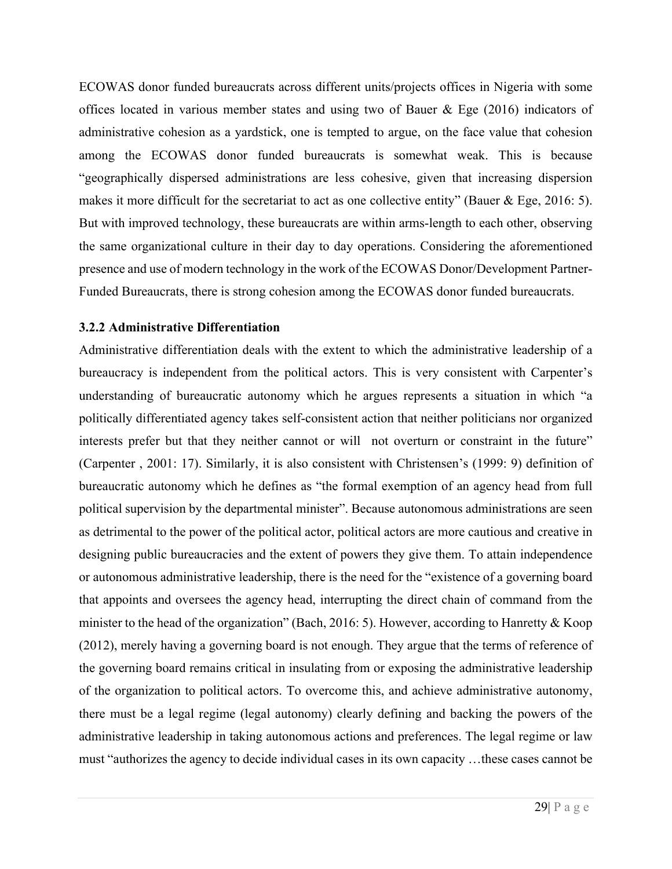ECOWAS donor funded bureaucrats across different units/projects offices in Nigeria with some offices located in various member states and using two of Bauer & Ege (2016) indicators of administrative cohesion as a yardstick, one is tempted to argue, on the face value that cohesion among the ECOWAS donor funded bureaucrats is somewhat weak. This is because "geographically dispersed administrations are less cohesive, given that increasing dispersion makes it more difficult for the secretariat to act as one collective entity" (Bauer & Ege, 2016: 5). But with improved technology, these bureaucrats are within arms-length to each other, observing the same organizational culture in their day to day operations. Considering the aforementioned presence and use of modern technology in the work of the ECOWAS Donor/Development Partner-Funded Bureaucrats, there is strong cohesion among the ECOWAS donor funded bureaucrats.

### **3.2.2 Administrative Differentiation**

Administrative differentiation deals with the extent to which the administrative leadership of a bureaucracy is independent from the political actors. This is very consistent with Carpenter's understanding of bureaucratic autonomy which he argues represents a situation in which "a politically differentiated agency takes self-consistent action that neither politicians nor organized interests prefer but that they neither cannot or will not overturn or constraint in the future" (Carpenter , 2001: 17). Similarly, it is also consistent with Christensen's (1999: 9) definition of bureaucratic autonomy which he defines as "the formal exemption of an agency head from full political supervision by the departmental minister". Because autonomous administrations are seen as detrimental to the power of the political actor, political actors are more cautious and creative in designing public bureaucracies and the extent of powers they give them. To attain independence or autonomous administrative leadership, there is the need for the "existence of a governing board that appoints and oversees the agency head, interrupting the direct chain of command from the minister to the head of the organization" (Bach, 2016: 5). However, according to Hanretty & Koop (2012), merely having a governing board is not enough. They argue that the terms of reference of the governing board remains critical in insulating from or exposing the administrative leadership of the organization to political actors. To overcome this, and achieve administrative autonomy, there must be a legal regime (legal autonomy) clearly defining and backing the powers of the administrative leadership in taking autonomous actions and preferences. The legal regime or law must "authorizes the agency to decide individual cases in its own capacity …these cases cannot be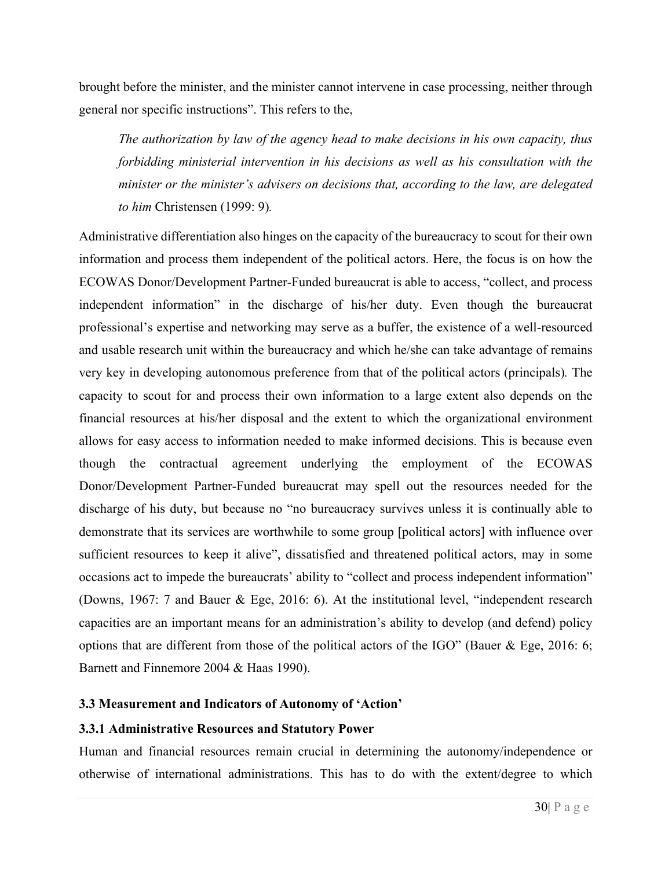brought before the minister, and the minister cannot intervene in case processing, neither through general nor specific instructions". This refers to the,

*The authorization by law of the agency head to make decisions in his own capacity, thus forbidding ministerial intervention in his decisions as well as his consultation with the minister or the minister's advisers on decisions that, according to the law, are delegated to him* Christensen (1999: 9)*.*

Administrative differentiation also hinges on the capacity of the bureaucracy to scout for their own information and process them independent of the political actors. Here, the focus is on how the ECOWAS Donor/Development Partner-Funded bureaucrat is able to access, "collect, and process independent information" in the discharge of his/her duty. Even though the bureaucrat professional's expertise and networking may serve as a buffer, the existence of a well-resourced and usable research unit within the bureaucracy and which he/she can take advantage of remains very key in developing autonomous preference from that of the political actors (principals)*.* The capacity to scout for and process their own information to a large extent also depends on the financial resources at his/her disposal and the extent to which the organizational environment allows for easy access to information needed to make informed decisions. This is because even though the contractual agreement underlying the employment of the ECOWAS Donor/Development Partner-Funded bureaucrat may spell out the resources needed for the discharge of his duty, but because no "no bureaucracy survives unless it is continually able to demonstrate that its services are worthwhile to some group [political actors] with influence over sufficient resources to keep it alive", dissatisfied and threatened political actors, may in some occasions act to impede the bureaucrats' ability to "collect and process independent information" (Downs, 1967: 7 and Bauer & Ege, 2016: 6). At the institutional level, "independent research capacities are an important means for an administration's ability to develop (and defend) policy options that are different from those of the political actors of the IGO" (Bauer & Ege, 2016: 6; Barnett and Finnemore 2004 & Haas 1990).

### **3.3 Measurement and Indicators of Autonomy of 'Action'**

#### **3.3.1 Administrative Resources and Statutory Power**

Human and financial resources remain crucial in determining the autonomy/independence or otherwise of international administrations. This has to do with the extent/degree to which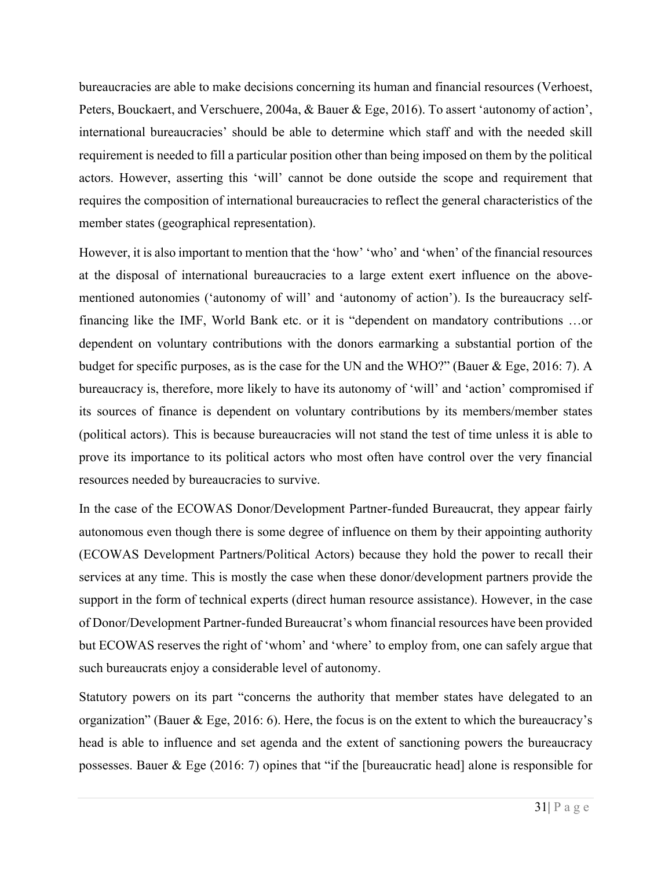bureaucracies are able to make decisions concerning its human and financial resources (Verhoest, Peters, Bouckaert, and Verschuere, 2004a, & Bauer & Ege, 2016). To assert 'autonomy of action', international bureaucracies' should be able to determine which staff and with the needed skill requirement is needed to fill a particular position other than being imposed on them by the political actors. However, asserting this 'will' cannot be done outside the scope and requirement that requires the composition of international bureaucracies to reflect the general characteristics of the member states (geographical representation).

However, it is also important to mention that the 'how' 'who' and 'when' of the financial resources at the disposal of international bureaucracies to a large extent exert influence on the abovementioned autonomies ('autonomy of will' and 'autonomy of action'). Is the bureaucracy selffinancing like the IMF, World Bank etc. or it is "dependent on mandatory contributions …or dependent on voluntary contributions with the donors earmarking a substantial portion of the budget for specific purposes, as is the case for the UN and the WHO?" (Bauer & Ege, 2016: 7). A bureaucracy is, therefore, more likely to have its autonomy of 'will' and 'action' compromised if its sources of finance is dependent on voluntary contributions by its members/member states (political actors). This is because bureaucracies will not stand the test of time unless it is able to prove its importance to its political actors who most often have control over the very financial resources needed by bureaucracies to survive.

In the case of the ECOWAS Donor/Development Partner-funded Bureaucrat, they appear fairly autonomous even though there is some degree of influence on them by their appointing authority (ECOWAS Development Partners/Political Actors) because they hold the power to recall their services at any time. This is mostly the case when these donor/development partners provide the support in the form of technical experts (direct human resource assistance). However, in the case of Donor/Development Partner-funded Bureaucrat's whom financial resources have been provided but ECOWAS reserves the right of 'whom' and 'where' to employ from, one can safely argue that such bureaucrats enjoy a considerable level of autonomy.

Statutory powers on its part "concerns the authority that member states have delegated to an organization" (Bauer & Ege, 2016: 6). Here, the focus is on the extent to which the bureaucracy's head is able to influence and set agenda and the extent of sanctioning powers the bureaucracy possesses. Bauer & Ege (2016: 7) opines that "if the [bureaucratic head] alone is responsible for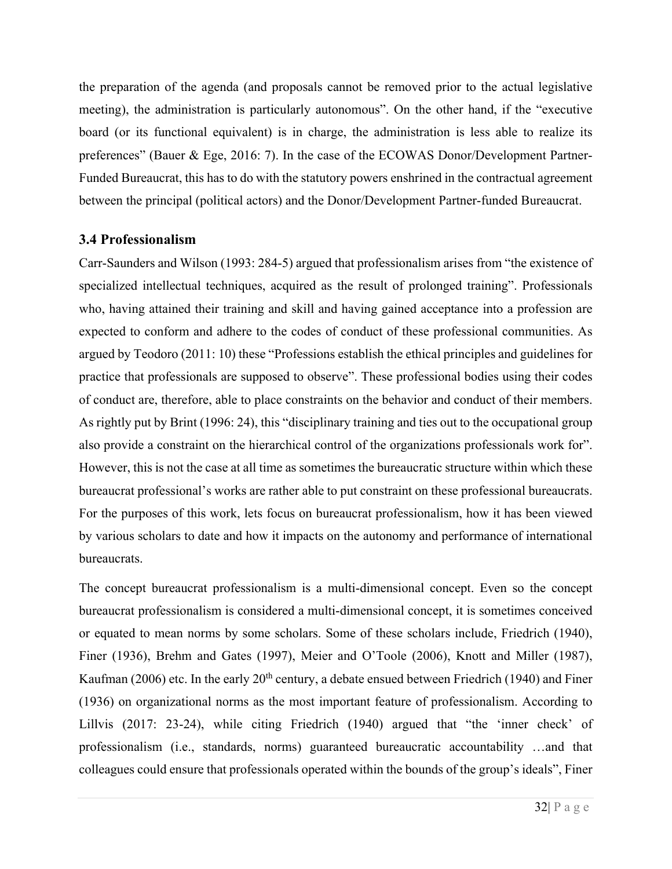the preparation of the agenda (and proposals cannot be removed prior to the actual legislative meeting), the administration is particularly autonomous". On the other hand, if the "executive board (or its functional equivalent) is in charge, the administration is less able to realize its preferences" (Bauer & Ege, 2016: 7). In the case of the ECOWAS Donor/Development Partner-Funded Bureaucrat, this has to do with the statutory powers enshrined in the contractual agreement between the principal (political actors) and the Donor/Development Partner-funded Bureaucrat.

# **3.4 Professionalism**

Carr-Saunders and Wilson (1993: 284-5) argued that professionalism arises from "the existence of specialized intellectual techniques, acquired as the result of prolonged training". Professionals who, having attained their training and skill and having gained acceptance into a profession are expected to conform and adhere to the codes of conduct of these professional communities. As argued by Teodoro (2011: 10) these "Professions establish the ethical principles and guidelines for practice that professionals are supposed to observe". These professional bodies using their codes of conduct are, therefore, able to place constraints on the behavior and conduct of their members. As rightly put by Brint (1996: 24), this "disciplinary training and ties out to the occupational group also provide a constraint on the hierarchical control of the organizations professionals work for". However, this is not the case at all time as sometimes the bureaucratic structure within which these bureaucrat professional's works are rather able to put constraint on these professional bureaucrats. For the purposes of this work, lets focus on bureaucrat professionalism, how it has been viewed by various scholars to date and how it impacts on the autonomy and performance of international bureaucrats.

The concept bureaucrat professionalism is a multi-dimensional concept. Even so the concept bureaucrat professionalism is considered a multi-dimensional concept, it is sometimes conceived or equated to mean norms by some scholars. Some of these scholars include, Friedrich (1940), Finer (1936), Brehm and Gates (1997), Meier and O'Toole (2006), Knott and Miller (1987), Kaufman (2006) etc. In the early  $20<sup>th</sup>$  century, a debate ensued between Friedrich (1940) and Finer (1936) on organizational norms as the most important feature of professionalism. According to Lillvis (2017: 23-24), while citing Friedrich (1940) argued that "the 'inner check' of professionalism (i.e., standards, norms) guaranteed bureaucratic accountability …and that colleagues could ensure that professionals operated within the bounds of the group's ideals", Finer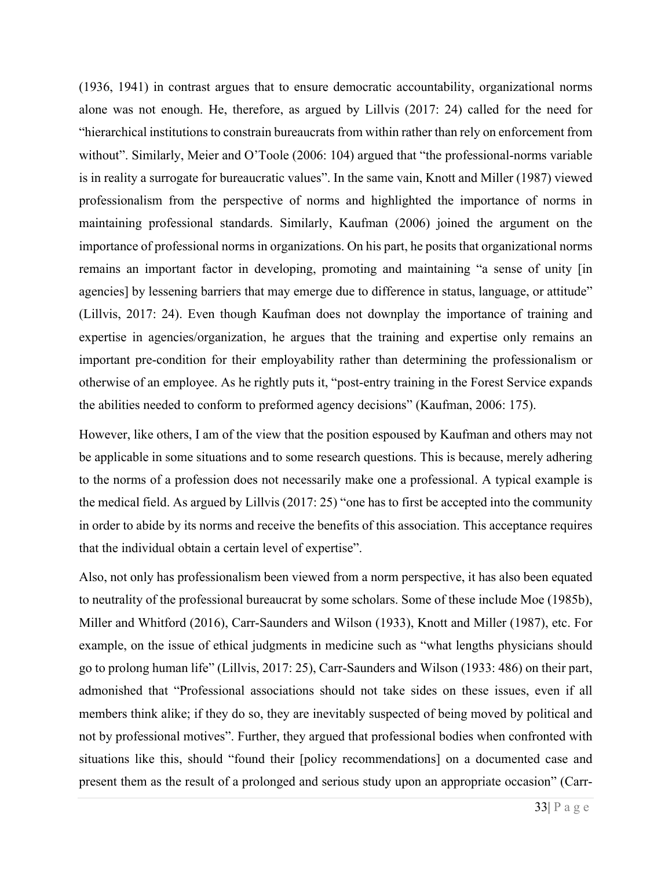(1936, 1941) in contrast argues that to ensure democratic accountability, organizational norms alone was not enough. He, therefore, as argued by Lillvis (2017: 24) called for the need for "hierarchical institutions to constrain bureaucrats from within rather than rely on enforcement from without". Similarly, Meier and O'Toole (2006: 104) argued that "the professional-norms variable is in reality a surrogate for bureaucratic values". In the same vain, Knott and Miller (1987) viewed professionalism from the perspective of norms and highlighted the importance of norms in maintaining professional standards. Similarly, Kaufman (2006) joined the argument on the importance of professional norms in organizations. On his part, he posits that organizational norms remains an important factor in developing, promoting and maintaining "a sense of unity [in agencies] by lessening barriers that may emerge due to difference in status, language, or attitude" (Lillvis, 2017: 24). Even though Kaufman does not downplay the importance of training and expertise in agencies/organization, he argues that the training and expertise only remains an important pre-condition for their employability rather than determining the professionalism or otherwise of an employee. As he rightly puts it, "post-entry training in the Forest Service expands the abilities needed to conform to preformed agency decisions" (Kaufman, 2006: 175).

However, like others, I am of the view that the position espoused by Kaufman and others may not be applicable in some situations and to some research questions. This is because, merely adhering to the norms of a profession does not necessarily make one a professional. A typical example is the medical field. As argued by Lillvis (2017: 25) "one has to first be accepted into the community in order to abide by its norms and receive the benefits of this association. This acceptance requires that the individual obtain a certain level of expertise".

Also, not only has professionalism been viewed from a norm perspective, it has also been equated to neutrality of the professional bureaucrat by some scholars. Some of these include Moe (1985b), Miller and Whitford (2016), Carr-Saunders and Wilson (1933), Knott and Miller (1987), etc. For example, on the issue of ethical judgments in medicine such as "what lengths physicians should go to prolong human life" (Lillvis, 2017: 25), Carr-Saunders and Wilson (1933: 486) on their part, admonished that "Professional associations should not take sides on these issues, even if all members think alike; if they do so, they are inevitably suspected of being moved by political and not by professional motives". Further, they argued that professional bodies when confronted with situations like this, should "found their [policy recommendations] on a documented case and present them as the result of a prolonged and serious study upon an appropriate occasion" (Carr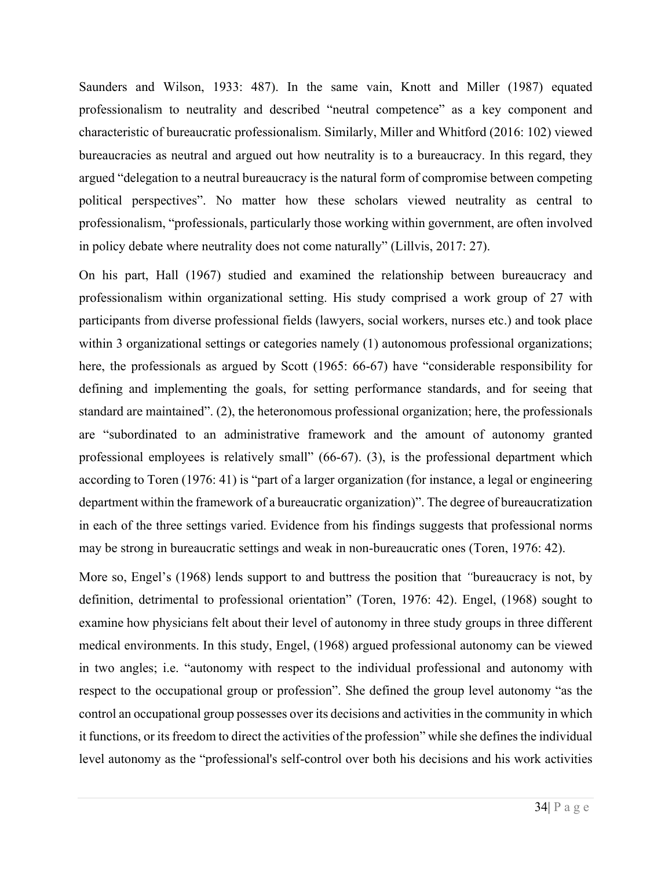Saunders and Wilson, 1933: 487). In the same vain, Knott and Miller (1987) equated professionalism to neutrality and described "neutral competence" as a key component and characteristic of bureaucratic professionalism. Similarly, Miller and Whitford (2016: 102) viewed bureaucracies as neutral and argued out how neutrality is to a bureaucracy. In this regard, they argued "delegation to a neutral bureaucracy is the natural form of compromise between competing political perspectives". No matter how these scholars viewed neutrality as central to professionalism, "professionals, particularly those working within government, are often involved in policy debate where neutrality does not come naturally" (Lillvis, 2017: 27).

On his part, Hall (1967) studied and examined the relationship between bureaucracy and professionalism within organizational setting. His study comprised a work group of 27 with participants from diverse professional fields (lawyers, social workers, nurses etc.) and took place within 3 organizational settings or categories namely (1) autonomous professional organizations; here, the professionals as argued by Scott (1965: 66-67) have "considerable responsibility for defining and implementing the goals, for setting performance standards, and for seeing that standard are maintained". (2), the heteronomous professional organization; here, the professionals are "subordinated to an administrative framework and the amount of autonomy granted professional employees is relatively small" (66-67). (3), is the professional department which according to Toren (1976: 41) is "part of a larger organization (for instance, a legal or engineering department within the framework of a bureaucratic organization)". The degree of bureaucratization in each of the three settings varied. Evidence from his findings suggests that professional norms may be strong in bureaucratic settings and weak in non-bureaucratic ones (Toren, 1976: 42).

More so, Engel's (1968) lends support to and buttress the position that *"*bureaucracy is not, by definition, detrimental to professional orientation" (Toren, 1976: 42). Engel, (1968) sought to examine how physicians felt about their level of autonomy in three study groups in three different medical environments. In this study, Engel, (1968) argued professional autonomy can be viewed in two angles; i.e. "autonomy with respect to the individual professional and autonomy with respect to the occupational group or profession". She defined the group level autonomy "as the control an occupational group possesses over its decisions and activities in the community in which it functions, or its freedom to direct the activities of the profession" while she defines the individual level autonomy as the "professional's self-control over both his decisions and his work activities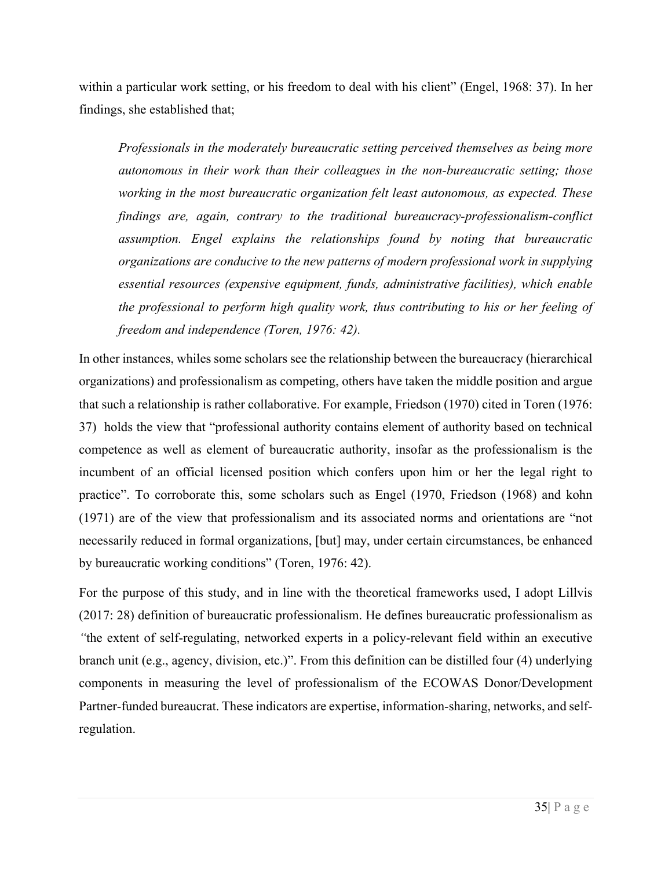within a particular work setting, or his freedom to deal with his client" (Engel, 1968: 37). In her findings, she established that;

*Professionals in the moderately bureaucratic setting perceived themselves as being more autonomous in their work than their colleagues in the non-bureaucratic setting; those working in the most bureaucratic organization felt least autonomous, as expected. These findings are, again, contrary to the traditional bureaucracy-professionalism-conflict assumption. Engel explains the relationships found by noting that bureaucratic organizations are conducive to the new patterns of modern professional work in supplying essential resources (expensive equipment, funds, administrative facilities), which enable the professional to perform high quality work, thus contributing to his or her feeling of freedom and independence (Toren, 1976: 42).*

In other instances, whiles some scholars see the relationship between the bureaucracy (hierarchical organizations) and professionalism as competing, others have taken the middle position and argue that such a relationship is rather collaborative. For example, Friedson (1970) cited in Toren (1976: 37) holds the view that "professional authority contains element of authority based on technical competence as well as element of bureaucratic authority, insofar as the professionalism is the incumbent of an official licensed position which confers upon him or her the legal right to practice". To corroborate this, some scholars such as Engel (1970, Friedson (1968) and kohn (1971) are of the view that professionalism and its associated norms and orientations are "not necessarily reduced in formal organizations, [but] may, under certain circumstances, be enhanced by bureaucratic working conditions" (Toren, 1976: 42).

For the purpose of this study, and in line with the theoretical frameworks used, I adopt Lillvis (2017: 28) definition of bureaucratic professionalism. He defines bureaucratic professionalism as *"*the extent of self-regulating, networked experts in a policy-relevant field within an executive branch unit (e.g., agency, division, etc.)". From this definition can be distilled four (4) underlying components in measuring the level of professionalism of the ECOWAS Donor/Development Partner-funded bureaucrat. These indicators are expertise, information-sharing, networks, and selfregulation.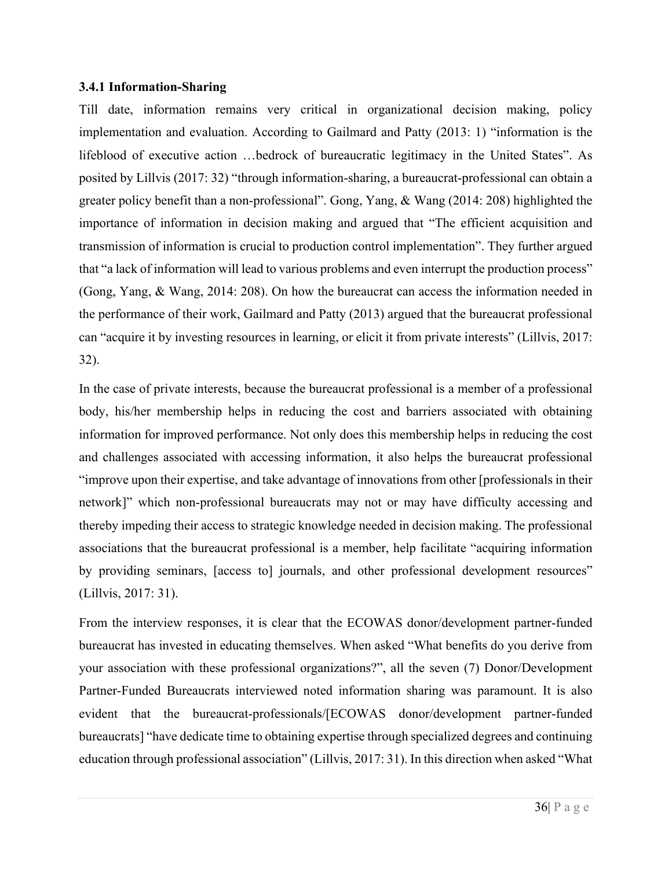#### **3.4.1 Information-Sharing**

Till date, information remains very critical in organizational decision making, policy implementation and evaluation. According to Gailmard and Patty (2013: 1) "information is the lifeblood of executive action …bedrock of bureaucratic legitimacy in the United States". As posited by Lillvis (2017: 32) "through information-sharing, a bureaucrat-professional can obtain a greater policy benefit than a non-professional". Gong, Yang, & Wang (2014: 208) highlighted the importance of information in decision making and argued that "The efficient acquisition and transmission of information is crucial to production control implementation". They further argued that "a lack of information will lead to various problems and even interrupt the production process" (Gong, Yang, & Wang, 2014: 208). On how the bureaucrat can access the information needed in the performance of their work, Gailmard and Patty (2013) argued that the bureaucrat professional can "acquire it by investing resources in learning, or elicit it from private interests" (Lillvis, 2017: 32).

In the case of private interests, because the bureaucrat professional is a member of a professional body, his/her membership helps in reducing the cost and barriers associated with obtaining information for improved performance. Not only does this membership helps in reducing the cost and challenges associated with accessing information, it also helps the bureaucrat professional "improve upon their expertise, and take advantage of innovations from other [professionals in their network]" which non-professional bureaucrats may not or may have difficulty accessing and thereby impeding their access to strategic knowledge needed in decision making. The professional associations that the bureaucrat professional is a member, help facilitate "acquiring information by providing seminars, [access to] journals, and other professional development resources" (Lillvis, 2017: 31).

From the interview responses, it is clear that the ECOWAS donor/development partner-funded bureaucrat has invested in educating themselves. When asked "What benefits do you derive from your association with these professional organizations?", all the seven (7) Donor/Development Partner-Funded Bureaucrats interviewed noted information sharing was paramount. It is also evident that the bureaucrat-professionals/[ECOWAS donor/development partner-funded bureaucrats] "have dedicate time to obtaining expertise through specialized degrees and continuing education through professional association" (Lillvis, 2017: 31). In this direction when asked "What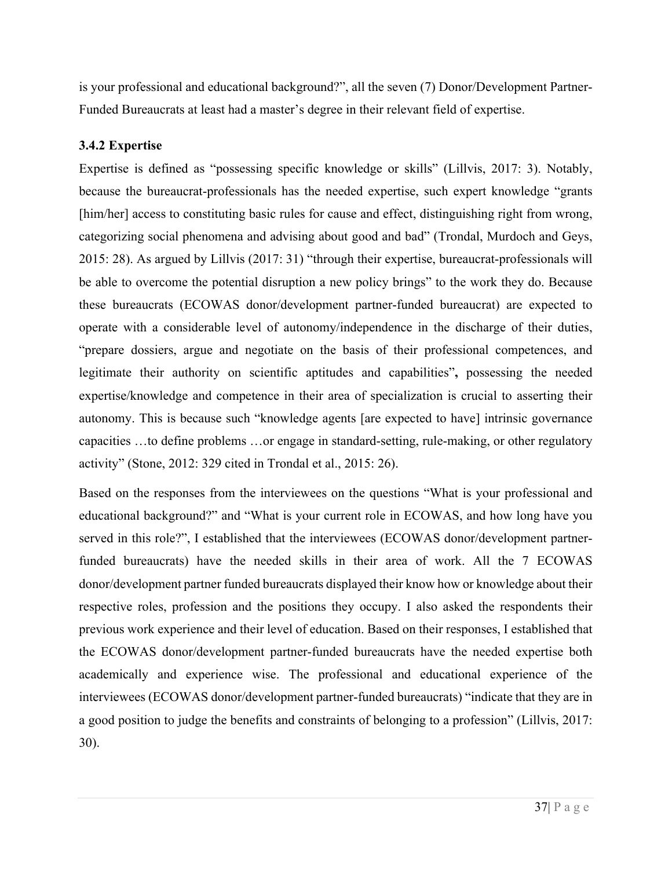is your professional and educational background?", all the seven (7) Donor/Development Partner-Funded Bureaucrats at least had a master's degree in their relevant field of expertise.

# **3.4.2 Expertise**

Expertise is defined as "possessing specific knowledge or skills" (Lillvis, 2017: 3). Notably, because the bureaucrat-professionals has the needed expertise, such expert knowledge "grants [him/her] access to constituting basic rules for cause and effect, distinguishing right from wrong, categorizing social phenomena and advising about good and bad" (Trondal, Murdoch and Geys, 2015: 28). As argued by Lillvis (2017: 31) "through their expertise, bureaucrat-professionals will be able to overcome the potential disruption a new policy brings" to the work they do. Because these bureaucrats (ECOWAS donor/development partner-funded bureaucrat) are expected to operate with a considerable level of autonomy/independence in the discharge of their duties, "prepare dossiers, argue and negotiate on the basis of their professional competences, and legitimate their authority on scientific aptitudes and capabilities"**,** possessing the needed expertise/knowledge and competence in their area of specialization is crucial to asserting their autonomy. This is because such "knowledge agents [are expected to have] intrinsic governance capacities …to define problems …or engage in standard-setting, rule-making, or other regulatory activity" (Stone, 2012: 329 cited in Trondal et al., 2015: 26).

Based on the responses from the interviewees on the questions "What is your professional and educational background?" and "What is your current role in ECOWAS, and how long have you served in this role?", I established that the interviewees (ECOWAS donor/development partnerfunded bureaucrats) have the needed skills in their area of work. All the 7 ECOWAS donor/development partner funded bureaucrats displayed their know how or knowledge about their respective roles, profession and the positions they occupy. I also asked the respondents their previous work experience and their level of education. Based on their responses, I established that the ECOWAS donor/development partner-funded bureaucrats have the needed expertise both academically and experience wise. The professional and educational experience of the interviewees (ECOWAS donor/development partner-funded bureaucrats) "indicate that they are in a good position to judge the benefits and constraints of belonging to a profession" (Lillvis, 2017: 30).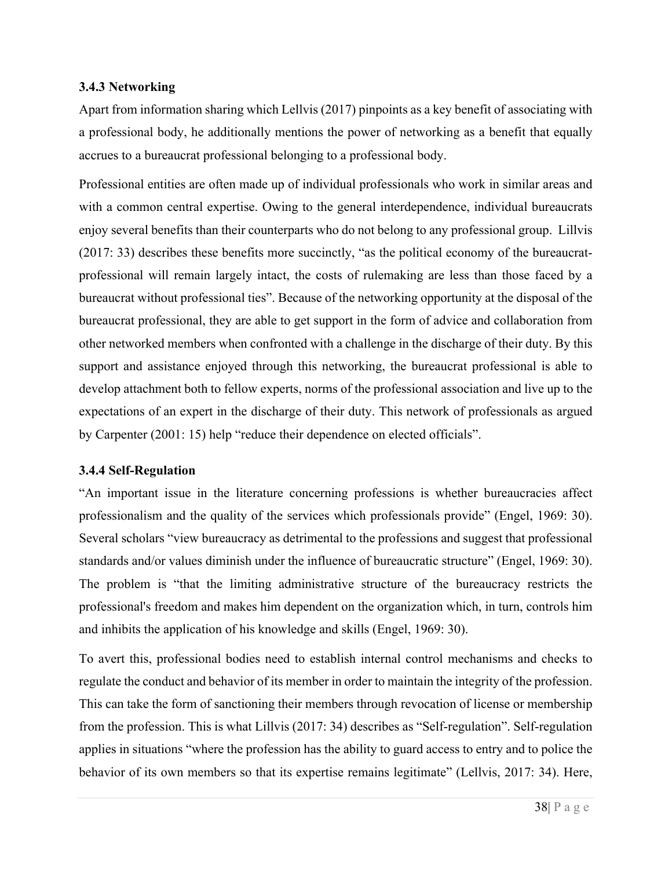### **3.4.3 Networking**

Apart from information sharing which Lellvis (2017) pinpoints as a key benefit of associating with a professional body, he additionally mentions the power of networking as a benefit that equally accrues to a bureaucrat professional belonging to a professional body.

Professional entities are often made up of individual professionals who work in similar areas and with a common central expertise. Owing to the general interdependence, individual bureaucrats enjoy several benefits than their counterparts who do not belong to any professional group. Lillvis (2017: 33) describes these benefits more succinctly, "as the political economy of the bureaucratprofessional will remain largely intact, the costs of rulemaking are less than those faced by a bureaucrat without professional ties". Because of the networking opportunity at the disposal of the bureaucrat professional, they are able to get support in the form of advice and collaboration from other networked members when confronted with a challenge in the discharge of their duty. By this support and assistance enjoyed through this networking, the bureaucrat professional is able to develop attachment both to fellow experts, norms of the professional association and live up to the expectations of an expert in the discharge of their duty. This network of professionals as argued by Carpenter (2001: 15) help "reduce their dependence on elected officials".

# **3.4.4 Self-Regulation**

"An important issue in the literature concerning professions is whether bureaucracies affect professionalism and the quality of the services which professionals provide" (Engel, 1969: 30). Several scholars "view bureaucracy as detrimental to the professions and suggest that professional standards and/or values diminish under the influence of bureaucratic structure" (Engel, 1969: 30). The problem is "that the limiting administrative structure of the bureaucracy restricts the professional's freedom and makes him dependent on the organization which, in turn, controls him and inhibits the application of his knowledge and skills (Engel, 1969: 30).

To avert this, professional bodies need to establish internal control mechanisms and checks to regulate the conduct and behavior of its member in order to maintain the integrity of the profession. This can take the form of sanctioning their members through revocation of license or membership from the profession. This is what Lillvis (2017: 34) describes as "Self-regulation". Self-regulation applies in situations "where the profession has the ability to guard access to entry and to police the behavior of its own members so that its expertise remains legitimate" (Lellvis, 2017: 34). Here,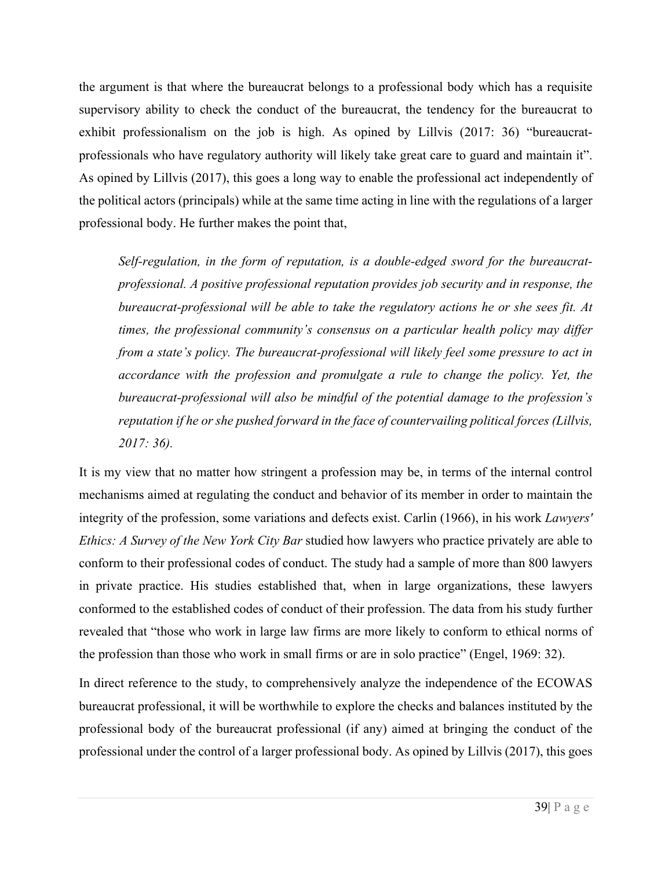the argument is that where the bureaucrat belongs to a professional body which has a requisite supervisory ability to check the conduct of the bureaucrat, the tendency for the bureaucrat to exhibit professionalism on the job is high. As opined by Lillvis (2017: 36) "bureaucratprofessionals who have regulatory authority will likely take great care to guard and maintain it". As opined by Lillvis (2017), this goes a long way to enable the professional act independently of the political actors (principals) while at the same time acting in line with the regulations of a larger professional body. He further makes the point that,

*Self-regulation, in the form of reputation, is a double-edged sword for the bureaucratprofessional. A positive professional reputation provides job security and in response, the bureaucrat-professional will be able to take the regulatory actions he or she sees fit. At times, the professional community's consensus on a particular health policy may differ from a state's policy. The bureaucrat-professional will likely feel some pressure to act in accordance with the profession and promulgate a rule to change the policy. Yet, the bureaucrat-professional will also be mindful of the potential damage to the profession's reputation if he or she pushed forward in the face of countervailing political forces (Lillvis, 2017: 36).*

It is my view that no matter how stringent a profession may be, in terms of the internal control mechanisms aimed at regulating the conduct and behavior of its member in order to maintain the integrity of the profession, some variations and defects exist. Carlin (1966), in his work *Lawyers' Ethics: A Survey of the New York City Bar* studied how lawyers who practice privately are able to conform to their professional codes of conduct. The study had a sample of more than 800 lawyers in private practice. His studies established that, when in large organizations, these lawyers conformed to the established codes of conduct of their profession. The data from his study further revealed that "those who work in large law firms are more likely to conform to ethical norms of the profession than those who work in small firms or are in solo practice" (Engel, 1969: 32).

In direct reference to the study, to comprehensively analyze the independence of the ECOWAS bureaucrat professional, it will be worthwhile to explore the checks and balances instituted by the professional body of the bureaucrat professional (if any) aimed at bringing the conduct of the professional under the control of a larger professional body. As opined by Lillvis (2017), this goes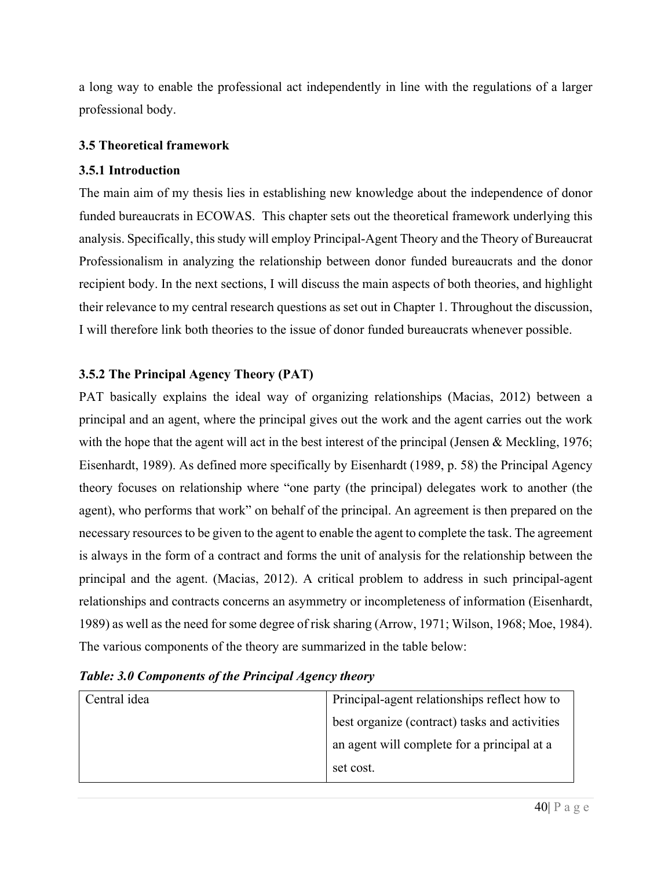a long way to enable the professional act independently in line with the regulations of a larger professional body.

### **3.5 Theoretical framework**

### **3.5.1 Introduction**

The main aim of my thesis lies in establishing new knowledge about the independence of donor funded bureaucrats in ECOWAS. This chapter sets out the theoretical framework underlying this analysis. Specifically, this study will employ Principal-Agent Theory and the Theory of Bureaucrat Professionalism in analyzing the relationship between donor funded bureaucrats and the donor recipient body. In the next sections, I will discuss the main aspects of both theories, and highlight their relevance to my central research questions as set out in Chapter 1. Throughout the discussion, I will therefore link both theories to the issue of donor funded bureaucrats whenever possible.

# **3.5.2 The Principal Agency Theory (PAT)**

PAT basically explains the ideal way of organizing relationships (Macias, 2012) between a principal and an agent, where the principal gives out the work and the agent carries out the work with the hope that the agent will act in the best interest of the principal (Jensen & Meckling, 1976; Eisenhardt, 1989). As defined more specifically by Eisenhardt (1989, p. 58) the Principal Agency theory focuses on relationship where "one party (the principal) delegates work to another (the agent), who performs that work" on behalf of the principal. An agreement is then prepared on the necessary resources to be given to the agent to enable the agent to complete the task. The agreement is always in the form of a contract and forms the unit of analysis for the relationship between the principal and the agent. (Macias, 2012). A critical problem to address in such principal-agent relationships and contracts concerns an asymmetry or incompleteness of information (Eisenhardt, 1989) as well as the need for some degree of risk sharing (Arrow, 1971; Wilson, 1968; Moe, 1984). The various components of the theory are summarized in the table below:

| Central idea | Principal-agent relationships reflect how to  |
|--------------|-----------------------------------------------|
|              | best organize (contract) tasks and activities |
|              | an agent will complete for a principal at a   |
|              | set cost.                                     |

# *Table: 3.0 Components of the Principal Agency theory*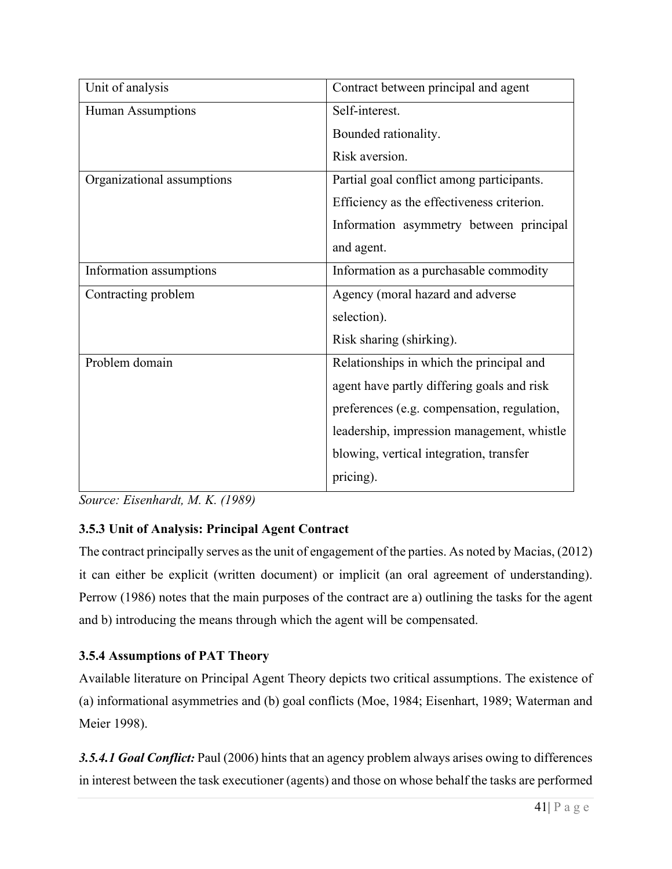| Unit of analysis           | Contract between principal and agent        |
|----------------------------|---------------------------------------------|
| Human Assumptions          | Self-interest.                              |
|                            | Bounded rationality.                        |
|                            | Risk aversion.                              |
| Organizational assumptions | Partial goal conflict among participants.   |
|                            | Efficiency as the effectiveness criterion.  |
|                            | Information asymmetry between principal     |
|                            | and agent.                                  |
| Information assumptions    | Information as a purchasable commodity      |
| Contracting problem        | Agency (moral hazard and adverse            |
|                            | selection).                                 |
|                            | Risk sharing (shirking).                    |
| Problem domain             | Relationships in which the principal and    |
|                            | agent have partly differing goals and risk  |
|                            | preferences (e.g. compensation, regulation, |
|                            | leadership, impression management, whistle  |
|                            | blowing, vertical integration, transfer     |
|                            | pricing).                                   |

*Source: Eisenhardt, M. K. (1989)*

# **3.5.3 Unit of Analysis: Principal Agent Contract**

The contract principally serves as the unit of engagement of the parties. As noted by Macias, (2012) it can either be explicit (written document) or implicit (an oral agreement of understanding). Perrow (1986) notes that the main purposes of the contract are a) outlining the tasks for the agent and b) introducing the means through which the agent will be compensated.

# **3.5.4 Assumptions of PAT Theory**

Available literature on Principal Agent Theory depicts two critical assumptions. The existence of (a) informational asymmetries and (b) goal conflicts (Moe, 1984; Eisenhart, 1989; Waterman and Meier 1998).

*3.5.4.1 Goal Conflict:* Paul (2006) hints that an agency problem always arises owing to differences in interest between the task executioner (agents) and those on whose behalf the tasks are performed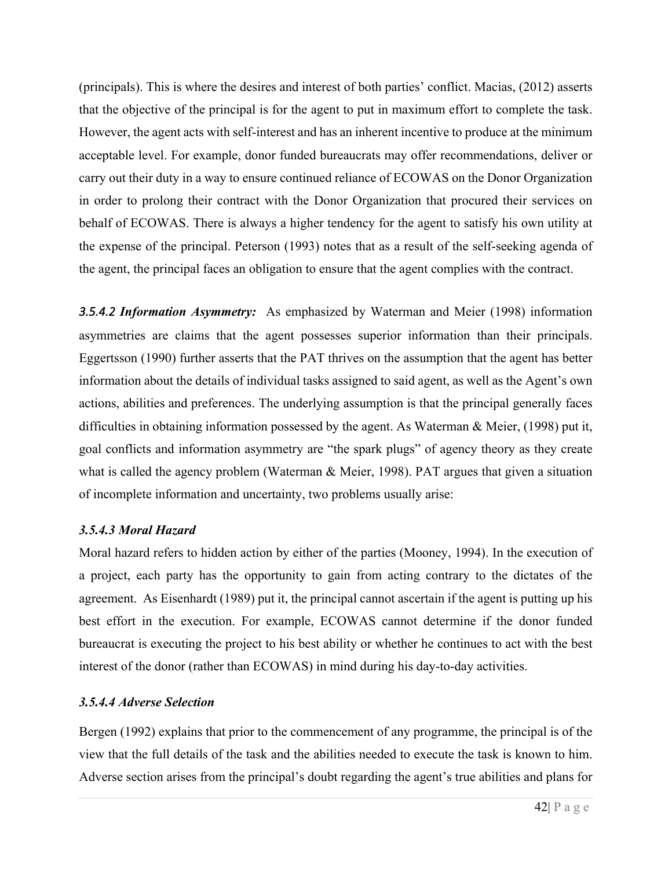(principals). This is where the desires and interest of both parties' conflict. Macias, (2012) asserts that the objective of the principal is for the agent to put in maximum effort to complete the task. However, the agent acts with self-interest and has an inherent incentive to produce at the minimum acceptable level. For example, donor funded bureaucrats may offer recommendations, deliver or carry out their duty in a way to ensure continued reliance of ECOWAS on the Donor Organization in order to prolong their contract with the Donor Organization that procured their services on behalf of ECOWAS. There is always a higher tendency for the agent to satisfy his own utility at the expense of the principal. Peterson (1993) notes that as a result of the self-seeking agenda of the agent, the principal faces an obligation to ensure that the agent complies with the contract.

*3.5.4.2 Information Asymmetry:* As emphasized by Waterman and Meier (1998) information asymmetries are claims that the agent possesses superior information than their principals. Eggertsson (1990) further asserts that the PAT thrives on the assumption that the agent has better information about the details of individual tasks assigned to said agent, as well as the Agent's own actions, abilities and preferences. The underlying assumption is that the principal generally faces difficulties in obtaining information possessed by the agent. As Waterman & Meier, (1998) put it, goal conflicts and information asymmetry are "the spark plugs" of agency theory as they create what is called the agency problem (Waterman & Meier, 1998). PAT argues that given a situation of incomplete information and uncertainty, two problems usually arise:

# *3.5.4.3 Moral Hazard*

Moral hazard refers to hidden action by either of the parties (Mooney, 1994). In the execution of a project, each party has the opportunity to gain from acting contrary to the dictates of the agreement. As Eisenhardt (1989) put it, the principal cannot ascertain if the agent is putting up his best effort in the execution. For example, ECOWAS cannot determine if the donor funded bureaucrat is executing the project to his best ability or whether he continues to act with the best interest of the donor (rather than ECOWAS) in mind during his day-to-day activities.

# *3.5.4.4 Adverse Selection*

Bergen (1992) explains that prior to the commencement of any programme, the principal is of the view that the full details of the task and the abilities needed to execute the task is known to him. Adverse section arises from the principal's doubt regarding the agent's true abilities and plans for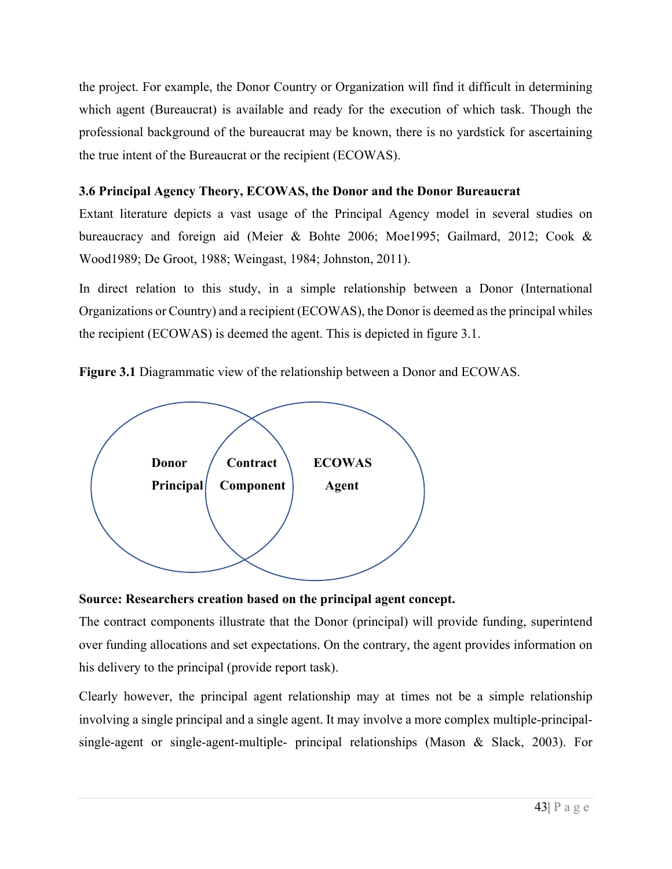the project. For example, the Donor Country or Organization will find it difficult in determining which agent (Bureaucrat) is available and ready for the execution of which task. Though the professional background of the bureaucrat may be known, there is no yardstick for ascertaining the true intent of the Bureaucrat or the recipient (ECOWAS).

# **3.6 Principal Agency Theory, ECOWAS, the Donor and the Donor Bureaucrat**

Extant literature depicts a vast usage of the Principal Agency model in several studies on bureaucracy and foreign aid (Meier & Bohte 2006; Moe1995; Gailmard, 2012; Cook & Wood1989; De Groot, 1988; Weingast, 1984; Johnston, 2011).

In direct relation to this study, in a simple relationship between a Donor (International Organizations or Country) and a recipient (ECOWAS), the Donor is deemed as the principal whiles the recipient (ECOWAS) is deemed the agent. This is depicted in figure 3.1.

**Figure 3.1** Diagrammatic view of the relationship between a Donor and ECOWAS.



# **Source: Researchers creation based on the principal agent concept.**

The contract components illustrate that the Donor (principal) will provide funding, superintend over funding allocations and set expectations. On the contrary, the agent provides information on his delivery to the principal (provide report task).

Clearly however, the principal agent relationship may at times not be a simple relationship involving a single principal and a single agent. It may involve a more complex multiple-principalsingle-agent or single-agent-multiple- principal relationships (Mason & Slack, 2003). For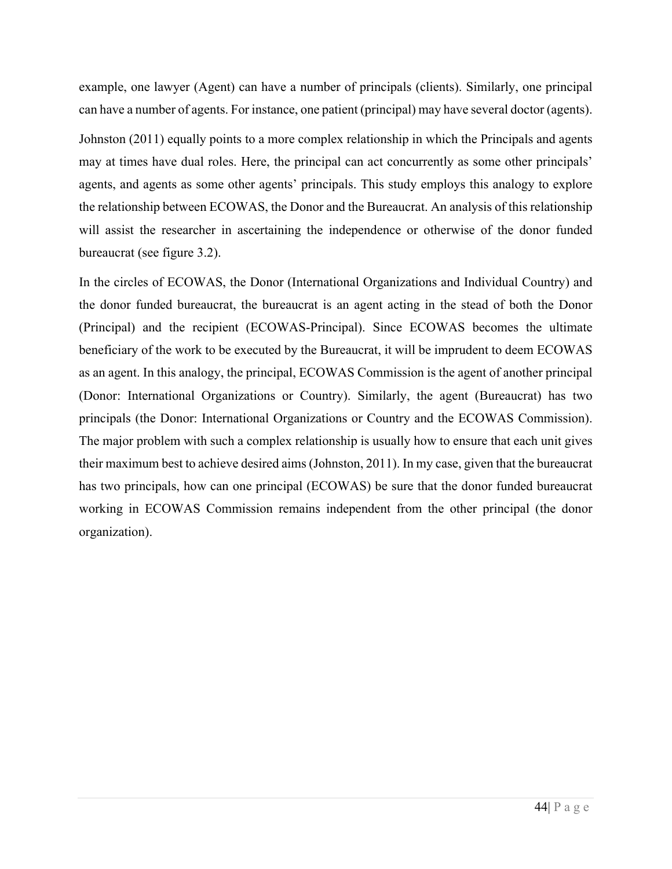example, one lawyer (Agent) can have a number of principals (clients). Similarly, one principal can have a number of agents. For instance, one patient (principal) may have several doctor (agents). Johnston (2011) equally points to a more complex relationship in which the Principals and agents may at times have dual roles. Here, the principal can act concurrently as some other principals' agents, and agents as some other agents' principals. This study employs this analogy to explore the relationship between ECOWAS, the Donor and the Bureaucrat. An analysis of this relationship will assist the researcher in ascertaining the independence or otherwise of the donor funded bureaucrat (see figure 3.2).

In the circles of ECOWAS, the Donor (International Organizations and Individual Country) and the donor funded bureaucrat, the bureaucrat is an agent acting in the stead of both the Donor (Principal) and the recipient (ECOWAS-Principal). Since ECOWAS becomes the ultimate beneficiary of the work to be executed by the Bureaucrat, it will be imprudent to deem ECOWAS as an agent. In this analogy, the principal, ECOWAS Commission is the agent of another principal (Donor: International Organizations or Country). Similarly, the agent (Bureaucrat) has two principals (the Donor: International Organizations or Country and the ECOWAS Commission). The major problem with such a complex relationship is usually how to ensure that each unit gives their maximum best to achieve desired aims (Johnston, 2011). In my case, given that the bureaucrat has two principals, how can one principal (ECOWAS) be sure that the donor funded bureaucrat working in ECOWAS Commission remains independent from the other principal (the donor organization).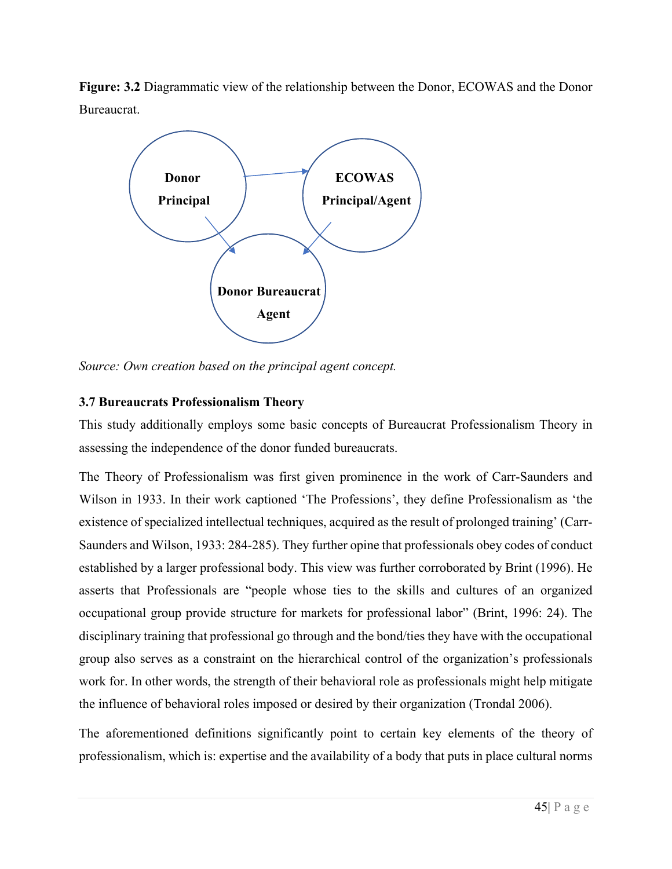**Figure: 3.2** Diagrammatic view of the relationship between the Donor, ECOWAS and the Donor Bureaucrat.



*Source: Own creation based on the principal agent concept.*

# **3.7 Bureaucrats Professionalism Theory**

This study additionally employs some basic concepts of Bureaucrat Professionalism Theory in assessing the independence of the donor funded bureaucrats.

The Theory of Professionalism was first given prominence in the work of Carr-Saunders and Wilson in 1933. In their work captioned 'The Professions', they define Professionalism as 'the existence of specialized intellectual techniques, acquired as the result of prolonged training' (Carr-Saunders and Wilson, 1933: 284-285). They further opine that professionals obey codes of conduct established by a larger professional body. This view was further corroborated by Brint (1996). He asserts that Professionals are "people whose ties to the skills and cultures of an organized occupational group provide structure for markets for professional labor" (Brint, 1996: 24). The disciplinary training that professional go through and the bond/ties they have with the occupational group also serves as a constraint on the hierarchical control of the organization's professionals work for. In other words, the strength of their behavioral role as professionals might help mitigate the influence of behavioral roles imposed or desired by their organization (Trondal 2006).

The aforementioned definitions significantly point to certain key elements of the theory of professionalism, which is: expertise and the availability of a body that puts in place cultural norms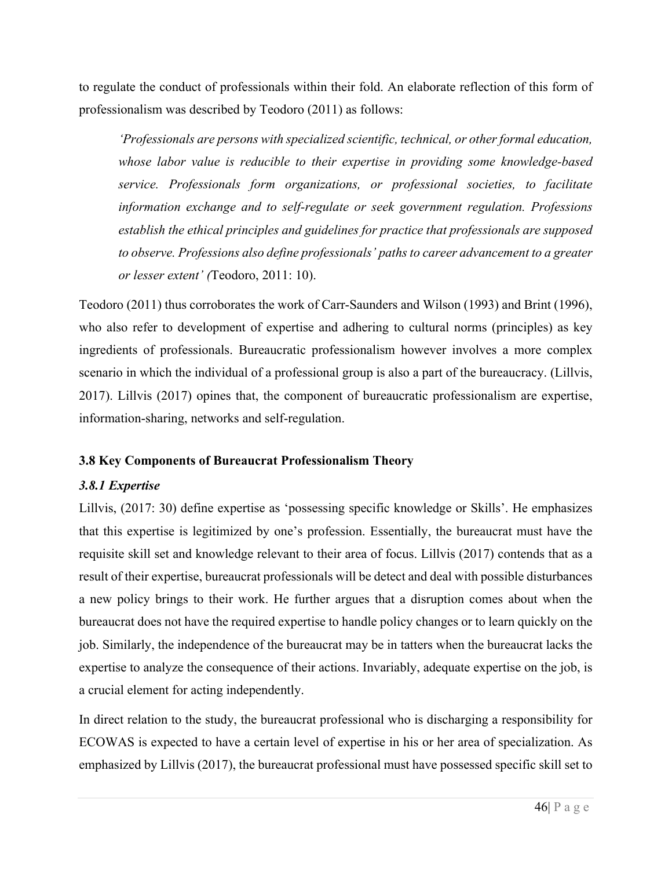to regulate the conduct of professionals within their fold. An elaborate reflection of this form of professionalism was described by Teodoro (2011) as follows:

*'Professionals are persons with specialized scientific, technical, or other formal education, whose labor value is reducible to their expertise in providing some knowledge-based service. Professionals form organizations, or professional societies, to facilitate information exchange and to self-regulate or seek government regulation. Professions establish the ethical principles and guidelines for practice that professionals are supposed to observe. Professions also define professionals' paths to career advancement to a greater or lesser extent' (*Teodoro, 2011: 10).

Teodoro (2011) thus corroborates the work of Carr-Saunders and Wilson (1993) and Brint (1996), who also refer to development of expertise and adhering to cultural norms (principles) as key ingredients of professionals. Bureaucratic professionalism however involves a more complex scenario in which the individual of a professional group is also a part of the bureaucracy. (Lillvis, 2017). Lillvis (2017) opines that, the component of bureaucratic professionalism are expertise, information-sharing, networks and self-regulation.

### **3.8 Key Components of Bureaucrat Professionalism Theory**

### *3.8.1 Expertise*

Lillvis, (2017: 30) define expertise as 'possessing specific knowledge or Skills'. He emphasizes that this expertise is legitimized by one's profession. Essentially, the bureaucrat must have the requisite skill set and knowledge relevant to their area of focus. Lillvis (2017) contends that as a result of their expertise, bureaucrat professionals will be detect and deal with possible disturbances a new policy brings to their work. He further argues that a disruption comes about when the bureaucrat does not have the required expertise to handle policy changes or to learn quickly on the job. Similarly, the independence of the bureaucrat may be in tatters when the bureaucrat lacks the expertise to analyze the consequence of their actions. Invariably, adequate expertise on the job, is a crucial element for acting independently.

In direct relation to the study, the bureaucrat professional who is discharging a responsibility for ECOWAS is expected to have a certain level of expertise in his or her area of specialization. As emphasized by Lillvis (2017), the bureaucrat professional must have possessed specific skill set to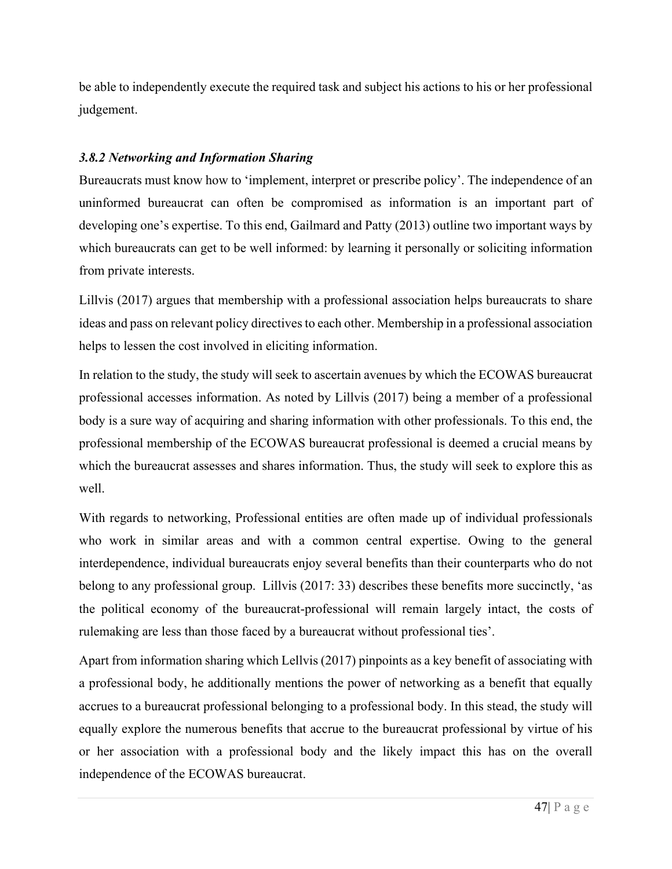be able to independently execute the required task and subject his actions to his or her professional judgement.

# *3.8.2 Networking and Information Sharing*

Bureaucrats must know how to 'implement, interpret or prescribe policy'. The independence of an uninformed bureaucrat can often be compromised as information is an important part of developing one's expertise. To this end, Gailmard and Patty (2013) outline two important ways by which bureaucrats can get to be well informed: by learning it personally or soliciting information from private interests.

Lillvis (2017) argues that membership with a professional association helps bureaucrats to share ideas and pass on relevant policy directives to each other. Membership in a professional association helps to lessen the cost involved in eliciting information.

In relation to the study, the study will seek to ascertain avenues by which the ECOWAS bureaucrat professional accesses information. As noted by Lillvis (2017) being a member of a professional body is a sure way of acquiring and sharing information with other professionals. To this end, the professional membership of the ECOWAS bureaucrat professional is deemed a crucial means by which the bureaucrat assesses and shares information. Thus, the study will seek to explore this as well.

With regards to networking, Professional entities are often made up of individual professionals who work in similar areas and with a common central expertise. Owing to the general interdependence, individual bureaucrats enjoy several benefits than their counterparts who do not belong to any professional group. Lillvis (2017: 33) describes these benefits more succinctly, 'as the political economy of the bureaucrat-professional will remain largely intact, the costs of rulemaking are less than those faced by a bureaucrat without professional ties'.

Apart from information sharing which Lellvis (2017) pinpoints as a key benefit of associating with a professional body, he additionally mentions the power of networking as a benefit that equally accrues to a bureaucrat professional belonging to a professional body. In this stead, the study will equally explore the numerous benefits that accrue to the bureaucrat professional by virtue of his or her association with a professional body and the likely impact this has on the overall independence of the ECOWAS bureaucrat.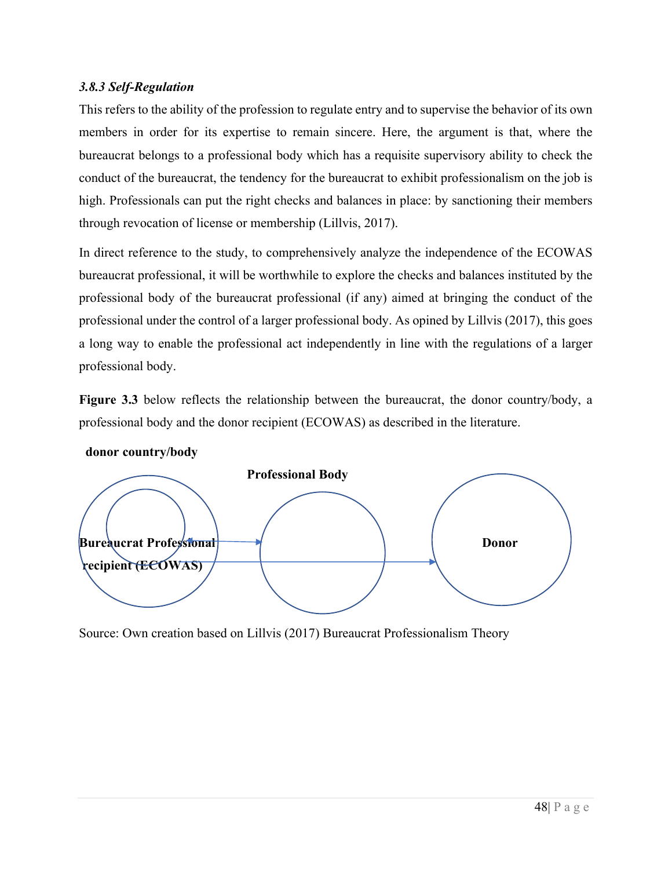### *3.8.3 Self-Regulation*

This refers to the ability of the profession to regulate entry and to supervise the behavior of its own members in order for its expertise to remain sincere. Here, the argument is that, where the bureaucrat belongs to a professional body which has a requisite supervisory ability to check the conduct of the bureaucrat, the tendency for the bureaucrat to exhibit professionalism on the job is high. Professionals can put the right checks and balances in place: by sanctioning their members through revocation of license or membership (Lillvis, 2017).

In direct reference to the study, to comprehensively analyze the independence of the ECOWAS bureaucrat professional, it will be worthwhile to explore the checks and balances instituted by the professional body of the bureaucrat professional (if any) aimed at bringing the conduct of the professional under the control of a larger professional body. As opined by Lillvis (2017), this goes a long way to enable the professional act independently in line with the regulations of a larger professional body.

**Figure 3.3** below reflects the relationship between the bureaucrat, the donor country/body, a professional body and the donor recipient (ECOWAS) as described in the literature.



 **donor country/body** 

Source: Own creation based on Lillvis (2017) Bureaucrat Professionalism Theory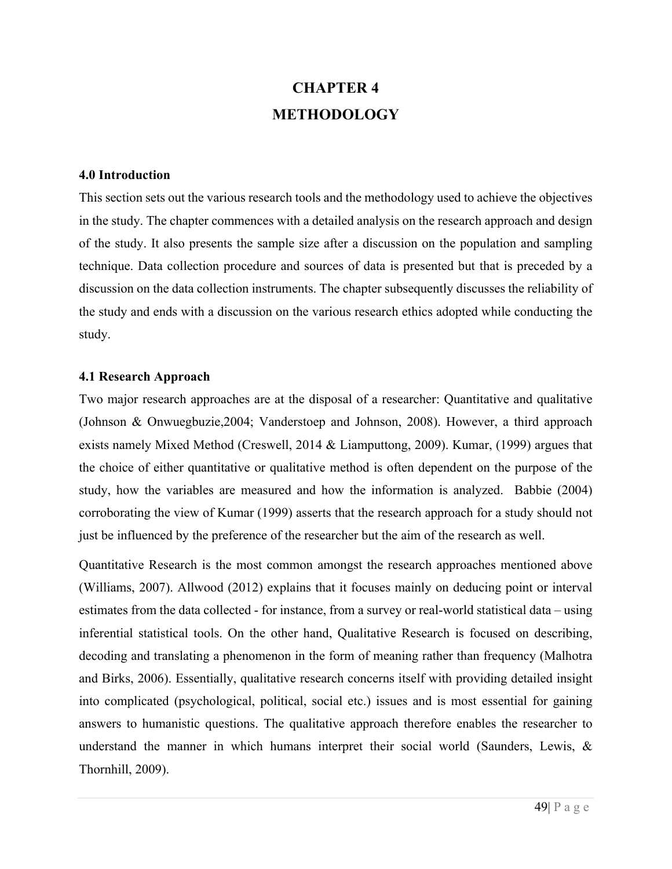# **CHAPTER 4 METHODOLOGY**

### **4.0 Introduction**

This section sets out the various research tools and the methodology used to achieve the objectives in the study. The chapter commences with a detailed analysis on the research approach and design of the study. It also presents the sample size after a discussion on the population and sampling technique. Data collection procedure and sources of data is presented but that is preceded by a discussion on the data collection instruments. The chapter subsequently discusses the reliability of the study and ends with a discussion on the various research ethics adopted while conducting the study.

#### **4.1 Research Approach**

Two major research approaches are at the disposal of a researcher: Quantitative and qualitative (Johnson & Onwuegbuzie,2004; Vanderstoep and Johnson, 2008). However, a third approach exists namely Mixed Method (Creswell, 2014 & Liamputtong, 2009). Kumar, (1999) argues that the choice of either quantitative or qualitative method is often dependent on the purpose of the study, how the variables are measured and how the information is analyzed. Babbie (2004) corroborating the view of Kumar (1999) asserts that the research approach for a study should not just be influenced by the preference of the researcher but the aim of the research as well.

Quantitative Research is the most common amongst the research approaches mentioned above (Williams, 2007). Allwood (2012) explains that it focuses mainly on deducing point or interval estimates from the data collected - for instance, from a survey or real-world statistical data – using inferential statistical tools. On the other hand, Qualitative Research is focused on describing, decoding and translating a phenomenon in the form of meaning rather than frequency (Malhotra and Birks, 2006). Essentially, qualitative research concerns itself with providing detailed insight into complicated (psychological, political, social etc.) issues and is most essential for gaining answers to humanistic questions. The qualitative approach therefore enables the researcher to understand the manner in which humans interpret their social world (Saunders, Lewis, & Thornhill, 2009).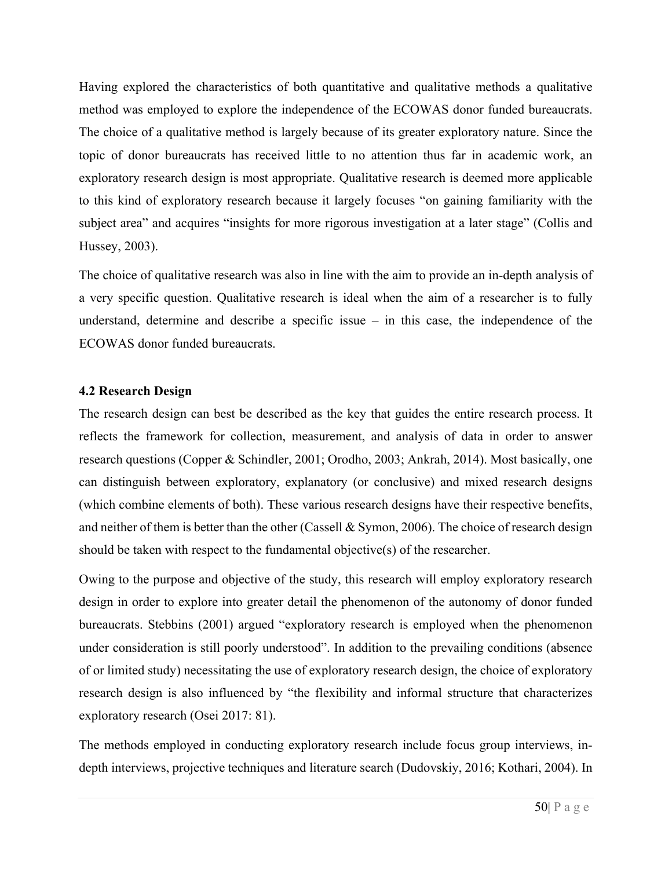Having explored the characteristics of both quantitative and qualitative methods a qualitative method was employed to explore the independence of the ECOWAS donor funded bureaucrats. The choice of a qualitative method is largely because of its greater exploratory nature. Since the topic of donor bureaucrats has received little to no attention thus far in academic work, an exploratory research design is most appropriate. Qualitative research is deemed more applicable to this kind of exploratory research because it largely focuses "on gaining familiarity with the subject area" and acquires "insights for more rigorous investigation at a later stage" (Collis and Hussey, 2003).

The choice of qualitative research was also in line with the aim to provide an in-depth analysis of a very specific question. Qualitative research is ideal when the aim of a researcher is to fully understand, determine and describe a specific issue – in this case, the independence of the ECOWAS donor funded bureaucrats.

### **4.2 Research Design**

The research design can best be described as the key that guides the entire research process. It reflects the framework for collection, measurement, and analysis of data in order to answer research questions (Copper & Schindler, 2001; Orodho, 2003; Ankrah, 2014). Most basically, one can distinguish between exploratory, explanatory (or conclusive) and mixed research designs (which combine elements of both). These various research designs have their respective benefits, and neither of them is better than the other (Cassell & Symon, 2006). The choice of research design should be taken with respect to the fundamental objective(s) of the researcher.

Owing to the purpose and objective of the study, this research will employ exploratory research design in order to explore into greater detail the phenomenon of the autonomy of donor funded bureaucrats. Stebbins (2001) argued "exploratory research is employed when the phenomenon under consideration is still poorly understood". In addition to the prevailing conditions (absence of or limited study) necessitating the use of exploratory research design, the choice of exploratory research design is also influenced by "the flexibility and informal structure that characterizes exploratory research (Osei 2017: 81).

The methods employed in conducting exploratory research include focus group interviews, indepth interviews, projective techniques and literature search (Dudovskiy, 2016; Kothari, 2004). In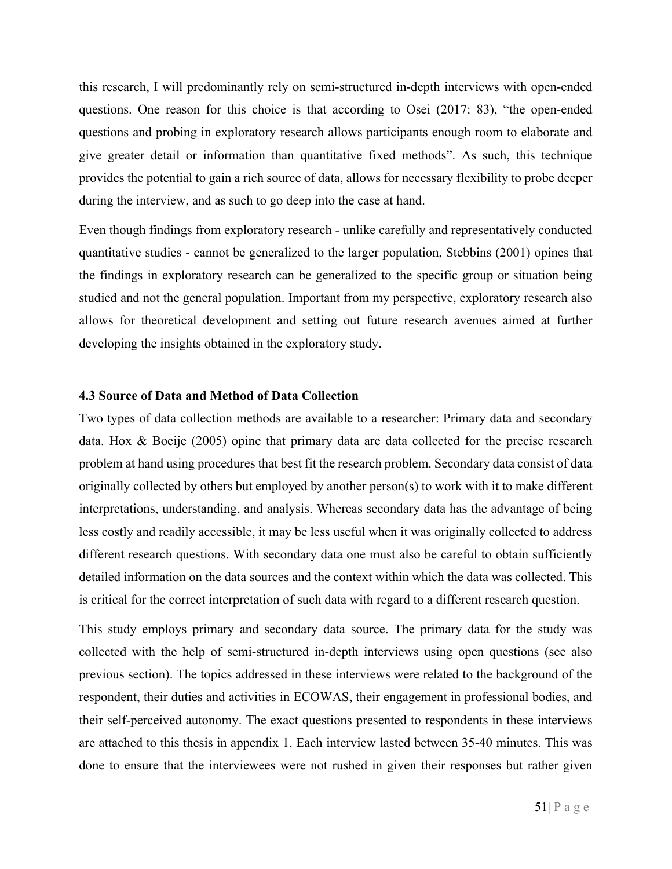this research, I will predominantly rely on semi-structured in-depth interviews with open-ended questions. One reason for this choice is that according to Osei (2017: 83), "the open-ended questions and probing in exploratory research allows participants enough room to elaborate and give greater detail or information than quantitative fixed methods". As such, this technique provides the potential to gain a rich source of data, allows for necessary flexibility to probe deeper during the interview, and as such to go deep into the case at hand.

Even though findings from exploratory research - unlike carefully and representatively conducted quantitative studies - cannot be generalized to the larger population, Stebbins (2001) opines that the findings in exploratory research can be generalized to the specific group or situation being studied and not the general population. Important from my perspective, exploratory research also allows for theoretical development and setting out future research avenues aimed at further developing the insights obtained in the exploratory study.

### **4.3 Source of Data and Method of Data Collection**

Two types of data collection methods are available to a researcher: Primary data and secondary data. Hox & Boeije (2005) opine that primary data are data collected for the precise research problem at hand using procedures that best fit the research problem. Secondary data consist of data originally collected by others but employed by another person(s) to work with it to make different interpretations, understanding, and analysis. Whereas secondary data has the advantage of being less costly and readily accessible, it may be less useful when it was originally collected to address different research questions. With secondary data one must also be careful to obtain sufficiently detailed information on the data sources and the context within which the data was collected. This is critical for the correct interpretation of such data with regard to a different research question.

This study employs primary and secondary data source. The primary data for the study was collected with the help of semi-structured in-depth interviews using open questions (see also previous section). The topics addressed in these interviews were related to the background of the respondent, their duties and activities in ECOWAS, their engagement in professional bodies, and their self-perceived autonomy. The exact questions presented to respondents in these interviews are attached to this thesis in appendix 1. Each interview lasted between 35-40 minutes. This was done to ensure that the interviewees were not rushed in given their responses but rather given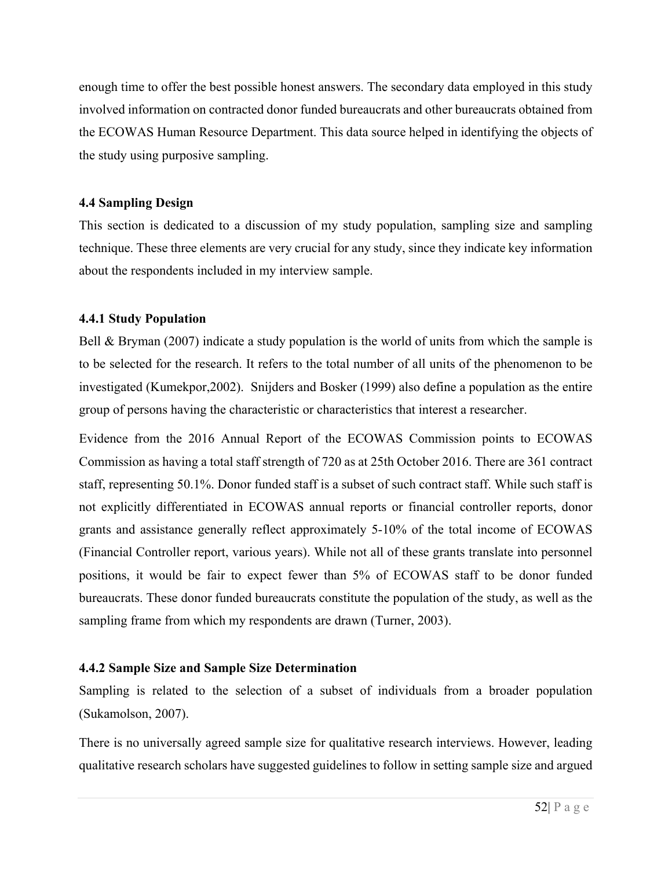enough time to offer the best possible honest answers. The secondary data employed in this study involved information on contracted donor funded bureaucrats and other bureaucrats obtained from the ECOWAS Human Resource Department. This data source helped in identifying the objects of the study using purposive sampling.

### **4.4 Sampling Design**

This section is dedicated to a discussion of my study population, sampling size and sampling technique. These three elements are very crucial for any study, since they indicate key information about the respondents included in my interview sample.

### **4.4.1 Study Population**

Bell & Bryman (2007) indicate a study population is the world of units from which the sample is to be selected for the research. It refers to the total number of all units of the phenomenon to be investigated (Kumekpor,2002). Snijders and Bosker (1999) also define a population as the entire group of persons having the characteristic or characteristics that interest a researcher.

Evidence from the 2016 Annual Report of the ECOWAS Commission points to ECOWAS Commission as having a total staff strength of 720 as at 25th October 2016. There are 361 contract staff, representing 50.1%. Donor funded staff is a subset of such contract staff. While such staff is not explicitly differentiated in ECOWAS annual reports or financial controller reports, donor grants and assistance generally reflect approximately 5-10% of the total income of ECOWAS (Financial Controller report, various years). While not all of these grants translate into personnel positions, it would be fair to expect fewer than 5% of ECOWAS staff to be donor funded bureaucrats. These donor funded bureaucrats constitute the population of the study, as well as the sampling frame from which my respondents are drawn (Turner, 2003).

# **4.4.2 Sample Size and Sample Size Determination**

Sampling is related to the selection of a subset of individuals from a broader population (Sukamolson, 2007).

There is no universally agreed sample size for qualitative research interviews. However, leading qualitative research scholars have suggested guidelines to follow in setting sample size and argued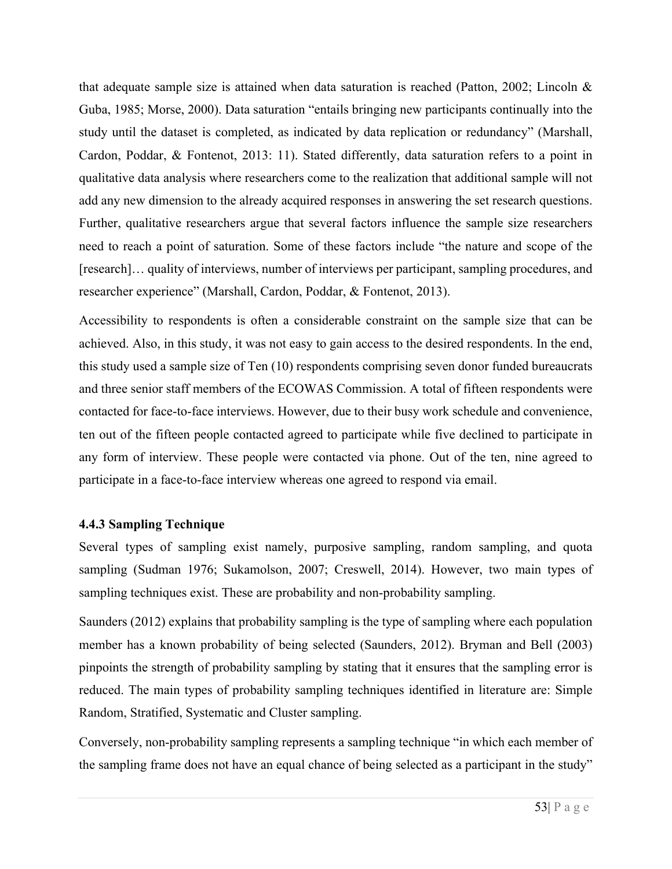that adequate sample size is attained when data saturation is reached (Patton, 2002; Lincoln & Guba, 1985; Morse, 2000). Data saturation "entails bringing new participants continually into the study until the dataset is completed, as indicated by data replication or redundancy" (Marshall, Cardon, Poddar, & Fontenot, 2013: 11). Stated differently, data saturation refers to a point in qualitative data analysis where researchers come to the realization that additional sample will not add any new dimension to the already acquired responses in answering the set research questions. Further, qualitative researchers argue that several factors influence the sample size researchers need to reach a point of saturation. Some of these factors include "the nature and scope of the [research]… quality of interviews, number of interviews per participant, sampling procedures, and researcher experience" (Marshall, Cardon, Poddar, & Fontenot, 2013).

Accessibility to respondents is often a considerable constraint on the sample size that can be achieved. Also, in this study, it was not easy to gain access to the desired respondents. In the end, this study used a sample size of Ten (10) respondents comprising seven donor funded bureaucrats and three senior staff members of the ECOWAS Commission. A total of fifteen respondents were contacted for face-to-face interviews. However, due to their busy work schedule and convenience, ten out of the fifteen people contacted agreed to participate while five declined to participate in any form of interview. These people were contacted via phone. Out of the ten, nine agreed to participate in a face-to-face interview whereas one agreed to respond via email.

# **4.4.3 Sampling Technique**

Several types of sampling exist namely, purposive sampling, random sampling, and quota sampling (Sudman 1976; Sukamolson, 2007; Creswell, 2014). However, two main types of sampling techniques exist. These are probability and non-probability sampling.

Saunders (2012) explains that probability sampling is the type of sampling where each population member has a known probability of being selected (Saunders, 2012). Bryman and Bell (2003) pinpoints the strength of probability sampling by stating that it ensures that the sampling error is reduced. The main types of probability sampling techniques identified in literature are: Simple Random, Stratified, Systematic and Cluster sampling.

Conversely, non-probability sampling represents a sampling technique "in which each member of the sampling frame does not have an equal chance of being selected as a participant in the study"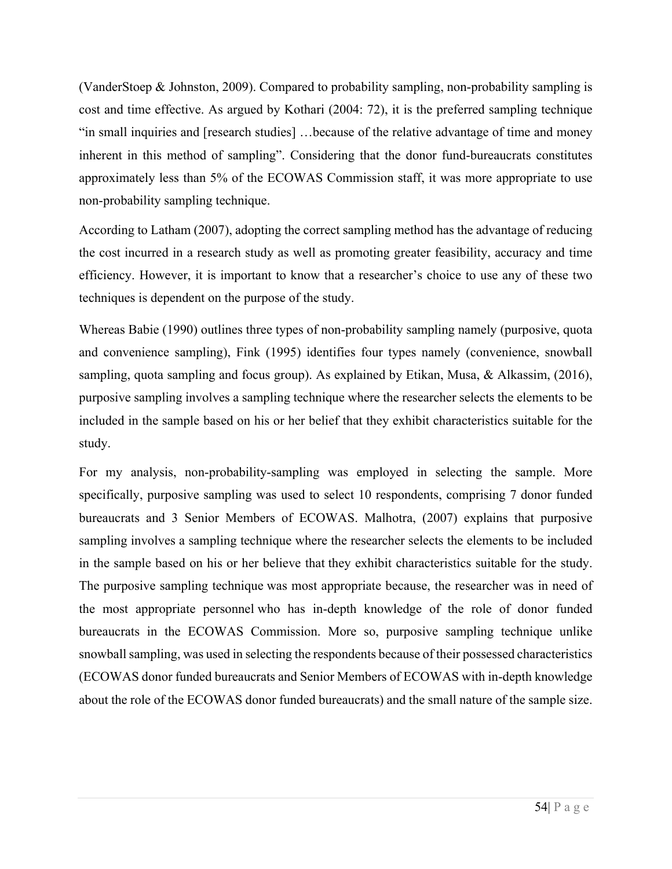(VanderStoep & Johnston, 2009). Compared to probability sampling, non-probability sampling is cost and time effective. As argued by Kothari (2004: 72), it is the preferred sampling technique "in small inquiries and [research studies] …because of the relative advantage of time and money inherent in this method of sampling". Considering that the donor fund-bureaucrats constitutes approximately less than 5% of the ECOWAS Commission staff, it was more appropriate to use non-probability sampling technique.

According to Latham (2007), adopting the correct sampling method has the advantage of reducing the cost incurred in a research study as well as promoting greater feasibility, accuracy and time efficiency. However, it is important to know that a researcher's choice to use any of these two techniques is dependent on the purpose of the study.

Whereas Babie (1990) outlines three types of non-probability sampling namely (purposive, quota and convenience sampling), Fink (1995) identifies four types namely (convenience, snowball sampling, quota sampling and focus group). As explained by Etikan, Musa, & Alkassim, (2016), purposive sampling involves a sampling technique where the researcher selects the elements to be included in the sample based on his or her belief that they exhibit characteristics suitable for the study.

For my analysis, non-probability-sampling was employed in selecting the sample. More specifically, purposive sampling was used to select 10 respondents, comprising 7 donor funded bureaucrats and 3 Senior Members of ECOWAS. Malhotra, (2007) explains that purposive sampling involves a sampling technique where the researcher selects the elements to be included in the sample based on his or her believe that they exhibit characteristics suitable for the study. The purposive sampling technique was most appropriate because, the researcher was in need of the most appropriate personnel who has in-depth knowledge of the role of donor funded bureaucrats in the ECOWAS Commission. More so, purposive sampling technique unlike snowball sampling, was used in selecting the respondents because of their possessed characteristics (ECOWAS donor funded bureaucrats and Senior Members of ECOWAS with in-depth knowledge about the role of the ECOWAS donor funded bureaucrats) and the small nature of the sample size.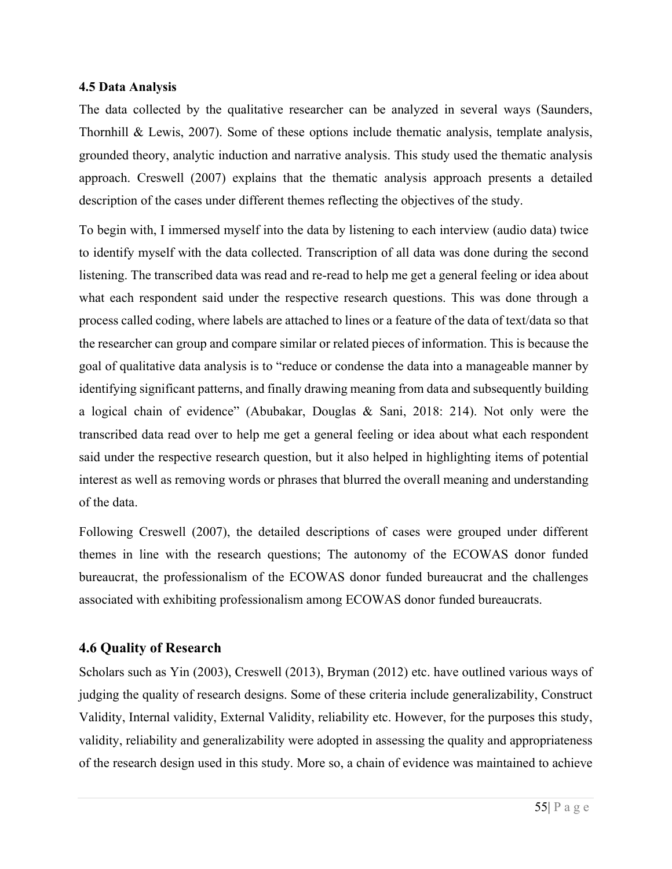#### **4.5 Data Analysis**

The data collected by the qualitative researcher can be analyzed in several ways (Saunders, Thornhill & Lewis, 2007). Some of these options include thematic analysis, template analysis, grounded theory, analytic induction and narrative analysis. This study used the thematic analysis approach. Creswell (2007) explains that the thematic analysis approach presents a detailed description of the cases under different themes reflecting the objectives of the study.

To begin with, I immersed myself into the data by listening to each interview (audio data) twice to identify myself with the data collected. Transcription of all data was done during the second listening. The transcribed data was read and re-read to help me get a general feeling or idea about what each respondent said under the respective research questions. This was done through a process called coding, where labels are attached to lines or a feature of the data of text/data so that the researcher can group and compare similar or related pieces of information. This is because the goal of qualitative data analysis is to "reduce or condense the data into a manageable manner by identifying significant patterns, and finally drawing meaning from data and subsequently building a logical chain of evidence" (Abubakar, Douglas & Sani, 2018: 214). Not only were the transcribed data read over to help me get a general feeling or idea about what each respondent said under the respective research question, but it also helped in highlighting items of potential interest as well as removing words or phrases that blurred the overall meaning and understanding of the data.

Following Creswell (2007), the detailed descriptions of cases were grouped under different themes in line with the research questions; The autonomy of the ECOWAS donor funded bureaucrat, the professionalism of the ECOWAS donor funded bureaucrat and the challenges associated with exhibiting professionalism among ECOWAS donor funded bureaucrats.

# **4.6 Quality of Research**

Scholars such as Yin (2003), Creswell (2013), Bryman (2012) etc. have outlined various ways of judging the quality of research designs. Some of these criteria include generalizability, Construct Validity, Internal validity, External Validity, reliability etc. However, for the purposes this study, validity, reliability and generalizability were adopted in assessing the quality and appropriateness of the research design used in this study. More so, a chain of evidence was maintained to achieve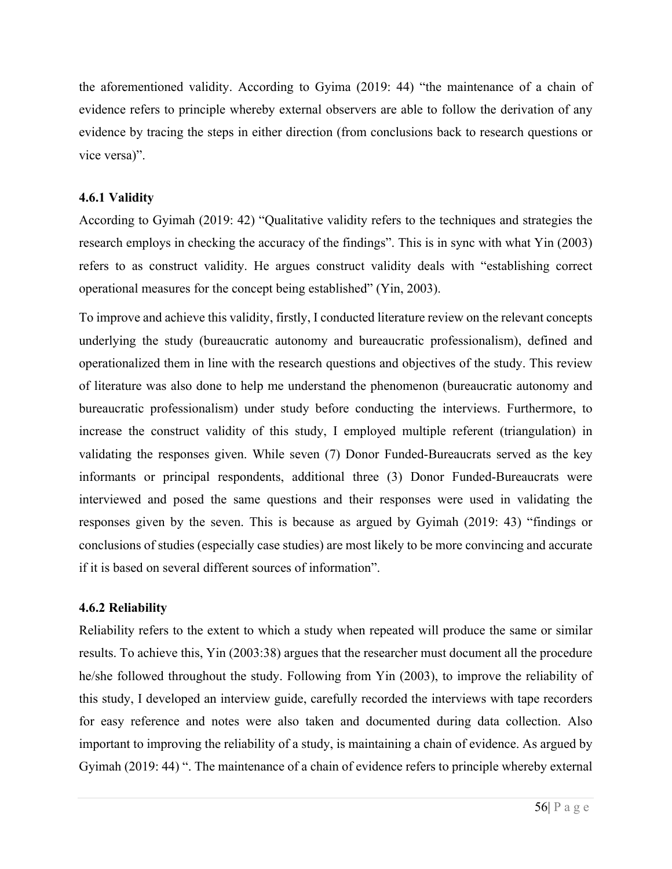the aforementioned validity. According to Gyima (2019: 44) "the maintenance of a chain of evidence refers to principle whereby external observers are able to follow the derivation of any evidence by tracing the steps in either direction (from conclusions back to research questions or vice versa)".

# **4.6.1 Validity**

According to Gyimah (2019: 42) "Qualitative validity refers to the techniques and strategies the research employs in checking the accuracy of the findings". This is in sync with what Yin (2003) refers to as construct validity. He argues construct validity deals with "establishing correct operational measures for the concept being established" (Yin, 2003).

To improve and achieve this validity, firstly, I conducted literature review on the relevant concepts underlying the study (bureaucratic autonomy and bureaucratic professionalism), defined and operationalized them in line with the research questions and objectives of the study. This review of literature was also done to help me understand the phenomenon (bureaucratic autonomy and bureaucratic professionalism) under study before conducting the interviews. Furthermore, to increase the construct validity of this study, I employed multiple referent (triangulation) in validating the responses given. While seven (7) Donor Funded-Bureaucrats served as the key informants or principal respondents, additional three (3) Donor Funded-Bureaucrats were interviewed and posed the same questions and their responses were used in validating the responses given by the seven. This is because as argued by Gyimah (2019: 43) "findings or conclusions of studies (especially case studies) are most likely to be more convincing and accurate if it is based on several different sources of information".

# **4.6.2 Reliability**

Reliability refers to the extent to which a study when repeated will produce the same or similar results. To achieve this, Yin (2003:38) argues that the researcher must document all the procedure he/she followed throughout the study. Following from Yin (2003), to improve the reliability of this study, I developed an interview guide, carefully recorded the interviews with tape recorders for easy reference and notes were also taken and documented during data collection. Also important to improving the reliability of a study, is maintaining a chain of evidence. As argued by Gyimah (2019: 44) ". The maintenance of a chain of evidence refers to principle whereby external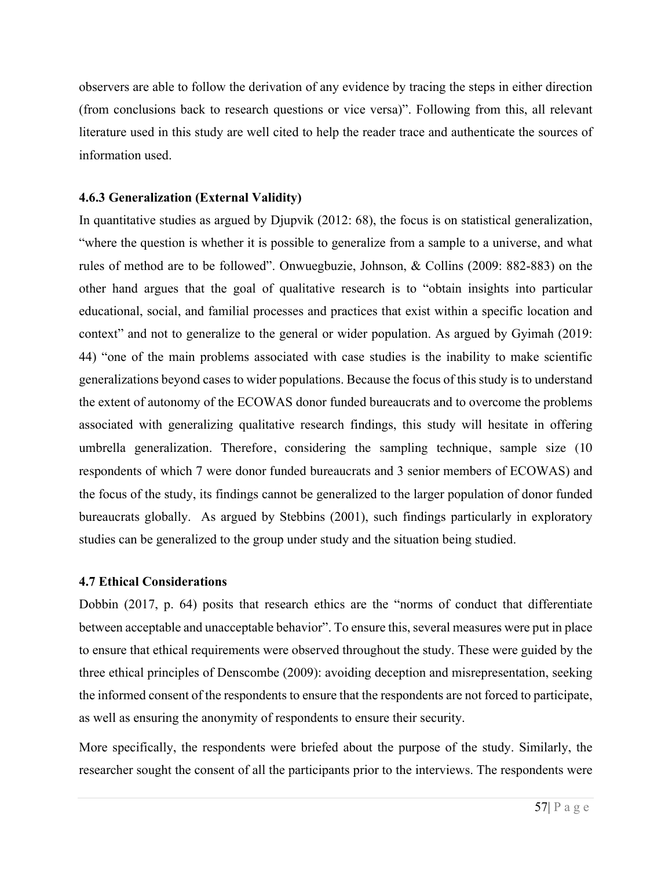observers are able to follow the derivation of any evidence by tracing the steps in either direction (from conclusions back to research questions or vice versa)". Following from this, all relevant literature used in this study are well cited to help the reader trace and authenticate the sources of information used.

### **4.6.3 Generalization (External Validity)**

In quantitative studies as argued by Djupvik (2012: 68), the focus is on statistical generalization, "where the question is whether it is possible to generalize from a sample to a universe, and what rules of method are to be followed". Onwuegbuzie, Johnson, & Collins (2009: 882-883) on the other hand argues that the goal of qualitative research is to "obtain insights into particular educational, social, and familial processes and practices that exist within a specific location and context" and not to generalize to the general or wider population. As argued by Gyimah (2019: 44) "one of the main problems associated with case studies is the inability to make scientific generalizations beyond cases to wider populations. Because the focus of this study is to understand the extent of autonomy of the ECOWAS donor funded bureaucrats and to overcome the problems associated with generalizing qualitative research findings, this study will hesitate in offering umbrella generalization. Therefore, considering the sampling technique, sample size (10 respondents of which 7 were donor funded bureaucrats and 3 senior members of ECOWAS) and the focus of the study, its findings cannot be generalized to the larger population of donor funded bureaucrats globally. As argued by Stebbins (2001), such findings particularly in exploratory studies can be generalized to the group under study and the situation being studied.

# **4.7 Ethical Considerations**

Dobbin (2017, p. 64) posits that research ethics are the "norms of conduct that differentiate between acceptable and unacceptable behavior". To ensure this, several measures were put in place to ensure that ethical requirements were observed throughout the study. These were guided by the three ethical principles of Denscombe (2009): avoiding deception and misrepresentation, seeking the informed consent of the respondents to ensure that the respondents are not forced to participate, as well as ensuring the anonymity of respondents to ensure their security.

More specifically, the respondents were briefed about the purpose of the study. Similarly, the researcher sought the consent of all the participants prior to the interviews. The respondents were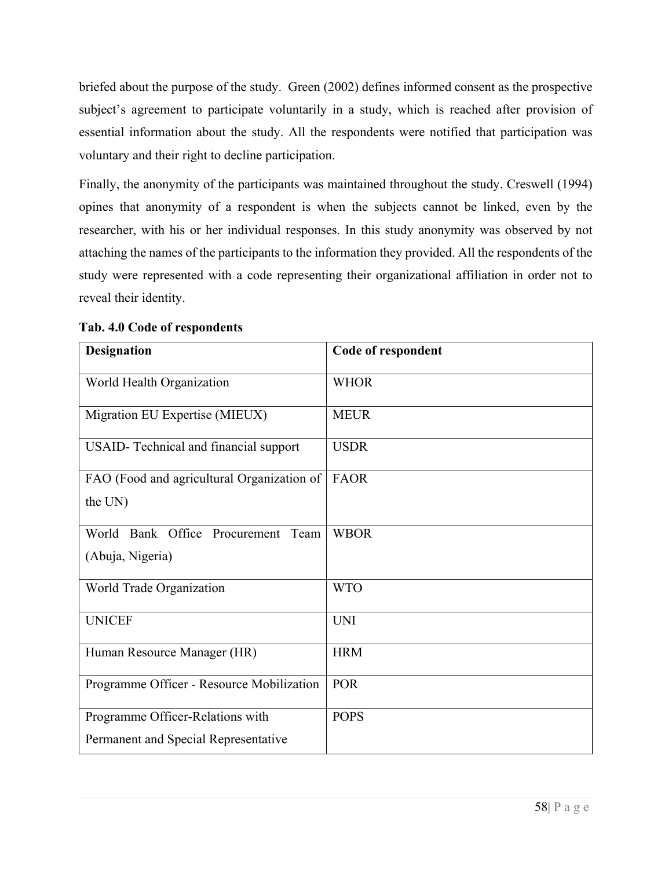briefed about the purpose of the study. Green (2002) defines informed consent as the prospective subject's agreement to participate voluntarily in a study, which is reached after provision of essential information about the study. All the respondents were notified that participation was voluntary and their right to decline participation.

Finally, the anonymity of the participants was maintained throughout the study. Creswell (1994) opines that anonymity of a respondent is when the subjects cannot be linked, even by the researcher, with his or her individual responses. In this study anonymity was observed by not attaching the names of the participants to the information they provided. All the respondents of the study were represented with a code representing their organizational affiliation in order not to reveal their identity.

| <b>Designation</b>                                                       | Code of respondent |
|--------------------------------------------------------------------------|--------------------|
| World Health Organization                                                | <b>WHOR</b>        |
| Migration EU Expertise (MIEUX)                                           | <b>MEUR</b>        |
| USAID- Technical and financial support                                   | <b>USDR</b>        |
| FAO (Food and agricultural Organization of<br>the UN)                    | <b>FAOR</b>        |
| World Bank Office Procurement Team<br>(Abuja, Nigeria)                   | <b>WBOR</b>        |
| World Trade Organization                                                 | <b>WTO</b>         |
| <b>UNICEF</b>                                                            | <b>UNI</b>         |
| Human Resource Manager (HR)                                              | <b>HRM</b>         |
| Programme Officer - Resource Mobilization                                | <b>POR</b>         |
| Programme Officer-Relations with<br>Permanent and Special Representative | <b>POPS</b>        |

**Tab. 4.0 Code of respondents**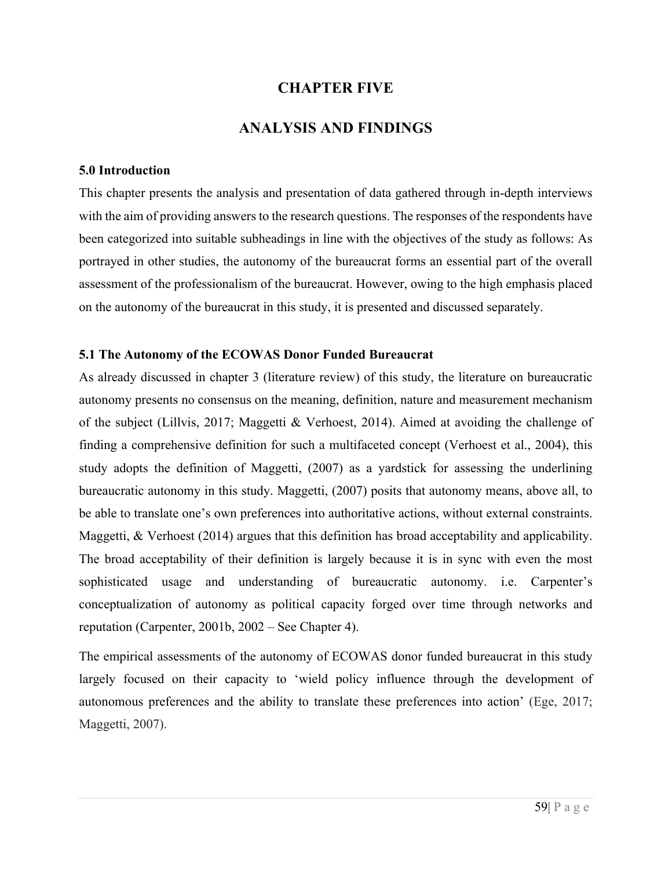# **CHAPTER FIVE**

# **ANALYSIS AND FINDINGS**

#### **5.0 Introduction**

This chapter presents the analysis and presentation of data gathered through in-depth interviews with the aim of providing answers to the research questions. The responses of the respondents have been categorized into suitable subheadings in line with the objectives of the study as follows: As portrayed in other studies, the autonomy of the bureaucrat forms an essential part of the overall assessment of the professionalism of the bureaucrat. However, owing to the high emphasis placed on the autonomy of the bureaucrat in this study, it is presented and discussed separately.

#### **5.1 The Autonomy of the ECOWAS Donor Funded Bureaucrat**

As already discussed in chapter 3 (literature review) of this study, the literature on bureaucratic autonomy presents no consensus on the meaning, definition, nature and measurement mechanism of the subject (Lillvis, 2017; Maggetti & Verhoest, 2014). Aimed at avoiding the challenge of finding a comprehensive definition for such a multifaceted concept (Verhoest et al., 2004), this study adopts the definition of Maggetti, (2007) as a yardstick for assessing the underlining bureaucratic autonomy in this study. Maggetti, (2007) posits that autonomy means, above all, to be able to translate one's own preferences into authoritative actions, without external constraints. Maggetti, & Verhoest (2014) argues that this definition has broad acceptability and applicability. The broad acceptability of their definition is largely because it is in sync with even the most sophisticated usage and understanding of bureaucratic autonomy. i.e. Carpenter's conceptualization of autonomy as political capacity forged over time through networks and reputation (Carpenter, 2001b, 2002 – See Chapter 4).

The empirical assessments of the autonomy of ECOWAS donor funded bureaucrat in this study largely focused on their capacity to 'wield policy influence through the development of autonomous preferences and the ability to translate these preferences into action' (Ege, 2017; Maggetti, 2007).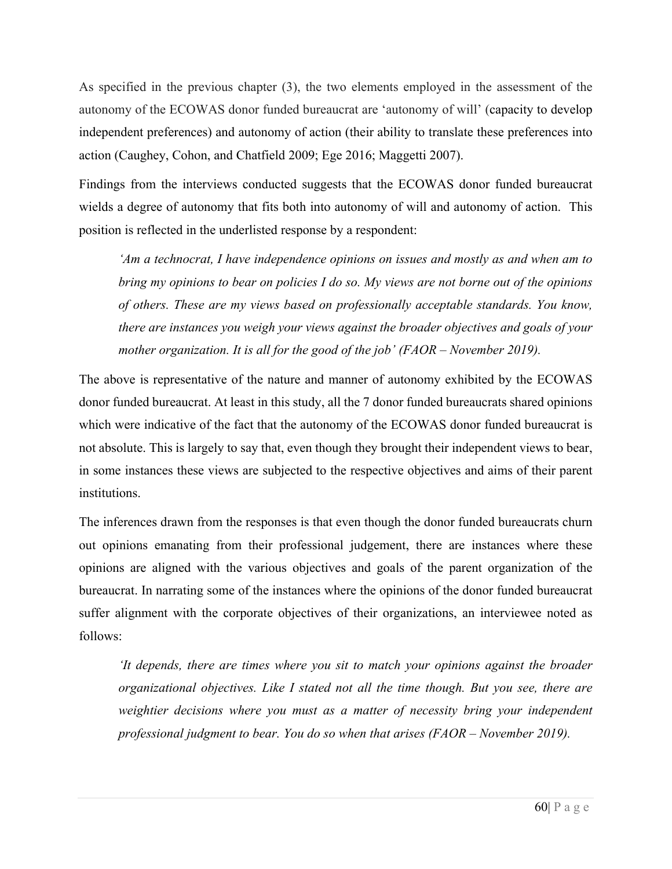As specified in the previous chapter (3), the two elements employed in the assessment of the autonomy of the ECOWAS donor funded bureaucrat are 'autonomy of will' (capacity to develop independent preferences) and autonomy of action (their ability to translate these preferences into action (Caughey, Cohon, and Chatfield 2009; Ege 2016; Maggetti 2007).

Findings from the interviews conducted suggests that the ECOWAS donor funded bureaucrat wields a degree of autonomy that fits both into autonomy of will and autonomy of action. This position is reflected in the underlisted response by a respondent:

*'Am a technocrat, I have independence opinions on issues and mostly as and when am to bring my opinions to bear on policies I do so. My views are not borne out of the opinions of others. These are my views based on professionally acceptable standards. You know, there are instances you weigh your views against the broader objectives and goals of your mother organization. It is all for the good of the job' (FAOR – November 2019).* 

The above is representative of the nature and manner of autonomy exhibited by the ECOWAS donor funded bureaucrat. At least in this study, all the 7 donor funded bureaucrats shared opinions which were indicative of the fact that the autonomy of the ECOWAS donor funded bureaucrat is not absolute. This is largely to say that, even though they brought their independent views to bear, in some instances these views are subjected to the respective objectives and aims of their parent institutions.

The inferences drawn from the responses is that even though the donor funded bureaucrats churn out opinions emanating from their professional judgement, there are instances where these opinions are aligned with the various objectives and goals of the parent organization of the bureaucrat. In narrating some of the instances where the opinions of the donor funded bureaucrat suffer alignment with the corporate objectives of their organizations, an interviewee noted as follows:

*'It depends, there are times where you sit to match your opinions against the broader organizational objectives. Like I stated not all the time though. But you see, there are weightier decisions where you must as a matter of necessity bring your independent professional judgment to bear. You do so when that arises (FAOR – November 2019).*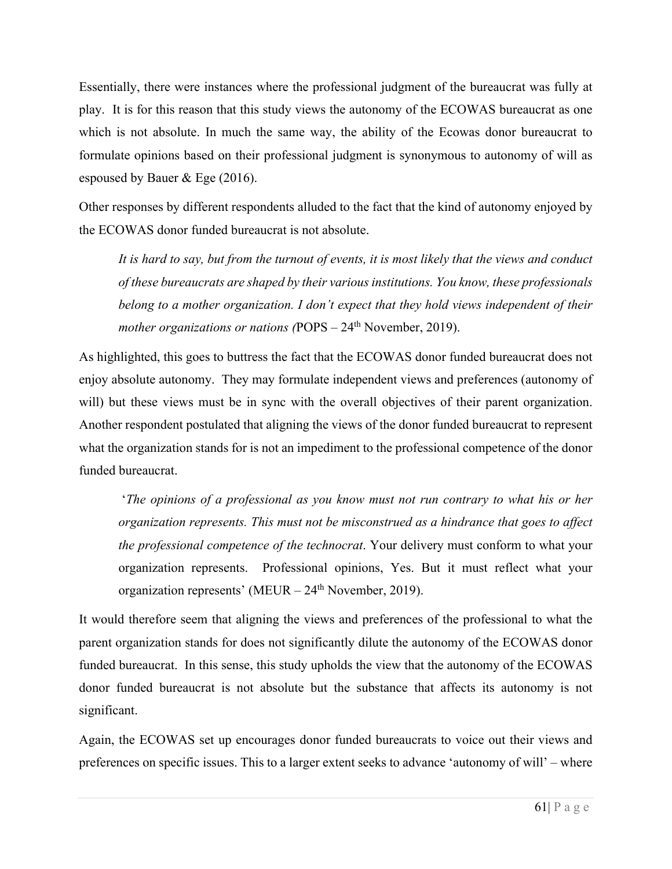Essentially, there were instances where the professional judgment of the bureaucrat was fully at play. It is for this reason that this study views the autonomy of the ECOWAS bureaucrat as one which is not absolute. In much the same way, the ability of the Ecowas donor bureaucrat to formulate opinions based on their professional judgment is synonymous to autonomy of will as espoused by Bauer & Ege (2016).

Other responses by different respondents alluded to the fact that the kind of autonomy enjoyed by the ECOWAS donor funded bureaucrat is not absolute.

*It is hard to say, but from the turnout of events, it is most likely that the views and conduct of these bureaucrats are shaped by their various institutions. You know, these professionals belong to a mother organization. I don't expect that they hold views independent of their mother organizations or nations (POPS – 24<sup>th</sup> November, 2019).* 

As highlighted, this goes to buttress the fact that the ECOWAS donor funded bureaucrat does not enjoy absolute autonomy. They may formulate independent views and preferences (autonomy of will) but these views must be in sync with the overall objectives of their parent organization. Another respondent postulated that aligning the views of the donor funded bureaucrat to represent what the organization stands for is not an impediment to the professional competence of the donor funded bureaucrat.

'*The opinions of a professional as you know must not run contrary to what his or her organization represents. This must not be misconstrued as a hindrance that goes to affect the professional competence of the technocrat*. Your delivery must conform to what your organization represents. Professional opinions, Yes. But it must reflect what your organization represents' (MEUR  $-24<sup>th</sup>$  November, 2019).

It would therefore seem that aligning the views and preferences of the professional to what the parent organization stands for does not significantly dilute the autonomy of the ECOWAS donor funded bureaucrat. In this sense, this study upholds the view that the autonomy of the ECOWAS donor funded bureaucrat is not absolute but the substance that affects its autonomy is not significant.

Again, the ECOWAS set up encourages donor funded bureaucrats to voice out their views and preferences on specific issues. This to a larger extent seeks to advance 'autonomy of will' – where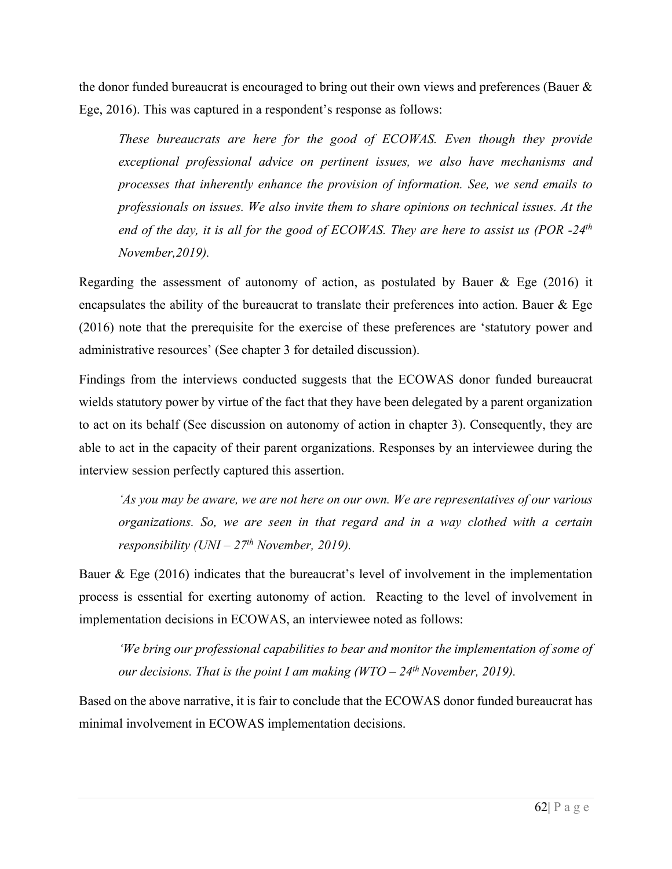the donor funded bureaucrat is encouraged to bring out their own views and preferences (Bauer & Ege, 2016). This was captured in a respondent's response as follows:

*These bureaucrats are here for the good of ECOWAS. Even though they provide exceptional professional advice on pertinent issues, we also have mechanisms and processes that inherently enhance the provision of information. See, we send emails to professionals on issues. We also invite them to share opinions on technical issues. At the end of the day, it is all for the good of ECOWAS. They are here to assist us (POR -24th November,2019).* 

Regarding the assessment of autonomy of action, as postulated by Bauer & Ege (2016) it encapsulates the ability of the bureaucrat to translate their preferences into action. Bauer & Ege (2016) note that the prerequisite for the exercise of these preferences are 'statutory power and administrative resources' (See chapter 3 for detailed discussion).

Findings from the interviews conducted suggests that the ECOWAS donor funded bureaucrat wields statutory power by virtue of the fact that they have been delegated by a parent organization to act on its behalf (See discussion on autonomy of action in chapter 3). Consequently, they are able to act in the capacity of their parent organizations. Responses by an interviewee during the interview session perfectly captured this assertion.

*'As you may be aware, we are not here on our own. We are representatives of our various organizations. So, we are seen in that regard and in a way clothed with a certain responsibility (UNI – 27th November, 2019).* 

Bauer & Ege (2016) indicates that the bureaucrat's level of involvement in the implementation process is essential for exerting autonomy of action. Reacting to the level of involvement in implementation decisions in ECOWAS, an interviewee noted as follows:

*'We bring our professional capabilities to bear and monitor the implementation of some of our decisions. That is the point I am making (WTO – 24th November, 2019).* 

Based on the above narrative, it is fair to conclude that the ECOWAS donor funded bureaucrat has minimal involvement in ECOWAS implementation decisions.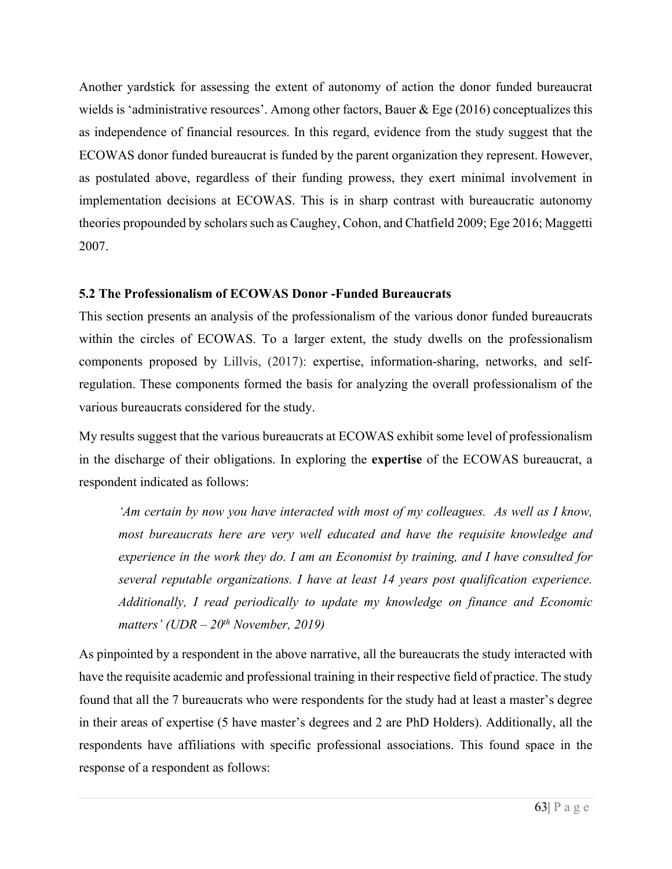Another yardstick for assessing the extent of autonomy of action the donor funded bureaucrat wields is 'administrative resources'. Among other factors, Bauer & Ege (2016) conceptualizes this as independence of financial resources. In this regard, evidence from the study suggest that the ECOWAS donor funded bureaucrat is funded by the parent organization they represent. However, as postulated above, regardless of their funding prowess, they exert minimal involvement in implementation decisions at ECOWAS. This is in sharp contrast with bureaucratic autonomy theories propounded by scholars such as Caughey, Cohon, and Chatfield 2009; Ege 2016; Maggetti 2007.

#### **5.2 The Professionalism of ECOWAS Donor -Funded Bureaucrats**

This section presents an analysis of the professionalism of the various donor funded bureaucrats within the circles of ECOWAS. To a larger extent, the study dwells on the professionalism components proposed by Lillvis, (2017): expertise, information-sharing, networks, and selfregulation. These components formed the basis for analyzing the overall professionalism of the various bureaucrats considered for the study.

My results suggest that the various bureaucrats at ECOWAS exhibit some level of professionalism in the discharge of their obligations. In exploring the **expertise** of the ECOWAS bureaucrat, a respondent indicated as follows:

*'Am certain by now you have interacted with most of my colleagues. As well as I know, most bureaucrats here are very well educated and have the requisite knowledge and experience in the work they do. I am an Economist by training, and I have consulted for several reputable organizations. I have at least 14 years post qualification experience. Additionally, I read periodically to update my knowledge on finance and Economic matters' (UDR – 20th November, 2019)*

As pinpointed by a respondent in the above narrative, all the bureaucrats the study interacted with have the requisite academic and professional training in their respective field of practice. The study found that all the 7 bureaucrats who were respondents for the study had at least a master's degree in their areas of expertise (5 have master's degrees and 2 are PhD Holders). Additionally, all the respondents have affiliations with specific professional associations. This found space in the response of a respondent as follows: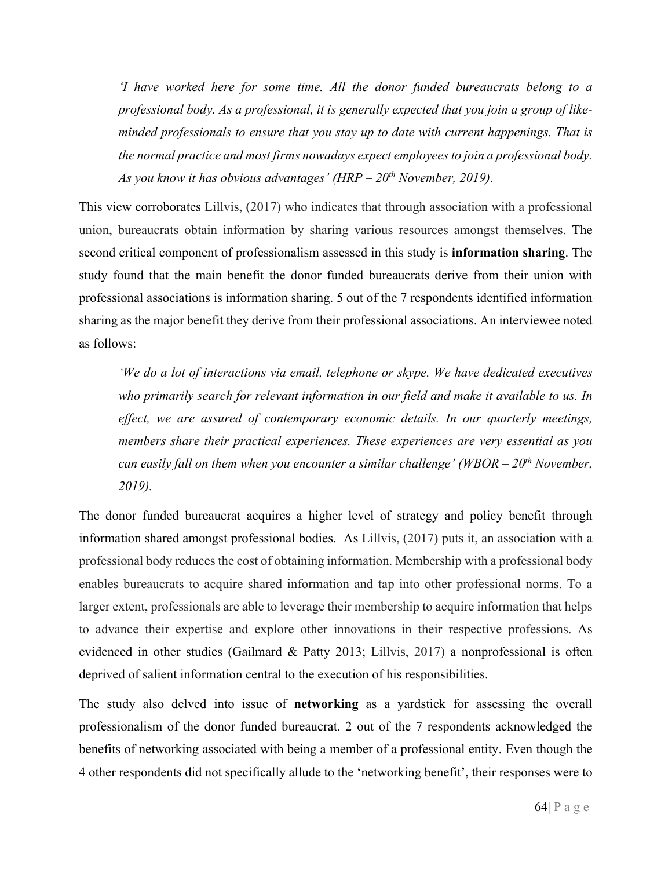*'I have worked here for some time. All the donor funded bureaucrats belong to a professional body. As a professional, it is generally expected that you join a group of likeminded professionals to ensure that you stay up to date with current happenings. That is the normal practice and most firms nowadays expect employees to join a professional body. As you know it has obvious advantages' (HRP – 20th November, 2019).* 

This view corroborates Lillvis, (2017) who indicates that through association with a professional union, bureaucrats obtain information by sharing various resources amongst themselves. The second critical component of professionalism assessed in this study is **information sharing**. The study found that the main benefit the donor funded bureaucrats derive from their union with professional associations is information sharing. 5 out of the 7 respondents identified information sharing as the major benefit they derive from their professional associations. An interviewee noted as follows:

*'We do a lot of interactions via email, telephone or skype. We have dedicated executives who primarily search for relevant information in our field and make it available to us. In effect, we are assured of contemporary economic details. In our quarterly meetings, members share their practical experiences. These experiences are very essential as you can easily fall on them when you encounter a similar challenge' (WBOR – 20th November, 2019).* 

The donor funded bureaucrat acquires a higher level of strategy and policy benefit through information shared amongst professional bodies. As Lillvis, (2017) puts it, an association with a professional body reduces the cost of obtaining information. Membership with a professional body enables bureaucrats to acquire shared information and tap into other professional norms. To a larger extent, professionals are able to leverage their membership to acquire information that helps to advance their expertise and explore other innovations in their respective professions. As evidenced in other studies (Gailmard & Patty 2013; Lillvis, 2017) a nonprofessional is often deprived of salient information central to the execution of his responsibilities.

The study also delved into issue of **networking** as a yardstick for assessing the overall professionalism of the donor funded bureaucrat. 2 out of the 7 respondents acknowledged the benefits of networking associated with being a member of a professional entity. Even though the 4 other respondents did not specifically allude to the 'networking benefit', their responses were to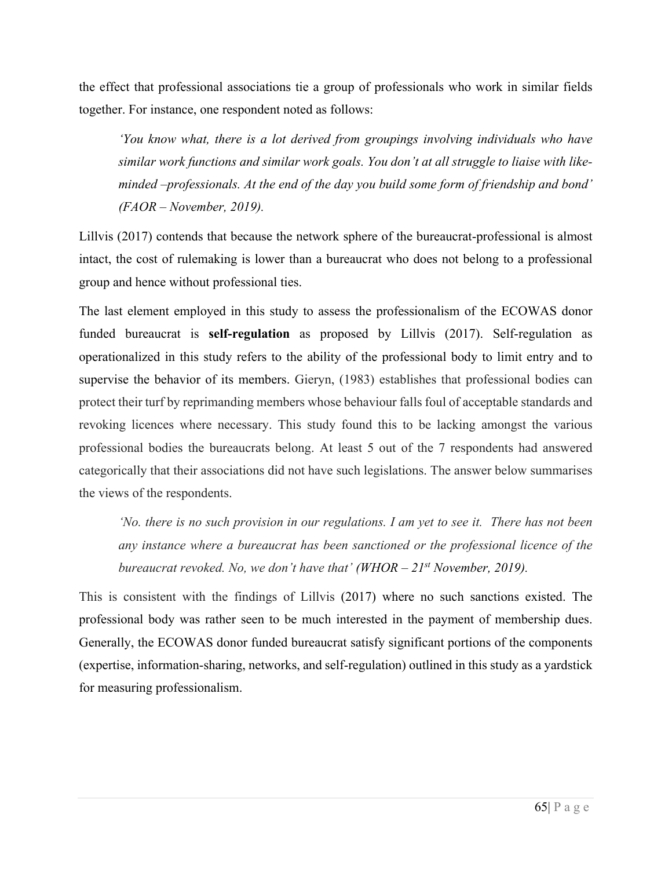the effect that professional associations tie a group of professionals who work in similar fields together. For instance, one respondent noted as follows:

*'You know what, there is a lot derived from groupings involving individuals who have similar work functions and similar work goals. You don't at all struggle to liaise with likeminded –professionals. At the end of the day you build some form of friendship and bond' (FAOR – November, 2019).* 

Lillvis (2017) contends that because the network sphere of the bureaucrat-professional is almost intact, the cost of rulemaking is lower than a bureaucrat who does not belong to a professional group and hence without professional ties.

The last element employed in this study to assess the professionalism of the ECOWAS donor funded bureaucrat is **self-regulation** as proposed by Lillvis (2017). Self-regulation as operationalized in this study refers to the ability of the professional body to limit entry and to supervise the behavior of its members. Gieryn, (1983) establishes that professional bodies can protect their turf by reprimanding members whose behaviour falls foul of acceptable standards and revoking licences where necessary. This study found this to be lacking amongst the various professional bodies the bureaucrats belong. At least 5 out of the 7 respondents had answered categorically that their associations did not have such legislations. The answer below summarises the views of the respondents.

*'No. there is no such provision in our regulations. I am yet to see it. There has not been any instance where a bureaucrat has been sanctioned or the professional licence of the bureaucrat revoked. No, we don't have that' (WHOR – 21st November, 2019).* 

This is consistent with the findings of Lillvis (2017) where no such sanctions existed. The professional body was rather seen to be much interested in the payment of membership dues. Generally, the ECOWAS donor funded bureaucrat satisfy significant portions of the components (expertise, information-sharing, networks, and self-regulation) outlined in this study as a yardstick for measuring professionalism.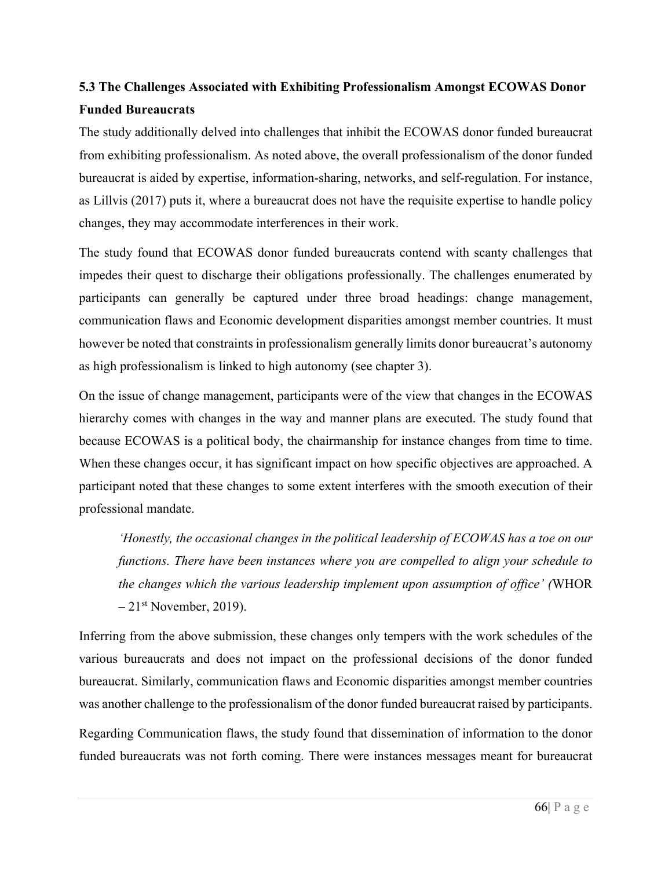# **5.3 The Challenges Associated with Exhibiting Professionalism Amongst ECOWAS Donor Funded Bureaucrats**

The study additionally delved into challenges that inhibit the ECOWAS donor funded bureaucrat from exhibiting professionalism. As noted above, the overall professionalism of the donor funded bureaucrat is aided by expertise, information-sharing, networks, and self-regulation. For instance, as Lillvis (2017) puts it, where a bureaucrat does not have the requisite expertise to handle policy changes, they may accommodate interferences in their work.

The study found that ECOWAS donor funded bureaucrats contend with scanty challenges that impedes their quest to discharge their obligations professionally. The challenges enumerated by participants can generally be captured under three broad headings: change management, communication flaws and Economic development disparities amongst member countries. It must however be noted that constraints in professionalism generally limits donor bureaucrat's autonomy as high professionalism is linked to high autonomy (see chapter 3).

On the issue of change management, participants were of the view that changes in the ECOWAS hierarchy comes with changes in the way and manner plans are executed. The study found that because ECOWAS is a political body, the chairmanship for instance changes from time to time. When these changes occur, it has significant impact on how specific objectives are approached. A participant noted that these changes to some extent interferes with the smooth execution of their professional mandate.

*'Honestly, the occasional changes in the political leadership of ECOWAS has a toe on our functions. There have been instances where you are compelled to align your schedule to the changes which the various leadership implement upon assumption of office' (*WHOR  $-21$ <sup>st</sup> November, 2019).

Inferring from the above submission, these changes only tempers with the work schedules of the various bureaucrats and does not impact on the professional decisions of the donor funded bureaucrat. Similarly, communication flaws and Economic disparities amongst member countries was another challenge to the professionalism of the donor funded bureaucrat raised by participants.

Regarding Communication flaws, the study found that dissemination of information to the donor funded bureaucrats was not forth coming. There were instances messages meant for bureaucrat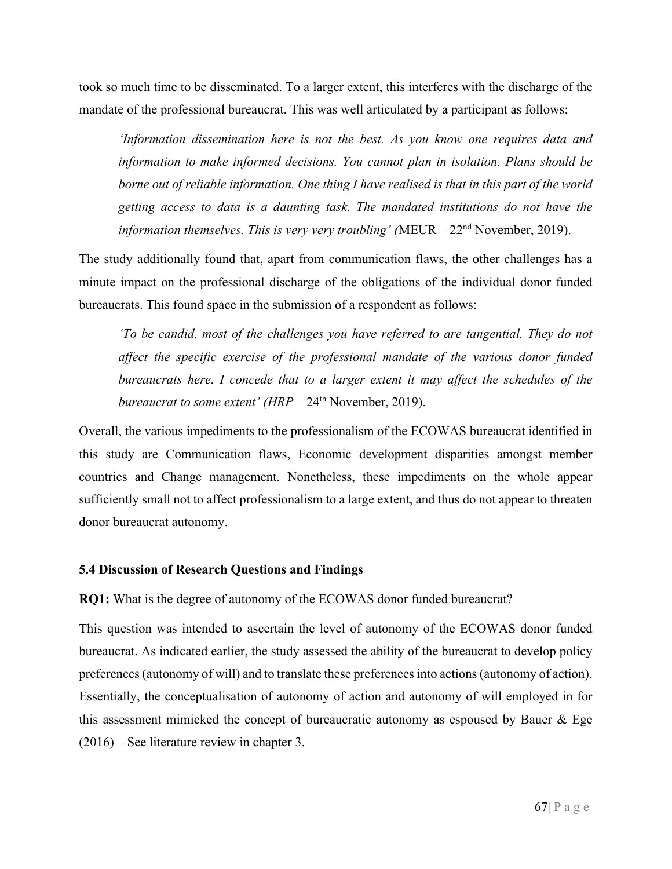took so much time to be disseminated. To a larger extent, this interferes with the discharge of the mandate of the professional bureaucrat. This was well articulated by a participant as follows:

*'Information dissemination here is not the best. As you know one requires data and information to make informed decisions. You cannot plan in isolation. Plans should be borne out of reliable information. One thing I have realised is that in this part of the world getting access to data is a daunting task. The mandated institutions do not have the information themselves. This is very very troubling' (*MEUR – 22nd November, 2019).

The study additionally found that, apart from communication flaws, the other challenges has a minute impact on the professional discharge of the obligations of the individual donor funded bureaucrats. This found space in the submission of a respondent as follows:

*To be candid, most of the challenges you have referred to are tangential. They do not affect the specific exercise of the professional mandate of the various donor funded bureaucrats here. I concede that to a larger extent it may affect the schedules of the bureaucrat to some extent' (HRP – 24<sup>th</sup> November, 2019).* 

Overall, the various impediments to the professionalism of the ECOWAS bureaucrat identified in this study are Communication flaws, Economic development disparities amongst member countries and Change management. Nonetheless, these impediments on the whole appear sufficiently small not to affect professionalism to a large extent, and thus do not appear to threaten donor bureaucrat autonomy.

#### **5.4 Discussion of Research Questions and Findings**

**RQ1:** What is the degree of autonomy of the ECOWAS donor funded bureaucrat?

This question was intended to ascertain the level of autonomy of the ECOWAS donor funded bureaucrat. As indicated earlier, the study assessed the ability of the bureaucrat to develop policy preferences (autonomy of will) and to translate these preferences into actions (autonomy of action). Essentially, the conceptualisation of autonomy of action and autonomy of will employed in for this assessment mimicked the concept of bureaucratic autonomy as espoused by Bauer & Ege (2016) – See literature review in chapter 3.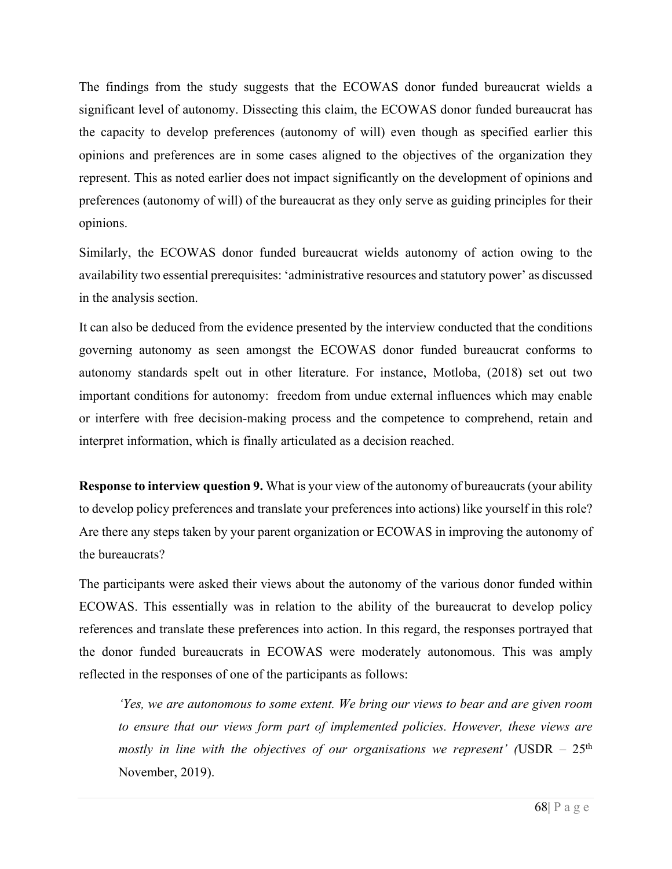The findings from the study suggests that the ECOWAS donor funded bureaucrat wields a significant level of autonomy. Dissecting this claim, the ECOWAS donor funded bureaucrat has the capacity to develop preferences (autonomy of will) even though as specified earlier this opinions and preferences are in some cases aligned to the objectives of the organization they represent. This as noted earlier does not impact significantly on the development of opinions and preferences (autonomy of will) of the bureaucrat as they only serve as guiding principles for their opinions.

Similarly, the ECOWAS donor funded bureaucrat wields autonomy of action owing to the availability two essential prerequisites: 'administrative resources and statutory power' as discussed in the analysis section.

It can also be deduced from the evidence presented by the interview conducted that the conditions governing autonomy as seen amongst the ECOWAS donor funded bureaucrat conforms to autonomy standards spelt out in other literature. For instance, Motloba, (2018) set out two important conditions for autonomy: freedom from undue external influences which may enable or interfere with free decision-making process and the competence to comprehend, retain and interpret information, which is finally articulated as a decision reached.

**Response to interview question 9.** What is your view of the autonomy of bureaucrats (your ability to develop policy preferences and translate your preferences into actions) like yourself in this role? Are there any steps taken by your parent organization or ECOWAS in improving the autonomy of the bureaucrats?

The participants were asked their views about the autonomy of the various donor funded within ECOWAS. This essentially was in relation to the ability of the bureaucrat to develop policy references and translate these preferences into action. In this regard, the responses portrayed that the donor funded bureaucrats in ECOWAS were moderately autonomous. This was amply reflected in the responses of one of the participants as follows:

*'Yes, we are autonomous to some extent. We bring our views to bear and are given room to ensure that our views form part of implemented policies. However, these views are mostly in line with the objectives of our organisations we represent'* (USDR  $-25<sup>th</sup>$ November, 2019).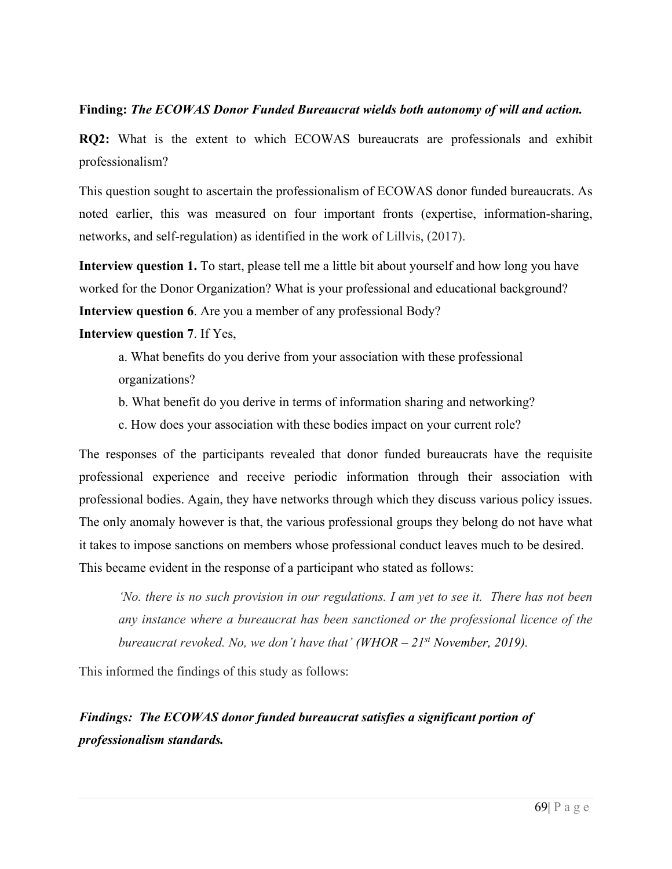#### **Finding:** *The ECOWAS Donor Funded Bureaucrat wields both autonomy of will and action.*

**RQ2:** What is the extent to which ECOWAS bureaucrats are professionals and exhibit professionalism?

This question sought to ascertain the professionalism of ECOWAS donor funded bureaucrats. As noted earlier, this was measured on four important fronts (expertise, information-sharing, networks, and self-regulation) as identified in the work of Lillvis, (2017).

**Interview question 1.** To start, please tell me a little bit about yourself and how long you have worked for the Donor Organization? What is your professional and educational background? **Interview question 6**. Are you a member of any professional Body?

#### **Interview question 7**. If Yes,

a. What benefits do you derive from your association with these professional organizations?

b. What benefit do you derive in terms of information sharing and networking?

c. How does your association with these bodies impact on your current role?

The responses of the participants revealed that donor funded bureaucrats have the requisite professional experience and receive periodic information through their association with professional bodies. Again, they have networks through which they discuss various policy issues. The only anomaly however is that, the various professional groups they belong do not have what it takes to impose sanctions on members whose professional conduct leaves much to be desired. This became evident in the response of a participant who stated as follows:

*'No. there is no such provision in our regulations. I am yet to see it. There has not been any instance where a bureaucrat has been sanctioned or the professional licence of the bureaucrat revoked. No, we don't have that' (WHOR – 21st November, 2019).* 

This informed the findings of this study as follows:

# *Findings: The ECOWAS donor funded bureaucrat satisfies a significant portion of professionalism standards.*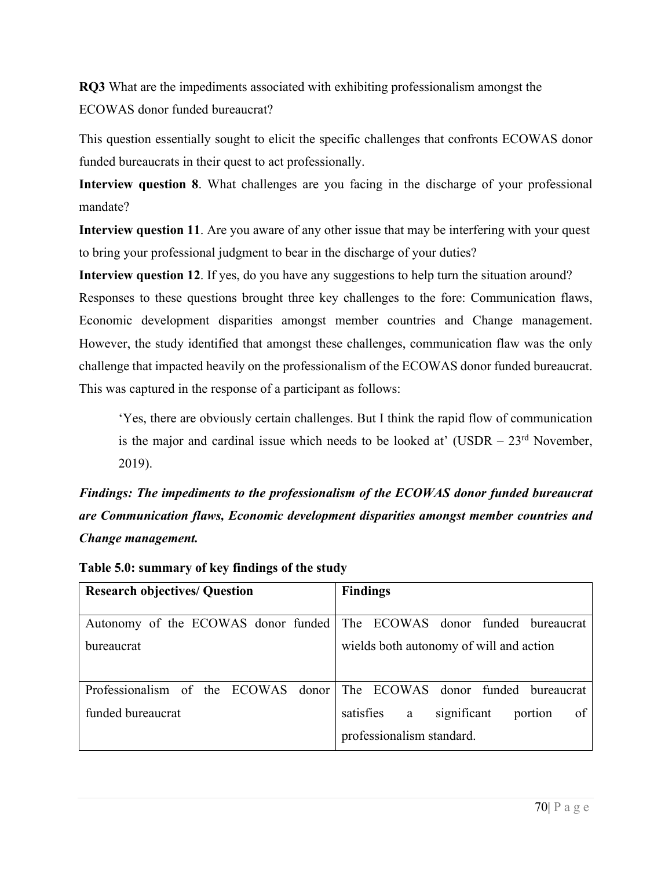**RQ3** What are the impediments associated with exhibiting professionalism amongst the ECOWAS donor funded bureaucrat?

This question essentially sought to elicit the specific challenges that confronts ECOWAS donor funded bureaucrats in their quest to act professionally.

**Interview question 8**. What challenges are you facing in the discharge of your professional mandate?

**Interview question 11**. Are you aware of any other issue that may be interfering with your quest to bring your professional judgment to bear in the discharge of your duties?

**Interview question 12**. If yes, do you have any suggestions to help turn the situation around? Responses to these questions brought three key challenges to the fore: Communication flaws, Economic development disparities amongst member countries and Change management. However, the study identified that amongst these challenges, communication flaw was the only challenge that impacted heavily on the professionalism of the ECOWAS donor funded bureaucrat. This was captured in the response of a participant as follows:

'Yes, there are obviously certain challenges. But I think the rapid flow of communication is the major and cardinal issue which needs to be looked at' (USDR  $-23<sup>rd</sup>$  November, 2019).

*Findings: The impediments to the professionalism of the ECOWAS donor funded bureaucrat are Communication flaws, Economic development disparities amongst member countries and Change management.* 

| <b>Research objectives/ Question</b> | <b>Findings</b>                                                          |
|--------------------------------------|--------------------------------------------------------------------------|
|                                      | Autonomy of the ECOWAS donor funded   The ECOWAS donor funded bureaucrat |
| <b>bureaucrat</b>                    | wields both autonomy of will and action                                  |
|                                      |                                                                          |
|                                      | Professionalism of the ECOWAS donor The ECOWAS donor funded bureaucrat   |
| funded bureaucrat                    | satisfies<br>significant<br>portion<br>a<br>οt                           |
|                                      | professionalism standard.                                                |

|  |  | Table 5.0: summary of key findings of the study |
|--|--|-------------------------------------------------|
|--|--|-------------------------------------------------|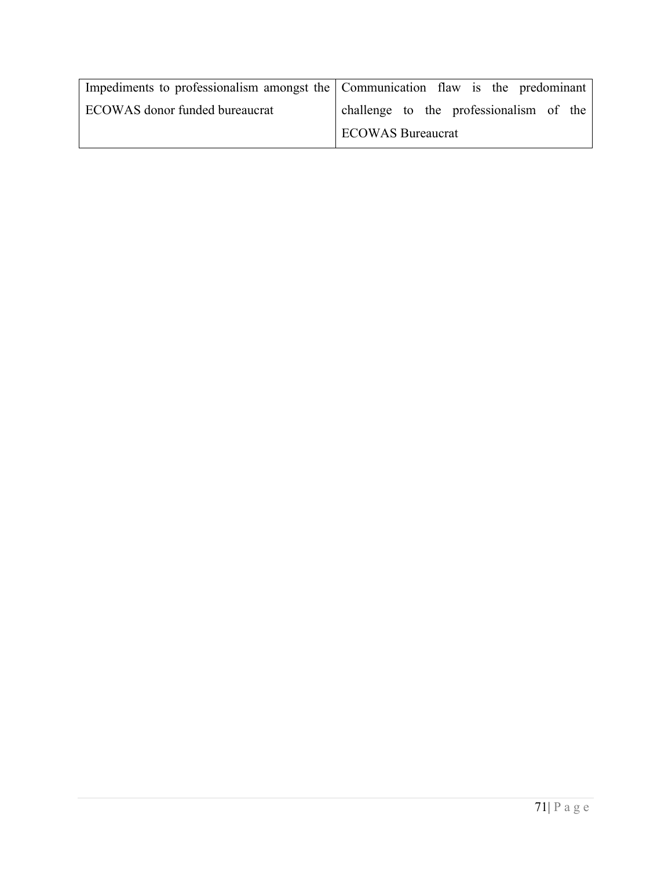| Impediments to professionalism amongst the Communication flaw is the predominant |                                         |  |
|----------------------------------------------------------------------------------|-----------------------------------------|--|
| ECOWAS donor funded bureaucrat                                                   | challenge to the professionalism of the |  |
|                                                                                  | <b>I ECOWAS Bureaucrat</b>              |  |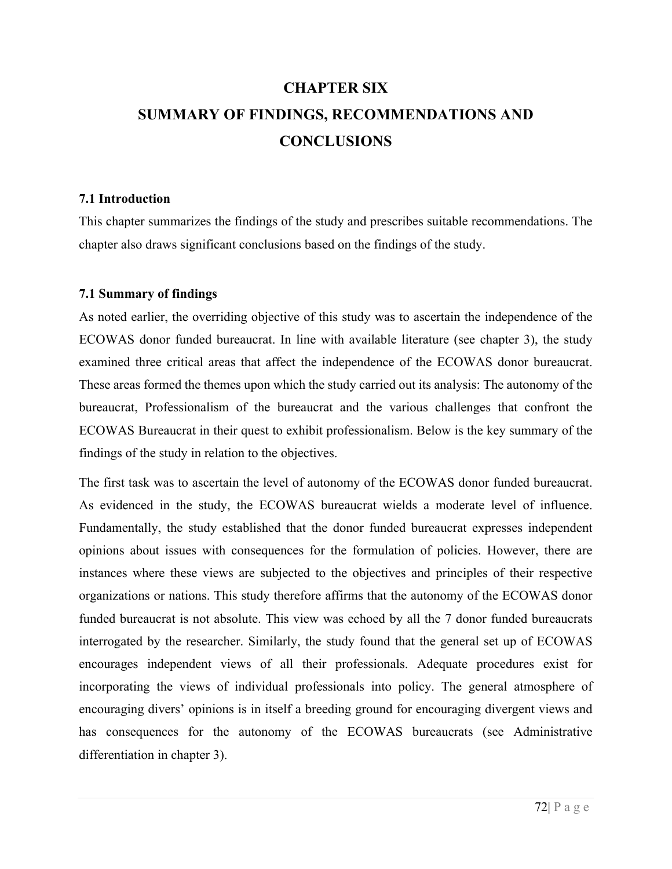# **CHAPTER SIX SUMMARY OF FINDINGS, RECOMMENDATIONS AND CONCLUSIONS**

#### **7.1 Introduction**

This chapter summarizes the findings of the study and prescribes suitable recommendations. The chapter also draws significant conclusions based on the findings of the study.

#### **7.1 Summary of findings**

As noted earlier, the overriding objective of this study was to ascertain the independence of the ECOWAS donor funded bureaucrat. In line with available literature (see chapter 3), the study examined three critical areas that affect the independence of the ECOWAS donor bureaucrat. These areas formed the themes upon which the study carried out its analysis: The autonomy of the bureaucrat, Professionalism of the bureaucrat and the various challenges that confront the ECOWAS Bureaucrat in their quest to exhibit professionalism. Below is the key summary of the findings of the study in relation to the objectives.

The first task was to ascertain the level of autonomy of the ECOWAS donor funded bureaucrat. As evidenced in the study, the ECOWAS bureaucrat wields a moderate level of influence. Fundamentally, the study established that the donor funded bureaucrat expresses independent opinions about issues with consequences for the formulation of policies. However, there are instances where these views are subjected to the objectives and principles of their respective organizations or nations. This study therefore affirms that the autonomy of the ECOWAS donor funded bureaucrat is not absolute. This view was echoed by all the 7 donor funded bureaucrats interrogated by the researcher. Similarly, the study found that the general set up of ECOWAS encourages independent views of all their professionals. Adequate procedures exist for incorporating the views of individual professionals into policy. The general atmosphere of encouraging divers' opinions is in itself a breeding ground for encouraging divergent views and has consequences for the autonomy of the ECOWAS bureaucrats (see Administrative differentiation in chapter 3).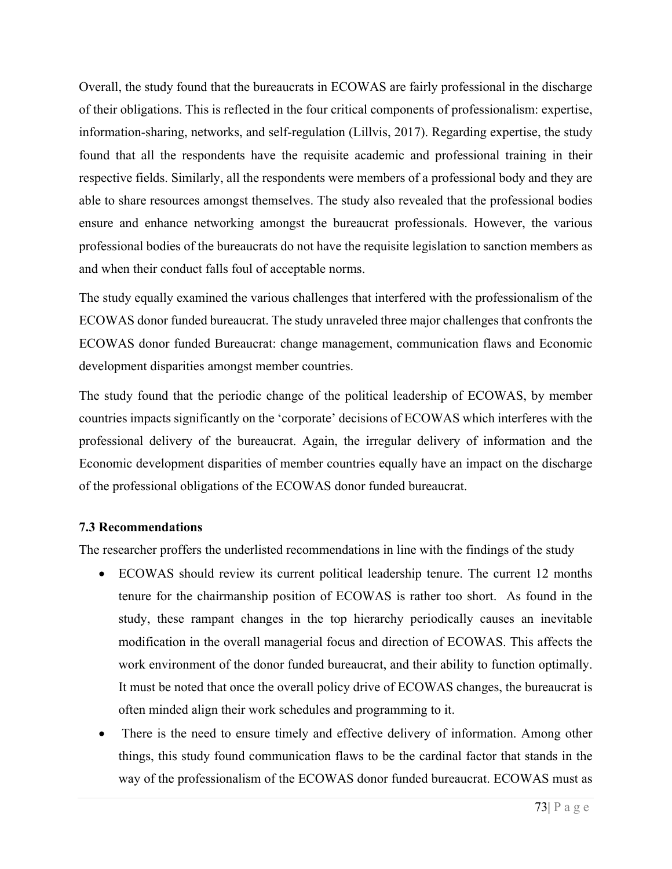Overall, the study found that the bureaucrats in ECOWAS are fairly professional in the discharge of their obligations. This is reflected in the four critical components of professionalism: expertise, information-sharing, networks, and self-regulation (Lillvis, 2017). Regarding expertise, the study found that all the respondents have the requisite academic and professional training in their respective fields. Similarly, all the respondents were members of a professional body and they are able to share resources amongst themselves. The study also revealed that the professional bodies ensure and enhance networking amongst the bureaucrat professionals. However, the various professional bodies of the bureaucrats do not have the requisite legislation to sanction members as and when their conduct falls foul of acceptable norms.

The study equally examined the various challenges that interfered with the professionalism of the ECOWAS donor funded bureaucrat. The study unraveled three major challenges that confronts the ECOWAS donor funded Bureaucrat: change management, communication flaws and Economic development disparities amongst member countries.

The study found that the periodic change of the political leadership of ECOWAS, by member countries impacts significantly on the 'corporate' decisions of ECOWAS which interferes with the professional delivery of the bureaucrat. Again, the irregular delivery of information and the Economic development disparities of member countries equally have an impact on the discharge of the professional obligations of the ECOWAS donor funded bureaucrat.

#### **7.3 Recommendations**

The researcher proffers the underlisted recommendations in line with the findings of the study

- ECOWAS should review its current political leadership tenure. The current 12 months tenure for the chairmanship position of ECOWAS is rather too short. As found in the study, these rampant changes in the top hierarchy periodically causes an inevitable modification in the overall managerial focus and direction of ECOWAS. This affects the work environment of the donor funded bureaucrat, and their ability to function optimally. It must be noted that once the overall policy drive of ECOWAS changes, the bureaucrat is often minded align their work schedules and programming to it.
- There is the need to ensure timely and effective delivery of information. Among other things, this study found communication flaws to be the cardinal factor that stands in the way of the professionalism of the ECOWAS donor funded bureaucrat. ECOWAS must as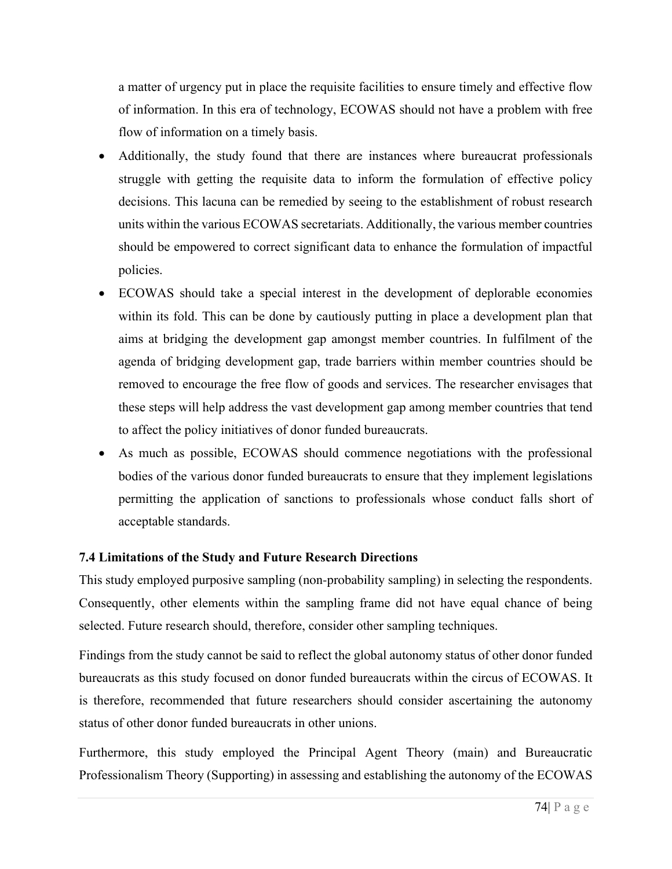a matter of urgency put in place the requisite facilities to ensure timely and effective flow of information. In this era of technology, ECOWAS should not have a problem with free flow of information on a timely basis.

- Additionally, the study found that there are instances where bureaucrat professionals struggle with getting the requisite data to inform the formulation of effective policy decisions. This lacuna can be remedied by seeing to the establishment of robust research units within the various ECOWAS secretariats. Additionally, the various member countries should be empowered to correct significant data to enhance the formulation of impactful policies.
- ECOWAS should take a special interest in the development of deplorable economies within its fold. This can be done by cautiously putting in place a development plan that aims at bridging the development gap amongst member countries. In fulfilment of the agenda of bridging development gap, trade barriers within member countries should be removed to encourage the free flow of goods and services. The researcher envisages that these steps will help address the vast development gap among member countries that tend to affect the policy initiatives of donor funded bureaucrats.
- As much as possible, ECOWAS should commence negotiations with the professional bodies of the various donor funded bureaucrats to ensure that they implement legislations permitting the application of sanctions to professionals whose conduct falls short of acceptable standards.

#### **7.4 Limitations of the Study and Future Research Directions**

This study employed purposive sampling (non-probability sampling) in selecting the respondents. Consequently, other elements within the sampling frame did not have equal chance of being selected. Future research should, therefore, consider other sampling techniques.

Findings from the study cannot be said to reflect the global autonomy status of other donor funded bureaucrats as this study focused on donor funded bureaucrats within the circus of ECOWAS. It is therefore, recommended that future researchers should consider ascertaining the autonomy status of other donor funded bureaucrats in other unions.

Furthermore, this study employed the Principal Agent Theory (main) and Bureaucratic Professionalism Theory (Supporting) in assessing and establishing the autonomy of the ECOWAS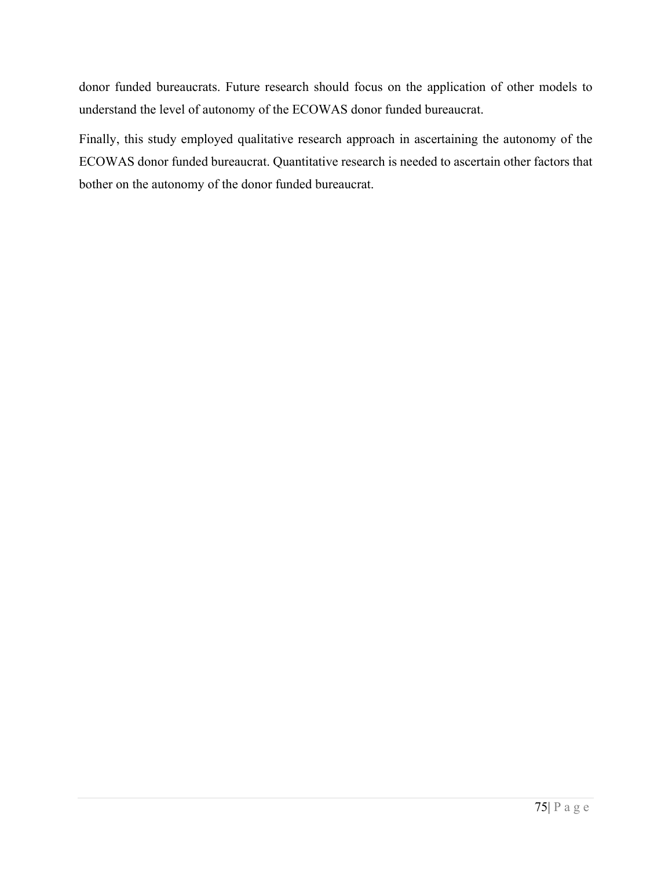donor funded bureaucrats. Future research should focus on the application of other models to understand the level of autonomy of the ECOWAS donor funded bureaucrat.

Finally, this study employed qualitative research approach in ascertaining the autonomy of the ECOWAS donor funded bureaucrat. Quantitative research is needed to ascertain other factors that bother on the autonomy of the donor funded bureaucrat.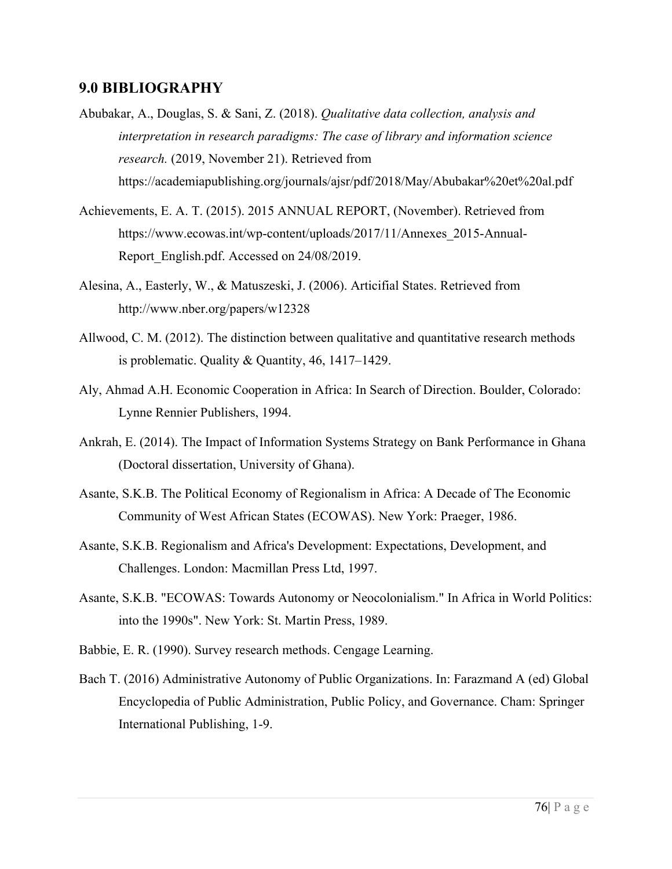#### **9.0 BIBLIOGRAPHY**

- Abubakar, A., Douglas, S. & Sani, Z. (2018). *Qualitative data collection, analysis and interpretation in research paradigms: The case of library and information science research.* (2019, November 21). Retrieved from https://academiapublishing.org/journals/ajsr/pdf/2018/May/Abubakar%20et%20al.pdf
- Achievements, E. A. T. (2015). 2015 ANNUAL REPORT, (November). Retrieved from https://www.ecowas.int/wp-content/uploads/2017/11/Annexes\_2015-Annual-Report English.pdf. Accessed on 24/08/2019.
- Alesina, A., Easterly, W., & Matuszeski, J. (2006). Articifial States. Retrieved from http://www.nber.org/papers/w12328
- Allwood, C. M. (2012). The distinction between qualitative and quantitative research methods is problematic. Quality & Quantity, 46, 1417–1429.
- Aly, Ahmad A.H. Economic Cooperation in Africa: In Search of Direction. Boulder, Colorado: Lynne Rennier Publishers, 1994.
- Ankrah, E. (2014). The Impact of Information Systems Strategy on Bank Performance in Ghana (Doctoral dissertation, University of Ghana).
- Asante, S.K.B. The Political Economy of Regionalism in Africa: A Decade of The Economic Community of West African States (ECOWAS). New York: Praeger, 1986.
- Asante, S.K.B. Regionalism and Africa's Development: Expectations, Development, and Challenges. London: Macmillan Press Ltd, 1997.
- Asante, S.K.B. "ECOWAS: Towards Autonomy or Neocolonialism." In Africa in World Politics: into the 1990s". New York: St. Martin Press, 1989.
- Babbie, E. R. (1990). Survey research methods. Cengage Learning.
- Bach T. (2016) Administrative Autonomy of Public Organizations. In: Farazmand A (ed) Global Encyclopedia of Public Administration, Public Policy, and Governance. Cham: Springer International Publishing, 1-9.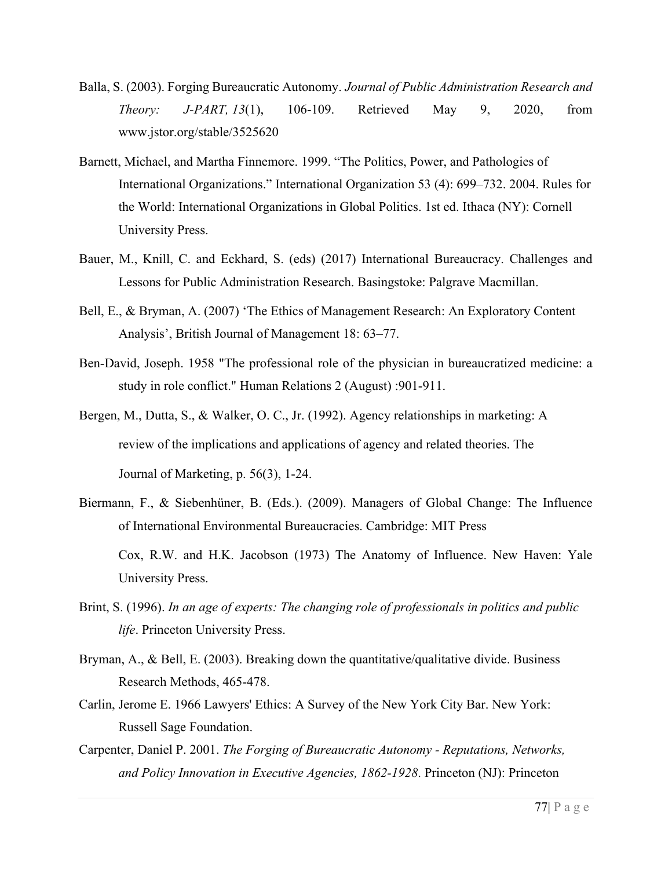- Balla, S. (2003). Forging Bureaucratic Autonomy. *Journal of Public Administration Research and Theory: J-PART, 13*(1), 106-109. Retrieved May 9, 2020, from www.jstor.org/stable/3525620
- Barnett, Michael, and Martha Finnemore. 1999. "The Politics, Power, and Pathologies of International Organizations." International Organization 53 (4): 699–732. 2004. Rules for the World: International Organizations in Global Politics. 1st ed. Ithaca (NY): Cornell University Press.
- Bauer, M., Knill, C. and Eckhard, S. (eds) (2017) International Bureaucracy. Challenges and Lessons for Public Administration Research. Basingstoke: Palgrave Macmillan.
- Bell, E., & Bryman, A. (2007) 'The Ethics of Management Research: An Exploratory Content Analysis', British Journal of Management 18: 63–77.
- Ben-David, Joseph. 1958 "The professional role of the physician in bureaucratized medicine: a study in role conflict." Human Relations 2 (August) :901-911.
- Bergen, M., Dutta, S., & Walker, O. C., Jr. (1992). Agency relationships in marketing: A review of the implications and applications of agency and related theories. The Journal of Marketing, p. 56(3), 1-24.
- Biermann, F., & Siebenhüner, B. (Eds.). (2009). Managers of Global Change: The Influence of International Environmental Bureaucracies. Cambridge: MIT Press Cox, R.W. and H.K. Jacobson (1973) The Anatomy of Influence. New Haven: Yale University Press.
- Brint, S. (1996). *In an age of experts: The changing role of professionals in politics and public life*. Princeton University Press.
- Bryman, A., & Bell, E. (2003). Breaking down the quantitative/qualitative divide. Business Research Methods, 465-478.
- Carlin, Jerome E. 1966 Lawyers' Ethics: A Survey of the New York City Bar. New York: Russell Sage Foundation.
- Carpenter, Daniel P. 2001. *The Forging of Bureaucratic Autonomy - Reputations, Networks, and Policy Innovation in Executive Agencies, 1862-1928*. Princeton (NJ): Princeton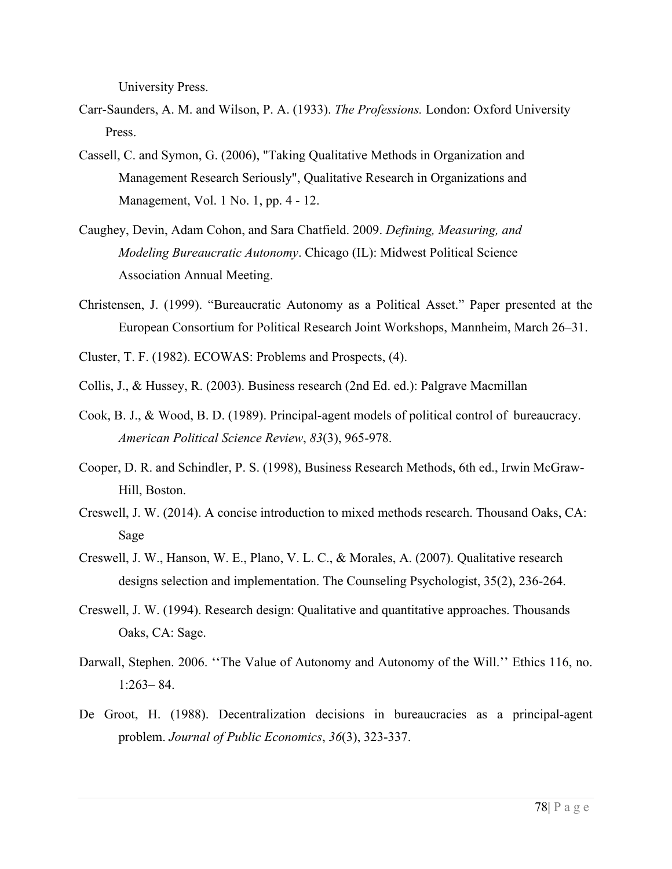University Press.

- Carr-Saunders, A. M. and Wilson, P. A. (1933). *The Professions.* London: Oxford University Press.
- Cassell, C. and Symon, G. (2006), "Taking Qualitative Methods in Organization and Management Research Seriously", Qualitative Research in Organizations and Management, Vol. 1 No. 1, pp. 4 - 12.
- Caughey, Devin, Adam Cohon, and Sara Chatfield. 2009. *Defining, Measuring, and Modeling Bureaucratic Autonomy*. Chicago (IL): Midwest Political Science Association Annual Meeting.
- Christensen, J. (1999). "Bureaucratic Autonomy as a Political Asset." Paper presented at the European Consortium for Political Research Joint Workshops, Mannheim, March 26–31.
- Cluster, T. F. (1982). ECOWAS: Problems and Prospects, (4).
- Collis, J., & Hussey, R. (2003). Business research (2nd Ed. ed.): Palgrave Macmillan
- Cook, B. J., & Wood, B. D. (1989). Principal-agent models of political control of bureaucracy. *American Political Science Review*, *83*(3), 965-978.
- Cooper, D. R. and Schindler, P. S. (1998), Business Research Methods, 6th ed., Irwin McGraw-Hill, Boston.
- Creswell, J. W. (2014). A concise introduction to mixed methods research. Thousand Oaks, CA: Sage
- Creswell, J. W., Hanson, W. E., Plano, V. L. C., & Morales, A. (2007). Qualitative research designs selection and implementation. The Counseling Psychologist, 35(2), 236-264.
- Creswell, J. W. (1994). Research design: Qualitative and quantitative approaches. Thousands Oaks, CA: Sage.
- Darwall, Stephen. 2006. ''The Value of Autonomy and Autonomy of the Will.'' Ethics 116, no. 1:263– 84.
- De Groot, H. (1988). Decentralization decisions in bureaucracies as a principal-agent problem. *Journal of Public Economics*, *36*(3), 323-337.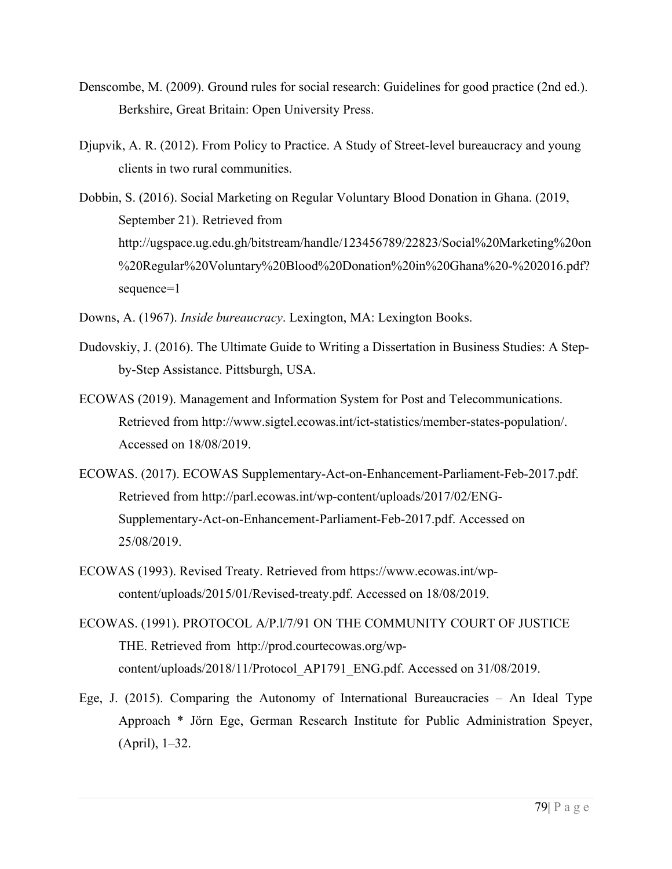- Denscombe, M. (2009). Ground rules for social research: Guidelines for good practice (2nd ed.). Berkshire, Great Britain: Open University Press.
- Djupvik, A. R. (2012). From Policy to Practice. A Study of Street-level bureaucracy and young clients in two rural communities.
- Dobbin, S. (2016). Social Marketing on Regular Voluntary Blood Donation in Ghana. (2019, September 21). Retrieved from http://ugspace.ug.edu.gh/bitstream/handle/123456789/22823/Social%20Marketing%20on %20Regular%20Voluntary%20Blood%20Donation%20in%20Ghana%20-%202016.pdf? sequence=1
- Downs, A. (1967). *Inside bureaucracy*. Lexington, MA: Lexington Books.
- Dudovskiy, J. (2016). The Ultimate Guide to Writing a Dissertation in Business Studies: A Stepby-Step Assistance. Pittsburgh, USA.
- ECOWAS (2019). Management and Information System for Post and Telecommunications. Retrieved from http://www.sigtel.ecowas.int/ict-statistics/member-states-population/. Accessed on 18/08/2019.
- ECOWAS. (2017). ECOWAS Supplementary-Act-on-Enhancement-Parliament-Feb-2017.pdf. Retrieved from http://parl.ecowas.int/wp-content/uploads/2017/02/ENG-Supplementary-Act-on-Enhancement-Parliament-Feb-2017.pdf. Accessed on 25/08/2019.
- ECOWAS (1993). Revised Treaty. Retrieved from https://www.ecowas.int/wpcontent/uploads/2015/01/Revised-treaty.pdf. Accessed on 18/08/2019.
- ECOWAS. (1991). PROTOCOL A/P.l/7/91 ON THE COMMUNITY COURT OF JUSTICE THE. Retrieved from http://prod.courtecowas.org/wpcontent/uploads/2018/11/Protocol\_AP1791\_ENG.pdf. Accessed on 31/08/2019.
- Ege, J. (2015). Comparing the Autonomy of International Bureaucracies An Ideal Type Approach \* Jörn Ege, German Research Institute for Public Administration Speyer, (April), 1–32.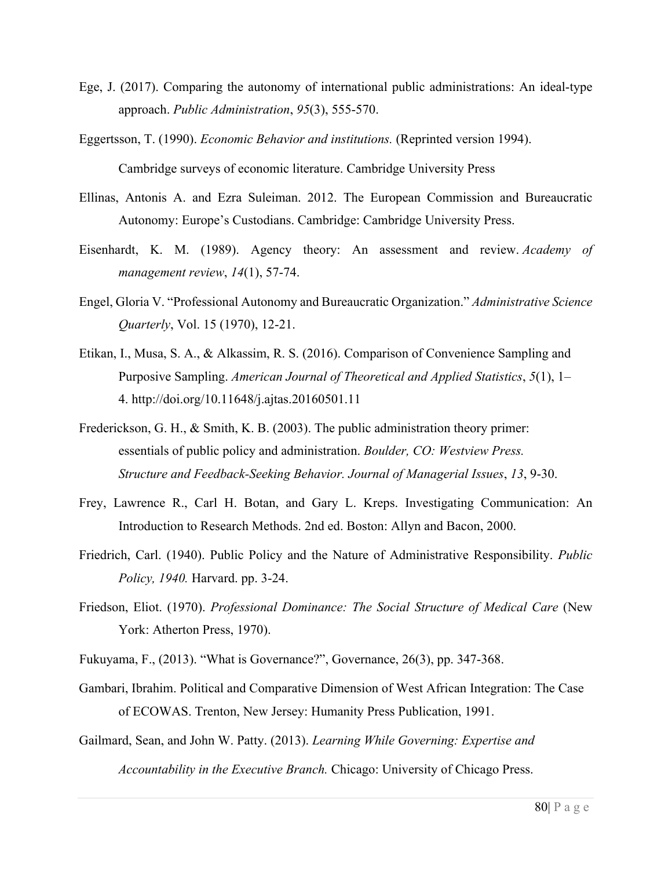- Ege, J. (2017). Comparing the autonomy of international public administrations: An ideal‐type approach. *Public Administration*, *95*(3), 555-570.
- Eggertsson, T. (1990). *Economic Behavior and institutions.* (Reprinted version 1994). Cambridge surveys of economic literature. Cambridge University Press
- Ellinas, Antonis A. and Ezra Suleiman. 2012. The European Commission and Bureaucratic Autonomy: Europe's Custodians. Cambridge: Cambridge University Press.
- Eisenhardt, K. M. (1989). Agency theory: An assessment and review. *Academy of management review*, *14*(1), 57-74.
- Engel, Gloria V. "Professional Autonomy and Bureaucratic Organization." *Administrative Science Quarterly*, Vol. 15 (1970), 12-21.
- Etikan, I., Musa, S. A., & Alkassim, R. S. (2016). Comparison of Convenience Sampling and Purposive Sampling. *American Journal of Theoretical and Applied Statistics*, *5*(1), 1– 4. http://doi.org/10.11648/j.ajtas.20160501.11
- Frederickson, G. H., & Smith, K. B. (2003). The public administration theory primer: essentials of public policy and administration. *Boulder, CO: Westview Press. Structure and Feedback-Seeking Behavior. Journal of Managerial Issues*, *13*, 9-30.
- Frey, Lawrence R., Carl H. Botan, and Gary L. Kreps. Investigating Communication: An Introduction to Research Methods. 2nd ed. Boston: Allyn and Bacon, 2000.
- Friedrich, Carl. (1940). Public Policy and the Nature of Administrative Responsibility. *Public Policy, 1940.* Harvard. pp. 3-24.
- Friedson, Eliot. (1970). *Professional Dominance: The Social Structure of Medical Care* (New York: Atherton Press, 1970).
- Fukuyama, F., (2013). "What is Governance?", Governance, 26(3), pp. 347-368.
- Gambari, Ibrahim. Political and Comparative Dimension of West African Integration: The Case of ECOWAS. Trenton, New Jersey: Humanity Press Publication, 1991.
- Gailmard, Sean, and John W. Patty. (2013). *Learning While Governing: Expertise and Accountability in the Executive Branch.* Chicago: University of Chicago Press.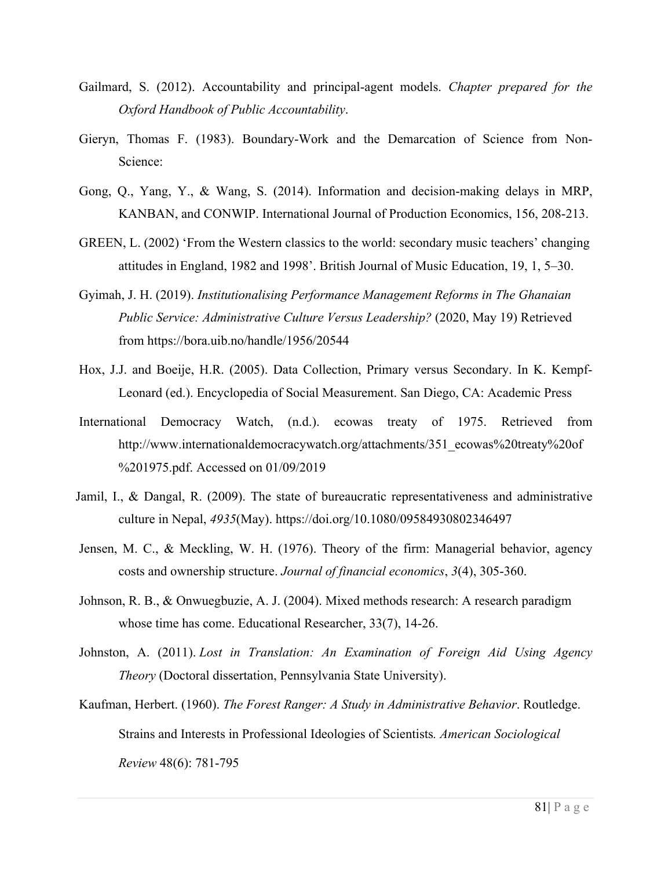- Gailmard, S. (2012). Accountability and principal-agent models. *Chapter prepared for the Oxford Handbook of Public Accountability*.
- Gieryn, Thomas F. (1983). Boundary-Work and the Demarcation of Science from Non-Science:
- Gong, Q., Yang, Y., & Wang, S. (2014). Information and decision-making delays in MRP, KANBAN, and CONWIP. International Journal of Production Economics, 156, 208-213.
- GREEN, L. (2002) 'From the Western classics to the world: secondary music teachers' changing attitudes in England, 1982 and 1998'. British Journal of Music Education, 19, 1, 5–30.
- Gyimah, J. H. (2019). *Institutionalising Performance Management Reforms in The Ghanaian Public Service: Administrative Culture Versus Leadership?* (2020, May 19) Retrieved from https://bora.uib.no/handle/1956/20544
- Hox, J.J. and Boeije, H.R. (2005). Data Collection, Primary versus Secondary. In K. Kempf-Leonard (ed.). Encyclopedia of Social Measurement. San Diego, CA: Academic Press
- International Democracy Watch, (n.d.). ecowas treaty of 1975. Retrieved from http://www.internationaldemocracywatch.org/attachments/351\_ecowas%20treaty%20of %201975.pdf. Accessed on 01/09/2019
- Jamil, I., & Dangal, R. (2009). The state of bureaucratic representativeness and administrative culture in Nepal, *4935*(May). https://doi.org/10.1080/09584930802346497
- Jensen, M. C., & Meckling, W. H. (1976). Theory of the firm: Managerial behavior, agency costs and ownership structure. *Journal of financial economics*, *3*(4), 305-360.
- Johnson, R. B., & Onwuegbuzie, A. J. (2004). Mixed methods research: A research paradigm whose time has come. Educational Researcher, 33(7), 14-26.
- Johnston, A. (2011). *Lost in Translation: An Examination of Foreign Aid Using Agency Theory* (Doctoral dissertation, Pennsylvania State University).
- Kaufman, Herbert. (1960). *The Forest Ranger: A Study in Administrative Behavior*. Routledge. Strains and Interests in Professional Ideologies of Scientists*. American Sociological Review* 48(6): 781-795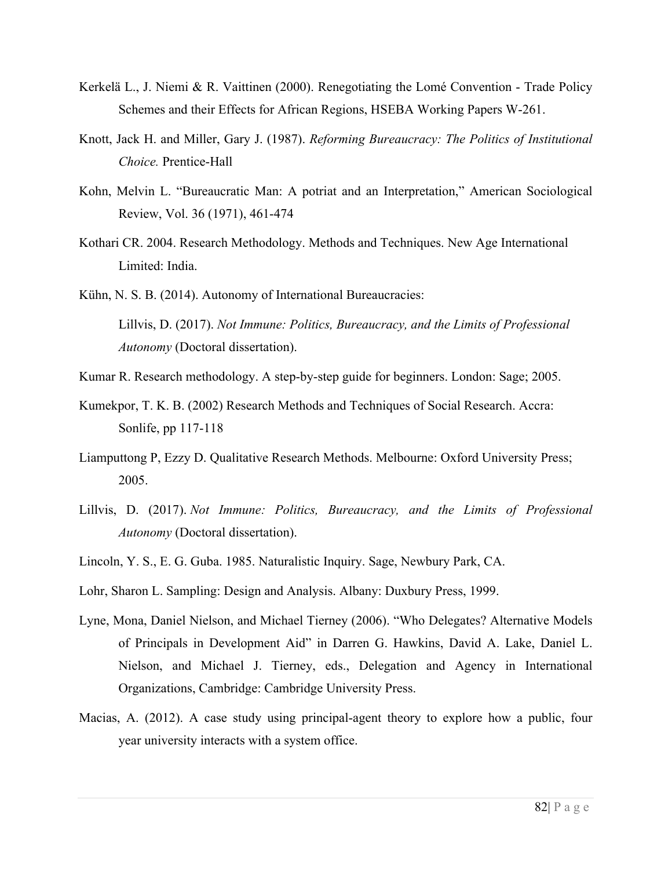- Kerkelä L., J. Niemi & R. Vaittinen (2000). Renegotiating the Lomé Convention Trade Policy Schemes and their Effects for African Regions, HSEBA Working Papers W-261.
- Knott, Jack H. and Miller, Gary J. (1987). *Reforming Bureaucracy: The Politics of Institutional Choice.* Prentice-Hall
- Kohn, Melvin L. "Bureaucratic Man: A potriat and an Interpretation," American Sociological Review, Vol. 36 (1971), 461-474
- Kothari CR. 2004. Research Methodology. Methods and Techniques. New Age International Limited: India.

 Kühn, N. S. B. (2014). Autonomy of International Bureaucracies: Lillvis, D. (2017). *Not Immune: Politics, Bureaucracy, and the Limits of Professional Autonomy* (Doctoral dissertation).

- Kumar R. Research methodology. A step-by-step guide for beginners. London: Sage; 2005.
- Kumekpor, T. K. B. (2002) Research Methods and Techniques of Social Research. Accra: Sonlife, pp 117-118
- Liamputtong P, Ezzy D. Qualitative Research Methods. Melbourne: Oxford University Press; 2005.
- Lillvis, D. (2017). *Not Immune: Politics, Bureaucracy, and the Limits of Professional Autonomy* (Doctoral dissertation).
- Lincoln, Y. S., E. G. Guba. 1985. Naturalistic Inquiry. Sage, Newbury Park, CA.
- Lohr, Sharon L. Sampling: Design and Analysis. Albany: Duxbury Press, 1999.
- Lyne, Mona, Daniel Nielson, and Michael Tierney (2006). "Who Delegates? Alternative Models of Principals in Development Aid" in Darren G. Hawkins, David A. Lake, Daniel L. Nielson, and Michael J. Tierney, eds., Delegation and Agency in International Organizations, Cambridge: Cambridge University Press.
- Macias, A. (2012). A case study using principal-agent theory to explore how a public, four year university interacts with a system office.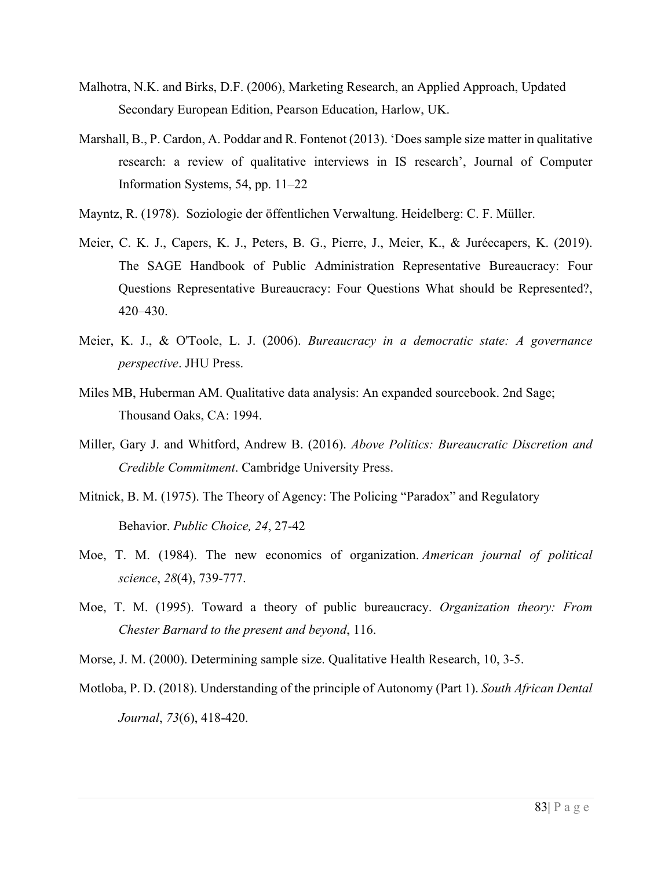- Malhotra, N.K. and Birks, D.F. (2006), Marketing Research, an Applied Approach, Updated Secondary European Edition, Pearson Education, Harlow, UK.
- Marshall, B., P. Cardon, A. Poddar and R. Fontenot (2013). 'Does sample size matter in qualitative research: a review of qualitative interviews in IS research', Journal of Computer Information Systems, 54, pp. 11–22
- Mayntz, R. (1978). Soziologie der öffentlichen Verwaltung. Heidelberg: C. F. Müller.
- Meier, C. K. J., Capers, K. J., Peters, B. G., Pierre, J., Meier, K., & Juréecapers, K. (2019). The SAGE Handbook of Public Administration Representative Bureaucracy: Four Questions Representative Bureaucracy: Four Questions What should be Represented?, 420–430.
- Meier, K. J., & O'Toole, L. J. (2006). *Bureaucracy in a democratic state: A governance perspective*. JHU Press.
- Miles MB, Huberman AM. Qualitative data analysis: An expanded sourcebook. 2nd Sage; Thousand Oaks, CA: 1994.
- Miller, Gary J. and Whitford, Andrew B. (2016). *Above Politics: Bureaucratic Discretion and Credible Commitment*. Cambridge University Press.
- Mitnick, B. M. (1975). The Theory of Agency: The Policing "Paradox" and Regulatory Behavior. *Public Choice, 24*, 27-42
- Moe, T. M. (1984). The new economics of organization. *American journal of political science*, *28*(4), 739-777.
- Moe, T. M. (1995). Toward a theory of public bureaucracy. *Organization theory: From Chester Barnard to the present and beyond*, 116.
- Morse, J. M. (2000). Determining sample size. Qualitative Health Research, 10, 3-5.
- Motloba, P. D. (2018). Understanding of the principle of Autonomy (Part 1). *South African Dental Journal*, *73*(6), 418-420.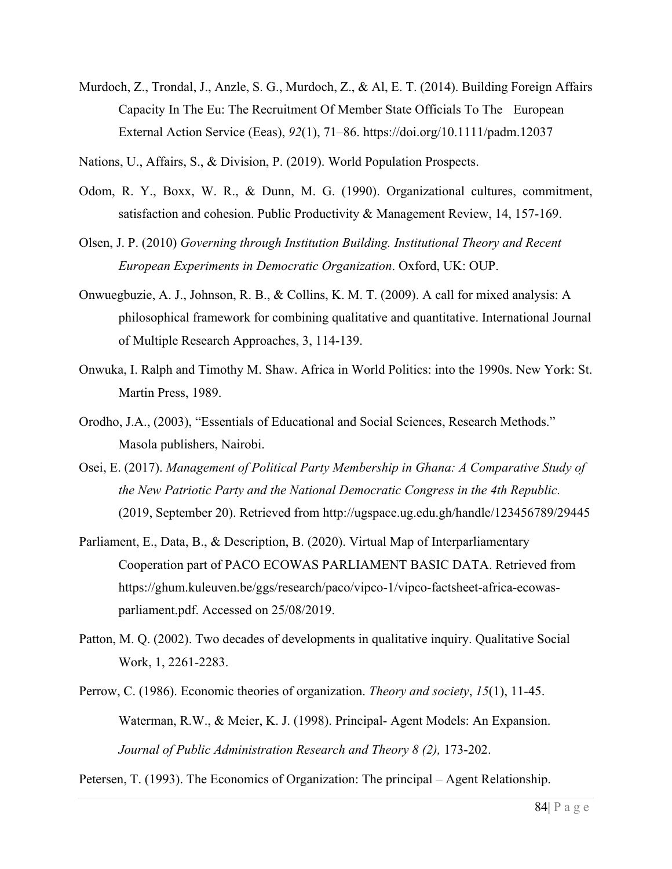Murdoch, Z., Trondal, J., Anzle, S. G., Murdoch, Z., & Al, E. T. (2014). Building Foreign Affairs Capacity In The Eu: The Recruitment Of Member State Officials To The European External Action Service (Eeas), *92*(1), 71–86. https://doi.org/10.1111/padm.12037

Nations, U., Affairs, S., & Division, P. (2019). World Population Prospects.

- Odom, R. Y., Boxx, W. R., & Dunn, M. G. (1990). Organizational cultures, commitment, satisfaction and cohesion. Public Productivity & Management Review, 14, 157-169.
- Olsen, J. P. (2010) *Governing through Institution Building. Institutional Theory and Recent European Experiments in Democratic Organization*. Oxford, UK: OUP.
- Onwuegbuzie, A. J., Johnson, R. B., & Collins, K. M. T. (2009). A call for mixed analysis: A philosophical framework for combining qualitative and quantitative. International Journal of Multiple Research Approaches, 3, 114-139.
- Onwuka, I. Ralph and Timothy M. Shaw. Africa in World Politics: into the 1990s. New York: St. Martin Press, 1989.
- Orodho, J.A., (2003), "Essentials of Educational and Social Sciences, Research Methods." Masola publishers, Nairobi.
- Osei, E. (2017). *Management of Political Party Membership in Ghana: A Comparative Study of the New Patriotic Party and the National Democratic Congress in the 4th Republic.* (2019, September 20). Retrieved from http://ugspace.ug.edu.gh/handle/123456789/29445
- Parliament, E., Data, B., & Description, B. (2020). Virtual Map of Interparliamentary Cooperation part of PACO ECOWAS PARLIAMENT BASIC DATA. Retrieved from https://ghum.kuleuven.be/ggs/research/paco/vipco-1/vipco-factsheet-africa-ecowasparliament.pdf. Accessed on 25/08/2019.
- Patton, M. Q. (2002). Two decades of developments in qualitative inquiry. Qualitative Social Work, 1, 2261-2283.
- Perrow, C. (1986). Economic theories of organization. *Theory and society*, *15*(1), 11-45. Waterman, R.W., & Meier, K. J. (1998). Principal- Agent Models: An Expansion. *Journal of Public Administration Research and Theory 8 (2),* 173-202.

Petersen, T. (1993). The Economics of Organization: The principal – Agent Relationship.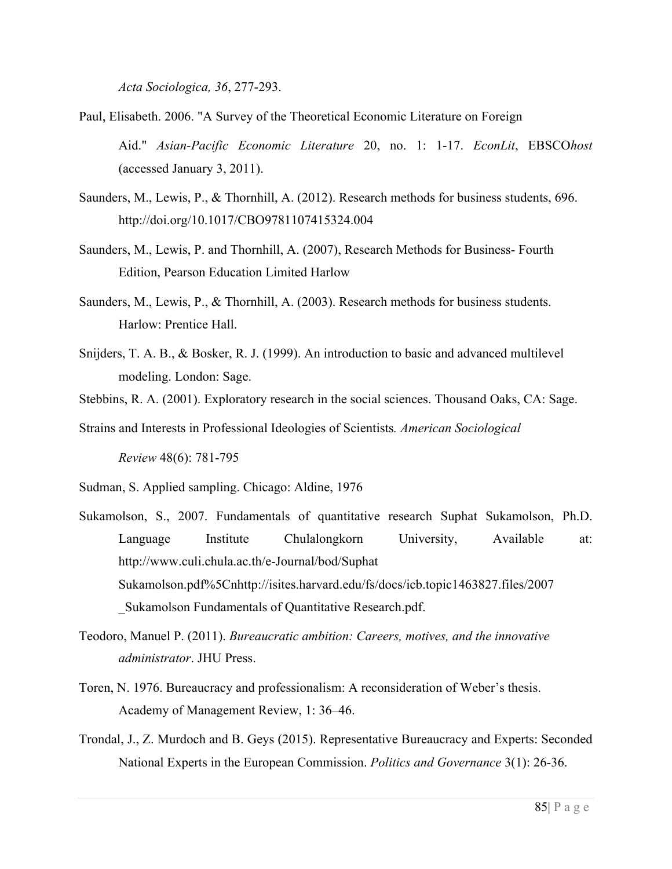*Acta Sociologica, 36*, 277-293.

- Paul, Elisabeth. 2006. "A Survey of the Theoretical Economic Literature on Foreign Aid." *Asian-Pacific Economic Literature* 20, no. 1: 1-17. *EconLit*, EBSCO*host* (accessed January 3, 2011).
- Saunders, M., Lewis, P., & Thornhill, A. (2012). Research methods for business students, 696. http://doi.org/10.1017/CBO9781107415324.004
- Saunders, M., Lewis, P. and Thornhill, A. (2007), Research Methods for Business- Fourth Edition, Pearson Education Limited Harlow
- Saunders, M., Lewis, P., & Thornhill, A. (2003). Research methods for business students. Harlow: Prentice Hall.
- Snijders, T. A. B., & Bosker, R. J. (1999). An introduction to basic and advanced multilevel modeling. London: Sage.
- Stebbins, R. A. (2001). Exploratory research in the social sciences. Thousand Oaks, CA: Sage.
- Strains and Interests in Professional Ideologies of Scientists*. American Sociological*

*Review* 48(6): 781-795

Sudman, S. Applied sampling. Chicago: Aldine, 1976

- Sukamolson, S., 2007. Fundamentals of quantitative research Suphat Sukamolson, Ph.D. Language Institute Chulalongkorn University, Available at: http://www.culi.chula.ac.th/e-Journal/bod/Suphat Sukamolson.pdf%5Cnhttp://isites.harvard.edu/fs/docs/icb.topic1463827.files/2007 \_Sukamolson Fundamentals of Quantitative Research.pdf.
- Teodoro, Manuel P. (2011). *Bureaucratic ambition: Careers, motives, and the innovative administrator*. JHU Press.
- Toren, N. 1976. Bureaucracy and professionalism: A reconsideration of Weber's thesis. Academy of Management Review, 1: 36–46.
- Trondal, J., Z. Murdoch and B. Geys (2015). Representative Bureaucracy and Experts: Seconded National Experts in the European Commission. *Politics and Governance* 3(1): 26-36.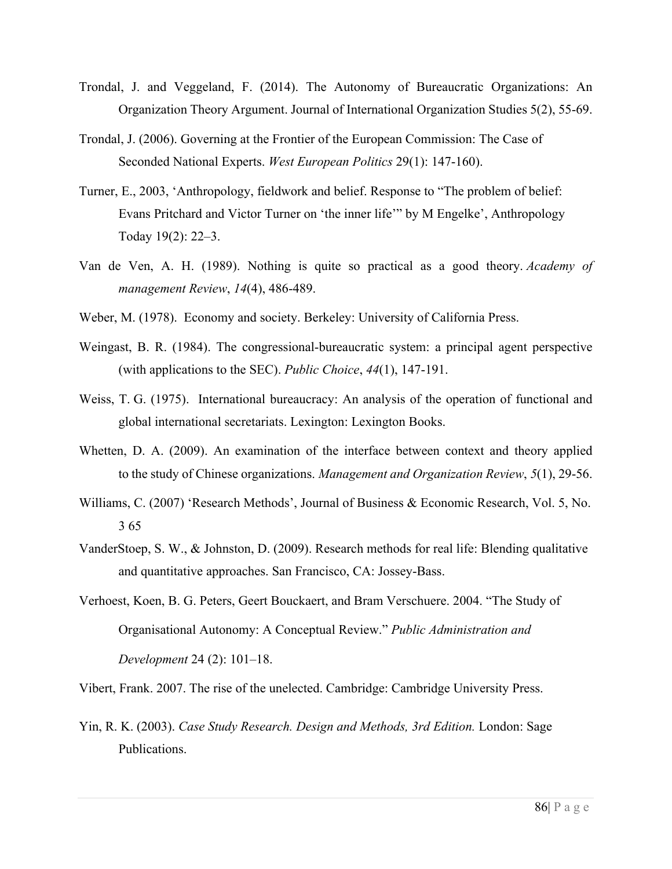- Trondal, J. and Veggeland, F. (2014). The Autonomy of Bureaucratic Organizations: An Organization Theory Argument. Journal of International Organization Studies 5(2), 55-69.
- Trondal, J. (2006). Governing at the Frontier of the European Commission: The Case of Seconded National Experts. *West European Politics* 29(1): 147-160).
- Turner, E., 2003, 'Anthropology, fieldwork and belief. Response to "The problem of belief: Evans Pritchard and Victor Turner on 'the inner life'" by M Engelke', Anthropology Today 19(2): 22–3.
- Van de Ven, A. H. (1989). Nothing is quite so practical as a good theory. *Academy of management Review*, *14*(4), 486-489.
- Weber, M. (1978). Economy and society. Berkeley: University of California Press.
- Weingast, B. R. (1984). The congressional-bureaucratic system: a principal agent perspective (with applications to the SEC). *Public Choice*, *44*(1), 147-191.
- Weiss, T. G. (1975). International bureaucracy: An analysis of the operation of functional and global international secretariats. Lexington: Lexington Books.
- Whetten, D. A. (2009). An examination of the interface between context and theory applied to the study of Chinese organizations. *Management and Organization Review*, *5*(1), 29-56.
- Williams, C. (2007) 'Research Methods', Journal of Business & Economic Research, Vol. 5, No. 3 65
- VanderStoep, S. W., & Johnston, D. (2009). Research methods for real life: Blending qualitative and quantitative approaches. San Francisco, CA: Jossey-Bass.
- Verhoest, Koen, B. G. Peters, Geert Bouckaert, and Bram Verschuere. 2004. "The Study of Organisational Autonomy: A Conceptual Review." *Public Administration and Development* 24 (2): 101–18.

Vibert, Frank. 2007. The rise of the unelected. Cambridge: Cambridge University Press.

Yin, R. K. (2003). *Case Study Research. Design and Methods, 3rd Edition.* London: Sage Publications.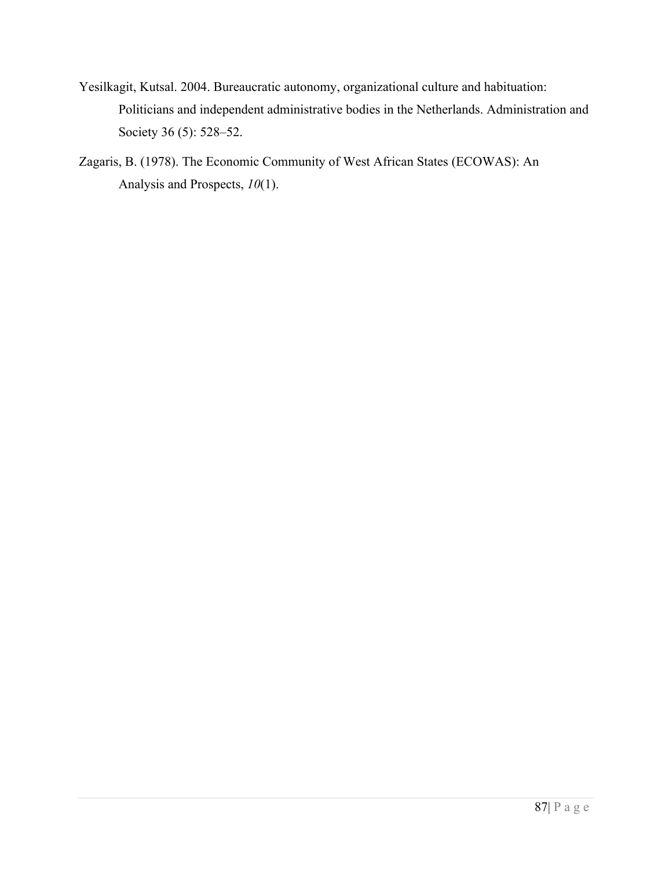- Yesilkagit, Kutsal. 2004. Bureaucratic autonomy, organizational culture and habituation: Politicians and independent administrative bodies in the Netherlands. Administration and Society 36 (5): 528–52.
- Zagaris, B. (1978). The Economic Community of West African States (ECOWAS): An Analysis and Prospects, *10*(1).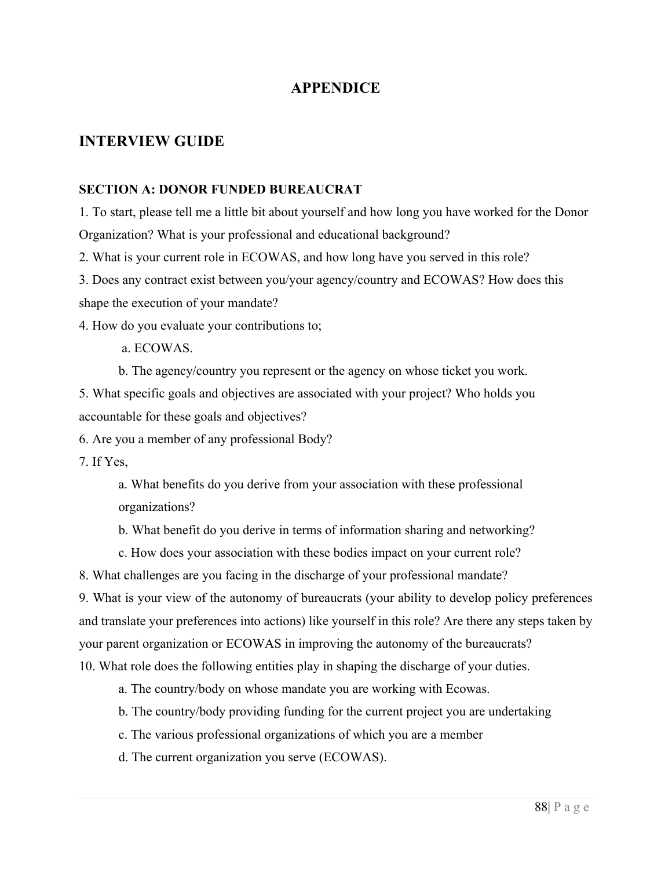## **APPENDICE**

## **INTERVIEW GUIDE**

#### **SECTION A: DONOR FUNDED BUREAUCRAT**

1. To start, please tell me a little bit about yourself and how long you have worked for the Donor Organization? What is your professional and educational background?

2. What is your current role in ECOWAS, and how long have you served in this role?

3. Does any contract exist between you/your agency/country and ECOWAS? How does this shape the execution of your mandate?

4. How do you evaluate your contributions to;

a. ECOWAS.

b. The agency/country you represent or the agency on whose ticket you work.

5. What specific goals and objectives are associated with your project? Who holds you accountable for these goals and objectives?

6. Are you a member of any professional Body?

7. If Yes,

a. What benefits do you derive from your association with these professional organizations?

b. What benefit do you derive in terms of information sharing and networking?

c. How does your association with these bodies impact on your current role?

8. What challenges are you facing in the discharge of your professional mandate?

9. What is your view of the autonomy of bureaucrats (your ability to develop policy preferences and translate your preferences into actions) like yourself in this role? Are there any steps taken by your parent organization or ECOWAS in improving the autonomy of the bureaucrats?

10. What role does the following entities play in shaping the discharge of your duties.

a. The country/body on whose mandate you are working with Ecowas.

b. The country/body providing funding for the current project you are undertaking

c. The various professional organizations of which you are a member

d. The current organization you serve (ECOWAS).